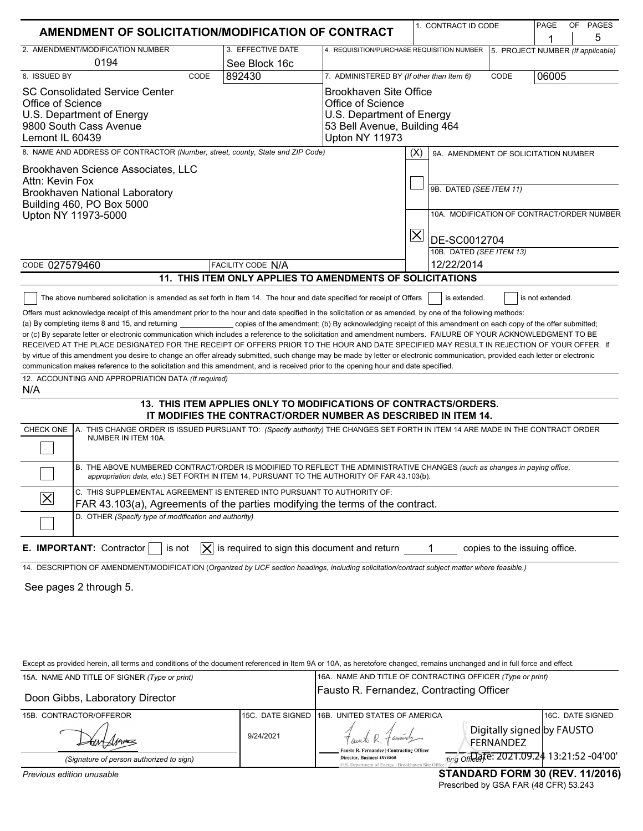| 1. CONTRACT ID CODE<br>PAGE<br>OF PAGES<br>AMENDMENT OF SOLICITATION/MODIFICATION OF CONTRACT<br>5                                                                                                                                                                                                                                                                                                                                                                                                                                                                                                                                                                                                                                                                                                                                                                                                                                                                                                                                                                                                                                                                                                                                                                                                                                                                                                             |                                    |                                                                                                                                                                                                                                                    |                     |                                                                                                                   |                                         |       |                  |
|----------------------------------------------------------------------------------------------------------------------------------------------------------------------------------------------------------------------------------------------------------------------------------------------------------------------------------------------------------------------------------------------------------------------------------------------------------------------------------------------------------------------------------------------------------------------------------------------------------------------------------------------------------------------------------------------------------------------------------------------------------------------------------------------------------------------------------------------------------------------------------------------------------------------------------------------------------------------------------------------------------------------------------------------------------------------------------------------------------------------------------------------------------------------------------------------------------------------------------------------------------------------------------------------------------------------------------------------------------------------------------------------------------------|------------------------------------|----------------------------------------------------------------------------------------------------------------------------------------------------------------------------------------------------------------------------------------------------|---------------------|-------------------------------------------------------------------------------------------------------------------|-----------------------------------------|-------|------------------|
| 2. AMENDMENT/MODIFICATION NUMBER<br>0194                                                                                                                                                                                                                                                                                                                                                                                                                                                                                                                                                                                                                                                                                                                                                                                                                                                                                                                                                                                                                                                                                                                                                                                                                                                                                                                                                                       | 3. EFFECTIVE DATE<br>See Block 16c | 4. REQUISITION/PURCHASE REQUISITION NUMBER                                                                                                                                                                                                         |                     |                                                                                                                   | 5. PROJECT NUMBER (If applicable)       |       |                  |
| 6. ISSUED BY<br>CODE<br><b>SC Consolidated Service Center</b>                                                                                                                                                                                                                                                                                                                                                                                                                                                                                                                                                                                                                                                                                                                                                                                                                                                                                                                                                                                                                                                                                                                                                                                                                                                                                                                                                  | 892430                             | 7. ADMINISTERED BY (If other than Item 6)<br>Brookhaven Site Office                                                                                                                                                                                |                     |                                                                                                                   | CODE                                    | 06005 |                  |
| <b>Office of Science</b><br>U.S. Department of Energy<br>9800 South Cass Avenue<br>Lemont IL 60439                                                                                                                                                                                                                                                                                                                                                                                                                                                                                                                                                                                                                                                                                                                                                                                                                                                                                                                                                                                                                                                                                                                                                                                                                                                                                                             |                                    | <b>Office of Science</b><br>U.S. Department of Energy<br>53 Bell Avenue, Building 464<br>Upton NY 11973                                                                                                                                            |                     |                                                                                                                   |                                         |       |                  |
| 8. NAME AND ADDRESS OF CONTRACTOR (Number, street, county, State and ZIP Code)                                                                                                                                                                                                                                                                                                                                                                                                                                                                                                                                                                                                                                                                                                                                                                                                                                                                                                                                                                                                                                                                                                                                                                                                                                                                                                                                 |                                    |                                                                                                                                                                                                                                                    | (X)                 | 9A. AMENDMENT OF SOLICITATION NUMBER                                                                              |                                         |       |                  |
| Brookhaven Science Associates, LLC<br>Attn: Kevin Fox<br>Brookhaven National Laboratory<br>Building 460, PO Box 5000<br>Upton NY 11973-5000                                                                                                                                                                                                                                                                                                                                                                                                                                                                                                                                                                                                                                                                                                                                                                                                                                                                                                                                                                                                                                                                                                                                                                                                                                                                    |                                    |                                                                                                                                                                                                                                                    | $\overline{\times}$ | 9B. DATED (SEE ITEM 11)<br>10A. MODIFICATION OF CONTRACT/ORDER NUMBER<br>DE-SC0012704<br>10B. DATED (SEE ITEM 13) |                                         |       |                  |
| CODE 027579460                                                                                                                                                                                                                                                                                                                                                                                                                                                                                                                                                                                                                                                                                                                                                                                                                                                                                                                                                                                                                                                                                                                                                                                                                                                                                                                                                                                                 | FACILITY CODE N/A                  |                                                                                                                                                                                                                                                    |                     | 12/22/2014                                                                                                        |                                         |       |                  |
|                                                                                                                                                                                                                                                                                                                                                                                                                                                                                                                                                                                                                                                                                                                                                                                                                                                                                                                                                                                                                                                                                                                                                                                                                                                                                                                                                                                                                |                                    | 11. THIS ITEM ONLY APPLIES TO AMENDMENTS OF SOLICITATIONS                                                                                                                                                                                          |                     |                                                                                                                   |                                         |       |                  |
| (a) By completing items 8 and 15, and returning<br>or (c) By separate letter or electronic communication which includes a reference to the solicitation and amendment numbers. FAILURE OF YOUR ACKNOWLEDGMENT TO BE<br>RECEIVED AT THE PLACE DESIGNATED FOR THE RECEIPT OF OFFERS PRIOR TO THE HOUR AND DATE SPECIFIED MAY RESULT IN REJECTION OF YOUR OFFER. If<br>by virtue of this amendment you desire to change an offer already submitted, such change may be made by letter or electronic communication, provided each letter or electronic<br>communication makes reference to the solicitation and this amendment, and is received prior to the opening hour and date specified.<br>12. ACCOUNTING AND APPROPRIATION DATA (If required)<br>N/A<br>A. THIS CHANGE ORDER IS ISSUED PURSUANT TO: (Specify authority) THE CHANGES SET FORTH IN ITEM 14 ARE MADE IN THE CONTRACT ORDER<br><b>CHECK ONE</b><br>NUMBER IN ITEM 10A.<br>B. THE ABOVE NUMBERED CONTRACT/ORDER IS MODIFIED TO REFLECT THE ADMINISTRATIVE CHANGES (such as changes in paying office,<br>appropriation data, etc.) SET FORTH IN ITEM 14, PURSUANT TO THE AUTHORITY OF FAR 43.103(b).<br>C. THIS SUPPLEMENTAL AGREEMENT IS ENTERED INTO PURSUANT TO AUTHORITY OF:<br>$\overline{\times}$<br>FAR 43.103(a), Agreements of the parties modifying the terms of the contract.<br>D. OTHER (Specify type of modification and authority) |                                    | copies of the amendment; (b) By acknowledging receipt of this amendment on each copy of the offer submitted;<br>13. THIS ITEM APPLIES ONLY TO MODIFICATIONS OF CONTRACTS/ORDERS.<br>IT MODIFIES THE CONTRACT/ORDER NUMBER AS DESCRIBED IN ITEM 14. |                     |                                                                                                                   |                                         |       |                  |
| E. IMPORTANT: Contractor<br>is required to sign this document and return<br>copies to the issuing office.<br>is not<br>$\times$                                                                                                                                                                                                                                                                                                                                                                                                                                                                                                                                                                                                                                                                                                                                                                                                                                                                                                                                                                                                                                                                                                                                                                                                                                                                                |                                    |                                                                                                                                                                                                                                                    |                     |                                                                                                                   |                                         |       |                  |
| 14. DESCRIPTION OF AMENDMENT/MODIFICATION (Organized by UCF section headings, including solicitation/contract subject matter where feasible.)<br>See pages 2 through 5.                                                                                                                                                                                                                                                                                                                                                                                                                                                                                                                                                                                                                                                                                                                                                                                                                                                                                                                                                                                                                                                                                                                                                                                                                                        |                                    |                                                                                                                                                                                                                                                    |                     |                                                                                                                   |                                         |       |                  |
| Except as provided herein, all terms and conditions of the document referenced in Item 9A or 10A, as heretofore changed, remains unchanged and in full force and effect.                                                                                                                                                                                                                                                                                                                                                                                                                                                                                                                                                                                                                                                                                                                                                                                                                                                                                                                                                                                                                                                                                                                                                                                                                                       |                                    |                                                                                                                                                                                                                                                    |                     |                                                                                                                   |                                         |       |                  |
| 15A. NAME AND TITLE OF SIGNER (Type or print)                                                                                                                                                                                                                                                                                                                                                                                                                                                                                                                                                                                                                                                                                                                                                                                                                                                                                                                                                                                                                                                                                                                                                                                                                                                                                                                                                                  |                                    |                                                                                                                                                                                                                                                    |                     |                                                                                                                   |                                         |       |                  |
| 16A. NAME AND TITLE OF CONTRACTING OFFICER (Type or print)<br>Fausto R. Fernandez, Contracting Officer<br>Doon Gibbs, Laboratory Director                                                                                                                                                                                                                                                                                                                                                                                                                                                                                                                                                                                                                                                                                                                                                                                                                                                                                                                                                                                                                                                                                                                                                                                                                                                                      |                                    |                                                                                                                                                                                                                                                    |                     |                                                                                                                   |                                         |       |                  |
| 15B. CONTRACTOR/OFFEROR                                                                                                                                                                                                                                                                                                                                                                                                                                                                                                                                                                                                                                                                                                                                                                                                                                                                                                                                                                                                                                                                                                                                                                                                                                                                                                                                                                                        | 15C. DATE SIGNED                   | 16B. UNITED STATES OF AMERICA                                                                                                                                                                                                                      |                     |                                                                                                                   |                                         |       | 16C. DATE SIGNED |
|                                                                                                                                                                                                                                                                                                                                                                                                                                                                                                                                                                                                                                                                                                                                                                                                                                                                                                                                                                                                                                                                                                                                                                                                                                                                                                                                                                                                                | 9/24/2021                          |                                                                                                                                                                                                                                                    |                     |                                                                                                                   | Digitally signed by FAUSTO<br>FERNANDEZ |       |                  |
| (Signature of person authorized to sign)                                                                                                                                                                                                                                                                                                                                                                                                                                                                                                                                                                                                                                                                                                                                                                                                                                                                                                                                                                                                                                                                                                                                                                                                                                                                                                                                                                       |                                    | <b>Fausto R. Fernandez   Contracting Officer</b><br><b>Director, Business Division</b><br>U.S. Department of Energy   Brookhaven Site Offi                                                                                                         |                     | ting offeate: 2021.09.24 13:21:52 -04'00'                                                                         |                                         |       |                  |

| Previous edition unusable |  |  |  |
|---------------------------|--|--|--|
|---------------------------|--|--|--|

#### **STANDARD FORM 30 (REV. 11/2016)**

Prescribed by GSA FAR (48 CFR) 53.243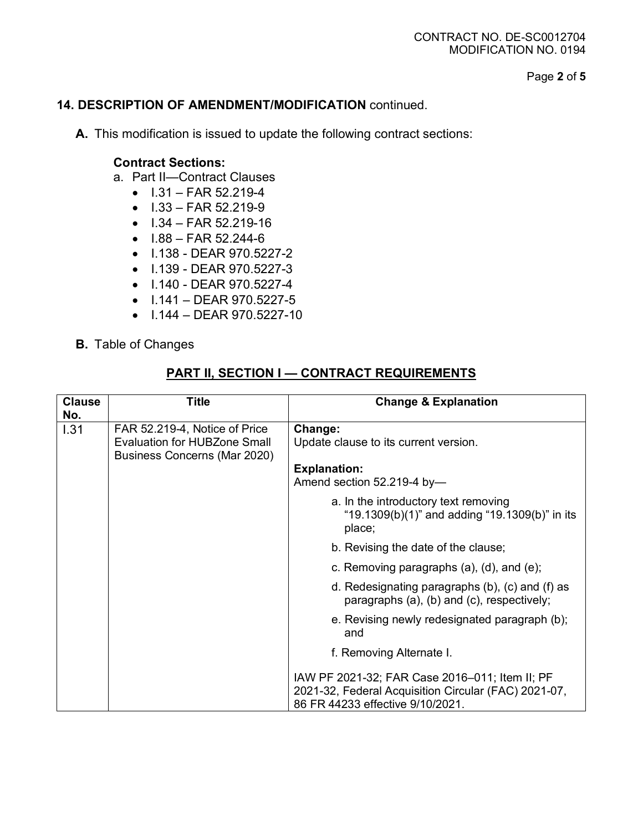Page **2** of **5**

### **14. DESCRIPTION OF AMENDMENT/MODIFICATION** continued.

**A.** This modification is issued to update the following contract sections:

#### **Contract Sections:**

- a. Part II—Contract Clauses
	- $\bullet$   $1.31 FAR 52.219 4$
	- $\bullet$   $1.33 FAR 52.219 9$
	- $\bullet$  I.34 FAR 52.219-16
	- $\bullet$   $1.88 FAR 52.244 6$
	- x I.138 DEAR 970.5227-2
	- x I.139 DEAR 970.5227-3
	- x I.140 DEAR 970.5227-4
	- $\bullet$  1.141 DEAR 970.5227-5
	- $\bullet$  1.144 DEAR 970.5227-10
- **B.** Table of Changes

### **PART II, SECTION I — CONTRACT REQUIREMENTS**

| <b>Clause</b><br>No. | <b>Title</b>                                                        | <b>Change &amp; Explanation</b>                                                                                                            |
|----------------------|---------------------------------------------------------------------|--------------------------------------------------------------------------------------------------------------------------------------------|
| 1.31                 | FAR 52.219-4, Notice of Price                                       | Change:                                                                                                                                    |
|                      | <b>Evaluation for HUBZone Small</b><br>Business Concerns (Mar 2020) | Update clause to its current version.                                                                                                      |
|                      |                                                                     | <b>Explanation:</b>                                                                                                                        |
|                      |                                                                     | Amend section 52.219-4 by-                                                                                                                 |
|                      |                                                                     | a. In the introductory text removing<br>"19.1309(b)(1)" and adding "19.1309(b)" in its<br>place;                                           |
|                      |                                                                     | b. Revising the date of the clause;                                                                                                        |
|                      |                                                                     | c. Removing paragraphs $(a)$ , $(d)$ , and $(e)$ ;                                                                                         |
|                      |                                                                     | d. Redesignating paragraphs (b), (c) and (f) as<br>paragraphs (a), (b) and (c), respectively;                                              |
|                      |                                                                     | e. Revising newly redesignated paragraph (b);<br>and                                                                                       |
|                      |                                                                     | f. Removing Alternate I.                                                                                                                   |
|                      |                                                                     | IAW PF 2021-32; FAR Case 2016-011; Item II; PF<br>2021-32, Federal Acquisition Circular (FAC) 2021-07,<br>86 FR 44233 effective 9/10/2021. |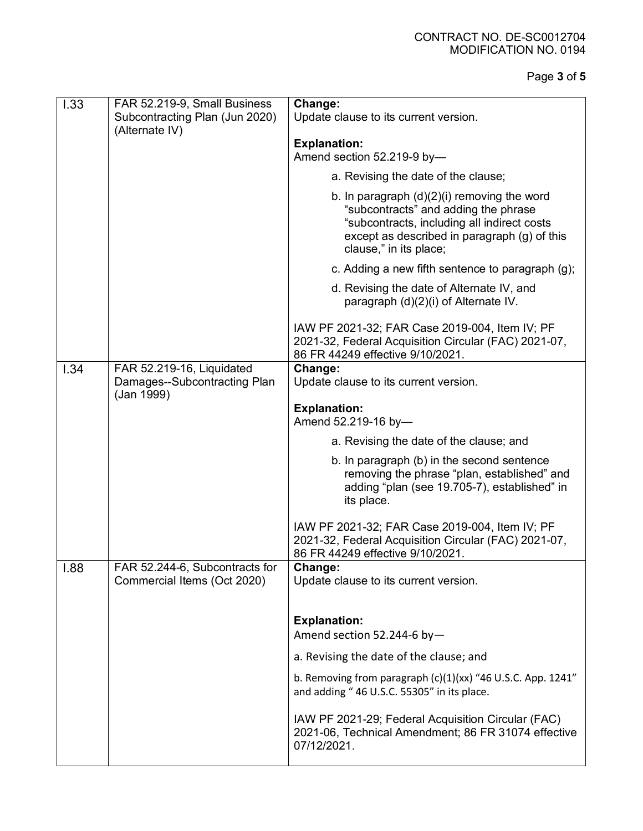#### CONTRACT NO. DE-SC0012704 MODIFICATION NO. 0194

Page **3** of **5**

| 1.33 | FAR 52.219-9, Small Business                                  | Change:                                                                                                                                                                                                        |
|------|---------------------------------------------------------------|----------------------------------------------------------------------------------------------------------------------------------------------------------------------------------------------------------------|
|      | Subcontracting Plan (Jun 2020)<br>(Alternate IV)              | Update clause to its current version.                                                                                                                                                                          |
|      |                                                               | <b>Explanation:</b>                                                                                                                                                                                            |
|      |                                                               | Amend section 52.219-9 by-                                                                                                                                                                                     |
|      |                                                               | a. Revising the date of the clause;                                                                                                                                                                            |
|      |                                                               | b. In paragraph $(d)(2)(i)$ removing the word<br>"subcontracts" and adding the phrase<br>"subcontracts, including all indirect costs<br>except as described in paragraph (g) of this<br>clause," in its place; |
|      |                                                               | c. Adding a new fifth sentence to paragraph (g);                                                                                                                                                               |
|      |                                                               | d. Revising the date of Alternate IV, and<br>paragraph (d)(2)(i) of Alternate IV.                                                                                                                              |
|      |                                                               | IAW PF 2021-32; FAR Case 2019-004, Item IV; PF<br>2021-32, Federal Acquisition Circular (FAC) 2021-07,<br>86 FR 44249 effective 9/10/2021.                                                                     |
| 1.34 | FAR 52.219-16, Liquidated<br>Damages--Subcontracting Plan     | Change:<br>Update clause to its current version.                                                                                                                                                               |
|      | (Jan 1999)                                                    |                                                                                                                                                                                                                |
|      |                                                               | <b>Explanation:</b><br>Amend 52.219-16 by-                                                                                                                                                                     |
|      |                                                               | a. Revising the date of the clause; and                                                                                                                                                                        |
|      |                                                               | b. In paragraph (b) in the second sentence<br>removing the phrase "plan, established" and<br>adding "plan (see 19.705-7), established" in<br>its place.                                                        |
|      |                                                               | IAW PF 2021-32; FAR Case 2019-004, Item IV; PF<br>2021-32, Federal Acquisition Circular (FAC) 2021-07,<br>86 FR 44249 effective 9/10/2021.                                                                     |
| 1.88 | FAR 52.244-6, Subcontracts for<br>Commercial Items (Oct 2020) | Change:<br>Update clause to its current version.                                                                                                                                                               |
|      |                                                               | <b>Explanation:</b>                                                                                                                                                                                            |
|      |                                                               | Amend section 52.244-6 by-                                                                                                                                                                                     |
|      |                                                               | a. Revising the date of the clause; and                                                                                                                                                                        |
|      |                                                               | b. Removing from paragraph (c)(1)(xx) "46 U.S.C. App. 1241"<br>and adding "46 U.S.C. 55305" in its place.                                                                                                      |
|      |                                                               | IAW PF 2021-29; Federal Acquisition Circular (FAC)<br>2021-06, Technical Amendment; 86 FR 31074 effective<br>07/12/2021.                                                                                       |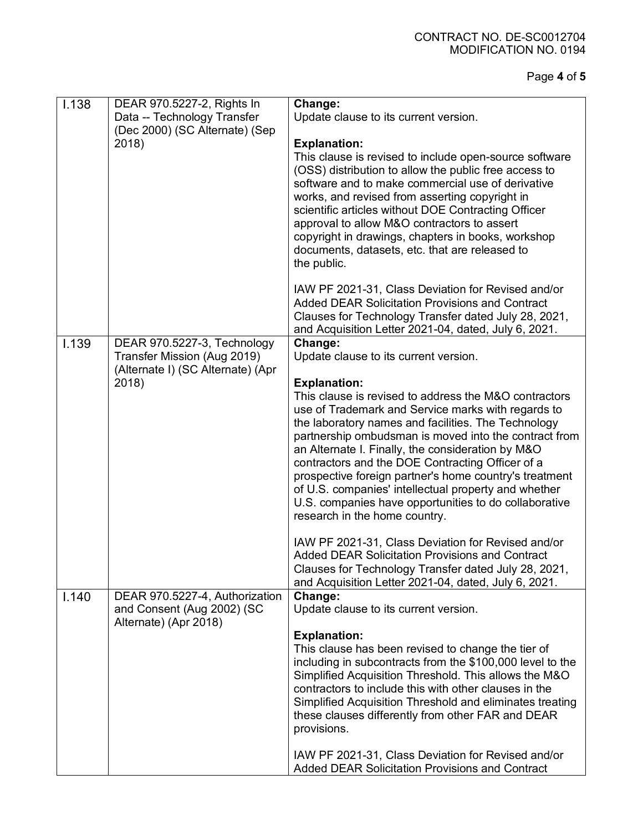#### CONTRACT NO. DE-SC0012704 MODIFICATION NO. 0194

| <b>I.138</b> | DEAR 970.5227-2, Rights In        | Change:                                                   |
|--------------|-----------------------------------|-----------------------------------------------------------|
|              | Data -- Technology Transfer       | Update clause to its current version.                     |
|              | (Dec 2000) (SC Alternate) (Sep    |                                                           |
|              | 2018)                             | <b>Explanation:</b>                                       |
|              |                                   | This clause is revised to include open-source software    |
|              |                                   | (OSS) distribution to allow the public free access to     |
|              |                                   | software and to make commercial use of derivative         |
|              |                                   | works, and revised from asserting copyright in            |
|              |                                   | scientific articles without DOE Contracting Officer       |
|              |                                   | approval to allow M&O contractors to assert               |
|              |                                   | copyright in drawings, chapters in books, workshop        |
|              |                                   | documents, datasets, etc. that are released to            |
|              |                                   | the public.                                               |
|              |                                   |                                                           |
|              |                                   | IAW PF 2021-31, Class Deviation for Revised and/or        |
|              |                                   | <b>Added DEAR Solicitation Provisions and Contract</b>    |
|              |                                   | Clauses for Technology Transfer dated July 28, 2021,      |
|              |                                   | and Acquisition Letter 2021-04, dated, July 6, 2021.      |
| <b>I.139</b> | DEAR 970.5227-3, Technology       | Change:                                                   |
|              | Transfer Mission (Aug 2019)       | Update clause to its current version.                     |
|              | (Alternate I) (SC Alternate) (Apr |                                                           |
|              | 2018)                             | <b>Explanation:</b>                                       |
|              |                                   | This clause is revised to address the M&O contractors     |
|              |                                   | use of Trademark and Service marks with regards to        |
|              |                                   | the laboratory names and facilities. The Technology       |
|              |                                   | partnership ombudsman is moved into the contract from     |
|              |                                   | an Alternate I. Finally, the consideration by M&O         |
|              |                                   | contractors and the DOE Contracting Officer of a          |
|              |                                   | prospective foreign partner's home country's treatment    |
|              |                                   | of U.S. companies' intellectual property and whether      |
|              |                                   | U.S. companies have opportunities to do collaborative     |
|              |                                   | research in the home country.                             |
|              |                                   | IAW PF 2021-31, Class Deviation for Revised and/or        |
|              |                                   | <b>Added DEAR Solicitation Provisions and Contract</b>    |
|              |                                   | Clauses for Technology Transfer dated July 28, 2021,      |
|              |                                   | and Acquisition Letter 2021-04, dated, July 6, 2021.      |
| 1.140        | DEAR 970.5227-4, Authorization    | Change:                                                   |
|              | and Consent (Aug 2002) (SC        | Update clause to its current version.                     |
|              | Alternate) (Apr 2018)             |                                                           |
|              |                                   | <b>Explanation:</b>                                       |
|              |                                   | This clause has been revised to change the tier of        |
|              |                                   | including in subcontracts from the \$100,000 level to the |
|              |                                   | Simplified Acquisition Threshold. This allows the M&O     |
|              |                                   | contractors to include this with other clauses in the     |
|              |                                   | Simplified Acquisition Threshold and eliminates treating  |
|              |                                   | these clauses differently from other FAR and DEAR         |
|              |                                   | provisions.                                               |
|              |                                   | IAW PF 2021-31, Class Deviation for Revised and/or        |
|              |                                   | <b>Added DEAR Solicitation Provisions and Contract</b>    |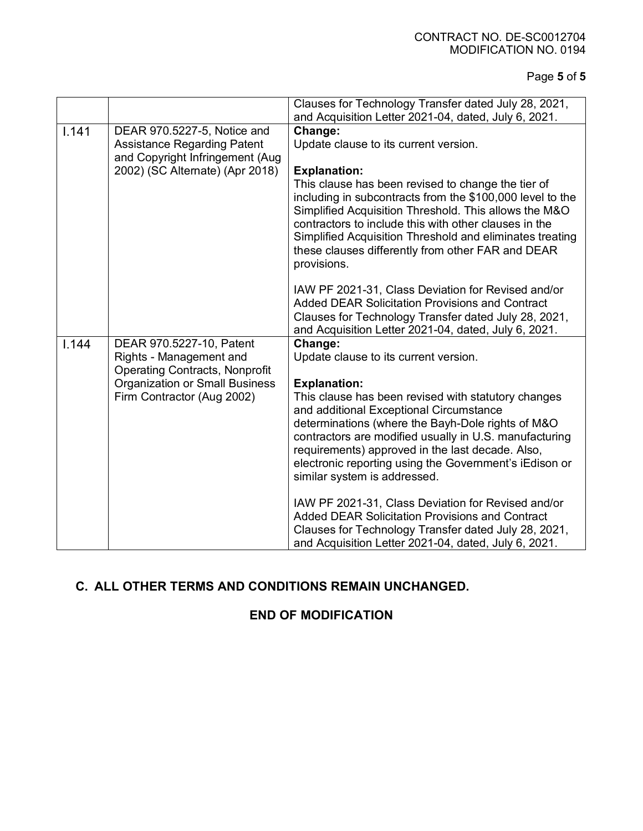#### CONTRACT NO. DE-SC0012704 MODIFICATION NO. 0194

### Page **5** of **5**

|       |                                       | Clauses for Technology Transfer dated July 28, 2021,<br>and Acquisition Letter 2021-04, dated, July 6, 2021.                                                                                                                                                                                                                                                      |
|-------|---------------------------------------|-------------------------------------------------------------------------------------------------------------------------------------------------------------------------------------------------------------------------------------------------------------------------------------------------------------------------------------------------------------------|
| 1.141 | DEAR 970.5227-5, Notice and           | Change:                                                                                                                                                                                                                                                                                                                                                           |
|       | <b>Assistance Regarding Patent</b>    | Update clause to its current version.                                                                                                                                                                                                                                                                                                                             |
|       | and Copyright Infringement (Aug       |                                                                                                                                                                                                                                                                                                                                                                   |
|       | 2002) (SC Alternate) (Apr 2018)       | <b>Explanation:</b>                                                                                                                                                                                                                                                                                                                                               |
|       |                                       | This clause has been revised to change the tier of<br>including in subcontracts from the \$100,000 level to the<br>Simplified Acquisition Threshold. This allows the M&O<br>contractors to include this with other clauses in the<br>Simplified Acquisition Threshold and eliminates treating<br>these clauses differently from other FAR and DEAR<br>provisions. |
|       |                                       |                                                                                                                                                                                                                                                                                                                                                                   |
|       |                                       | IAW PF 2021-31, Class Deviation for Revised and/or<br>Added DEAR Solicitation Provisions and Contract<br>Clauses for Technology Transfer dated July 28, 2021,<br>and Acquisition Letter 2021-04, dated, July 6, 2021.                                                                                                                                             |
| 1.144 | DEAR 970.5227-10, Patent              | Change:                                                                                                                                                                                                                                                                                                                                                           |
|       | Rights - Management and               | Update clause to its current version.                                                                                                                                                                                                                                                                                                                             |
|       | <b>Operating Contracts, Nonprofit</b> |                                                                                                                                                                                                                                                                                                                                                                   |
|       | <b>Organization or Small Business</b> | <b>Explanation:</b>                                                                                                                                                                                                                                                                                                                                               |
|       | Firm Contractor (Aug 2002)            | This clause has been revised with statutory changes<br>and additional Exceptional Circumstance                                                                                                                                                                                                                                                                    |
|       |                                       | determinations (where the Bayh-Dole rights of M&O                                                                                                                                                                                                                                                                                                                 |
|       |                                       | contractors are modified usually in U.S. manufacturing                                                                                                                                                                                                                                                                                                            |
|       |                                       | requirements) approved in the last decade. Also,                                                                                                                                                                                                                                                                                                                  |
|       |                                       | electronic reporting using the Government's iEdison or                                                                                                                                                                                                                                                                                                            |
|       |                                       | similar system is addressed.                                                                                                                                                                                                                                                                                                                                      |
|       |                                       | IAW PF 2021-31, Class Deviation for Revised and/or<br><b>Added DEAR Solicitation Provisions and Contract</b><br>Clauses for Technology Transfer dated July 28, 2021,<br>and Acquisition Letter 2021-04, dated, July 6, 2021.                                                                                                                                      |

# **C. ALL OTHER TERMS AND CONDITIONS REMAIN UNCHANGED.**

## **END OF MODIFICATION**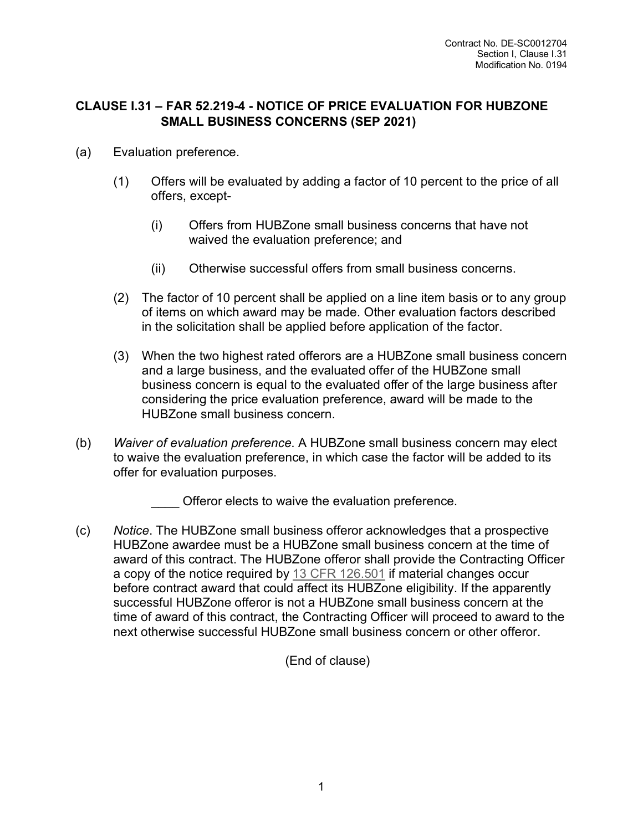### **CLAUSE I.31 – FAR 52.219-4 - NOTICE OF PRICE EVALUATION FOR HUBZONE SMALL BUSINESS CONCERNS (SEP 2021)**

- (a) Evaluation preference.
	- (1) Offers will be evaluated by adding a factor of 10 percent to the price of all offers, except-
		- (i) Offers from HUBZone small business concerns that have not waived the evaluation preference; and
		- (ii) Otherwise successful offers from small business concerns.
	- (2) The factor of 10 percent shall be applied on a line item basis or to any group of items on which award may be made. Other evaluation factors described in the solicitation shall be applied before application of the factor.
	- (3) When the two highest rated offerors are a HUBZone small business concern and a large business, and the evaluated offer of the HUBZone small business concern is equal to the evaluated offer of the large business after considering the price evaluation preference, award will be made to the HUBZone small business concern.
- (b) *Waiver of evaluation preference*. A HUBZone small business concern may elect to waive the evaluation preference, in which case the factor will be added to its offer for evaluation purposes.

Offeror elects to waive the evaluation preference.

(c) *Notice*. The HUBZone small business offeror acknowledges that a prospective HUBZone awardee must be a HUBZone small business concern at the time of award of this contract. The HUBZone offeror shall provide the Contracting Officer a copy of the notice required by 13 CFR 126.501 if material changes occur before contract award that could affect its HUBZone eligibility. If the apparently successful HUBZone offeror is not a HUBZone small business concern at the time of award of this contract, the Contracting Officer will proceed to award to the next otherwise successful HUBZone small business concern or other offeror.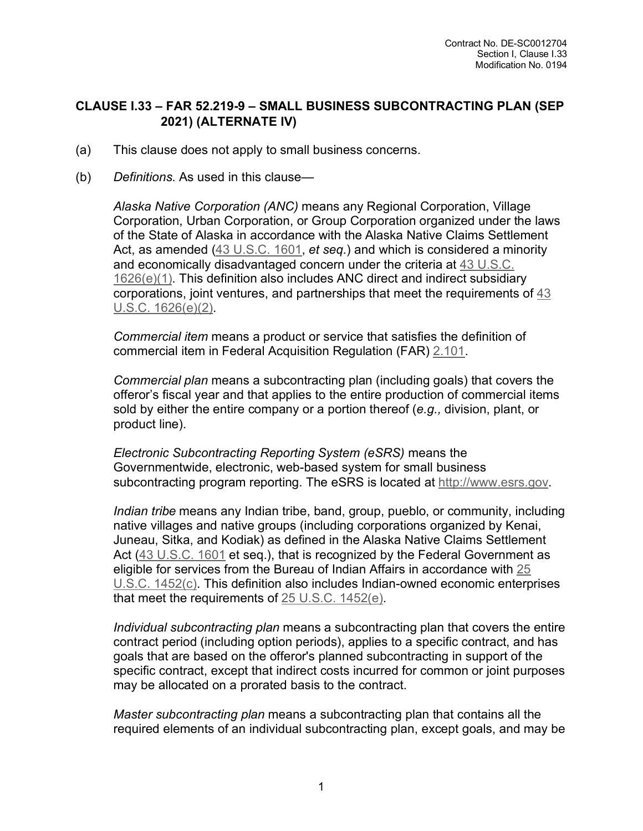## **CLAUSE I.33 – FAR 52.219-9 – SMALL BUSINESS SUBCONTRACTING PLAN (SEP 2021) (ALTERNATE IV)**

- (a) This clause does not apply to small business concerns.
- (b) *Definitions*. As used in this clause—

*Alaska Native Corporation (ANC)* means any Regional Corporation, Village Corporation, Urban Corporation, or Group Corporation organized under the laws of the State of Alaska in accordance with the Alaska Native Claims Settlement Act, as amended (43 U.S.C. 1601, *et seq.*) and which is considered a minority and economically disadvantaged concern under the criteria at 43 U.S.C. 1626(e)(1). This definition also includes ANC direct and indirect subsidiary corporations, joint ventures, and partnerships that meet the requirements of 43 U.S.C. 1626(e)(2).

*Commercial item* means a product or service that satisfies the definition of commercial item in Federal Acquisition Regulation (FAR) 2.101.

*Commercial plan* means a subcontracting plan (including goals) that covers the offeror's fiscal year and that applies to the entire production of commercial items sold by either the entire company or a portion thereof (*e.g.,* division, plant, or product line).

*Electronic Subcontracting Reporting System (eSRS)* means the Governmentwide, electronic, web-based system for small business subcontracting program reporting. The eSRS is located at http://www.esrs.gov.

*Indian tribe* means any Indian tribe, band, group, pueblo, or community, including native villages and native groups (including corporations organized by Kenai, Juneau, Sitka, and Kodiak) as defined in the Alaska Native Claims Settlement Act (43 U.S.C. 1601 et seq.), that is recognized by the Federal Government as eligible for services from the Bureau of Indian Affairs in accordance with 25 U.S.C. 1452(c). This definition also includes Indian-owned economic enterprises that meet the requirements of 25 U.S.C. 1452(e).

*Individual subcontracting plan* means a subcontracting plan that covers the entire contract period (including option periods), applies to a specific contract, and has goals that are based on the offeror's planned subcontracting in support of the specific contract, except that indirect costs incurred for common or joint purposes may be allocated on a prorated basis to the contract.

*Master subcontracting plan* means a subcontracting plan that contains all the required elements of an individual subcontracting plan, except goals, and may be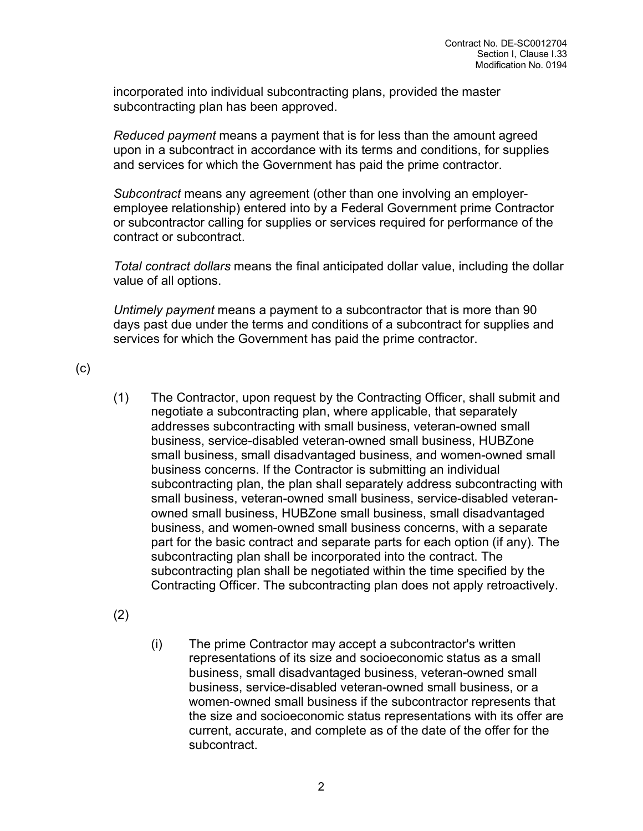incorporated into individual subcontracting plans, provided the master subcontracting plan has been approved.

*Reduced payment* means a payment that is for less than the amount agreed upon in a subcontract in accordance with its terms and conditions, for supplies and services for which the Government has paid the prime contractor.

*Subcontract* means any agreement (other than one involving an employeremployee relationship) entered into by a Federal Government prime Contractor or subcontractor calling for supplies or services required for performance of the contract or subcontract.

*Total contract dollars* means the final anticipated dollar value, including the dollar value of all options.

*Untimely payment* means a payment to a subcontractor that is more than 90 days past due under the terms and conditions of a subcontract for supplies and services for which the Government has paid the prime contractor.

(c)

(1) The Contractor, upon request by the Contracting Officer, shall submit and negotiate a subcontracting plan, where applicable, that separately addresses subcontracting with small business, veteran-owned small business, service-disabled veteran-owned small business, HUBZone small business, small disadvantaged business, and women-owned small business concerns. If the Contractor is submitting an individual subcontracting plan, the plan shall separately address subcontracting with small business, veteran-owned small business, service-disabled veteranowned small business, HUBZone small business, small disadvantaged business, and women-owned small business concerns, with a separate part for the basic contract and separate parts for each option (if any). The subcontracting plan shall be incorporated into the contract. The subcontracting plan shall be negotiated within the time specified by the Contracting Officer. The subcontracting plan does not apply retroactively.

(2)

(i) The prime Contractor may accept a subcontractor's written representations of its size and socioeconomic status as a small business, small disadvantaged business, veteran-owned small business, service-disabled veteran-owned small business, or a women-owned small business if the subcontractor represents that the size and socioeconomic status representations with its offer are current, accurate, and complete as of the date of the offer for the subcontract.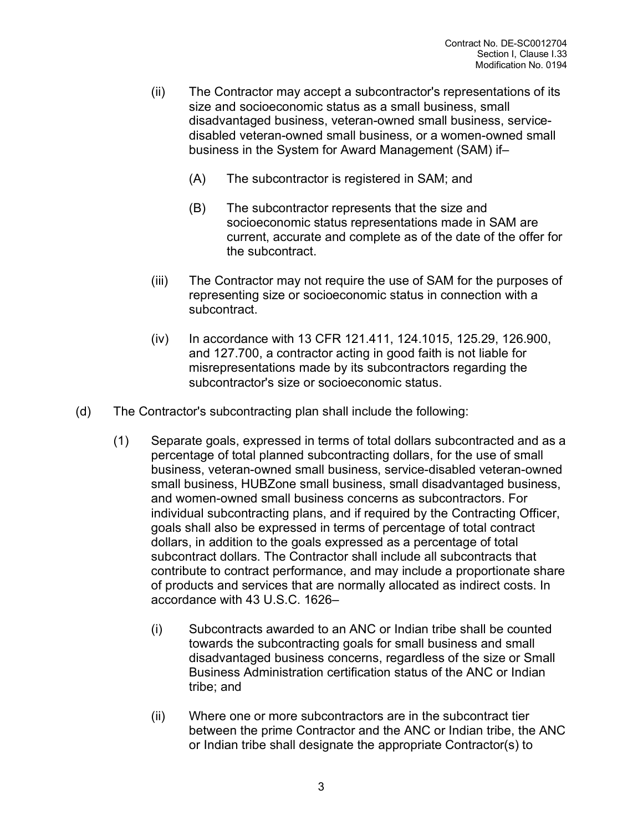- (ii) The Contractor may accept a subcontractor's representations of its size and socioeconomic status as a small business, small disadvantaged business, veteran-owned small business, servicedisabled veteran-owned small business, or a women-owned small business in the System for Award Management (SAM) if–
	- (A) The subcontractor is registered in SAM; and
	- (B) The subcontractor represents that the size and socioeconomic status representations made in SAM are current, accurate and complete as of the date of the offer for the subcontract.
- (iii) The Contractor may not require the use of SAM for the purposes of representing size or socioeconomic status in connection with a subcontract.
- (iv) In accordance with 13 CFR 121.411, 124.1015, 125.29, 126.900, and 127.700, a contractor acting in good faith is not liable for misrepresentations made by its subcontractors regarding the subcontractor's size or socioeconomic status.
- (d) The Contractor's subcontracting plan shall include the following:
	- (1) Separate goals, expressed in terms of total dollars subcontracted and as a percentage of total planned subcontracting dollars, for the use of small business, veteran-owned small business, service-disabled veteran-owned small business, HUBZone small business, small disadvantaged business, and women-owned small business concerns as subcontractors. For individual subcontracting plans, and if required by the Contracting Officer, goals shall also be expressed in terms of percentage of total contract dollars, in addition to the goals expressed as a percentage of total subcontract dollars. The Contractor shall include all subcontracts that contribute to contract performance, and may include a proportionate share of products and services that are normally allocated as indirect costs. In accordance with 43 U.S.C. 1626–
		- (i) Subcontracts awarded to an ANC or Indian tribe shall be counted towards the subcontracting goals for small business and small disadvantaged business concerns, regardless of the size or Small Business Administration certification status of the ANC or Indian tribe; and
		- (ii) Where one or more subcontractors are in the subcontract tier between the prime Contractor and the ANC or Indian tribe, the ANC or Indian tribe shall designate the appropriate Contractor(s) to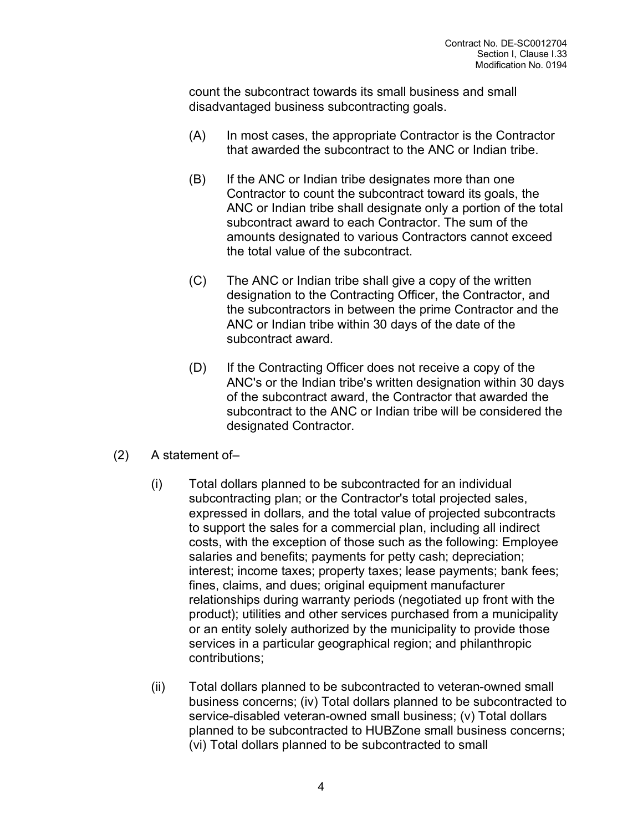count the subcontract towards its small business and small disadvantaged business subcontracting goals.

- (A) In most cases, the appropriate Contractor is the Contractor that awarded the subcontract to the ANC or Indian tribe.
- (B) If the ANC or Indian tribe designates more than one Contractor to count the subcontract toward its goals, the ANC or Indian tribe shall designate only a portion of the total subcontract award to each Contractor. The sum of the amounts designated to various Contractors cannot exceed the total value of the subcontract.
- (C) The ANC or Indian tribe shall give a copy of the written designation to the Contracting Officer, the Contractor, and the subcontractors in between the prime Contractor and the ANC or Indian tribe within 30 days of the date of the subcontract award.
- (D) If the Contracting Officer does not receive a copy of the ANC's or the Indian tribe's written designation within 30 days of the subcontract award, the Contractor that awarded the subcontract to the ANC or Indian tribe will be considered the designated Contractor.
- (2) A statement of–
	- (i) Total dollars planned to be subcontracted for an individual subcontracting plan; or the Contractor's total projected sales, expressed in dollars, and the total value of projected subcontracts to support the sales for a commercial plan, including all indirect costs, with the exception of those such as the following: Employee salaries and benefits; payments for petty cash; depreciation; interest; income taxes; property taxes; lease payments; bank fees; fines, claims, and dues; original equipment manufacturer relationships during warranty periods (negotiated up front with the product); utilities and other services purchased from a municipality or an entity solely authorized by the municipality to provide those services in a particular geographical region; and philanthropic contributions;
	- (ii) Total dollars planned to be subcontracted to veteran-owned small business concerns; (iv) Total dollars planned to be subcontracted to service-disabled veteran-owned small business; (v) Total dollars planned to be subcontracted to HUBZone small business concerns; (vi) Total dollars planned to be subcontracted to small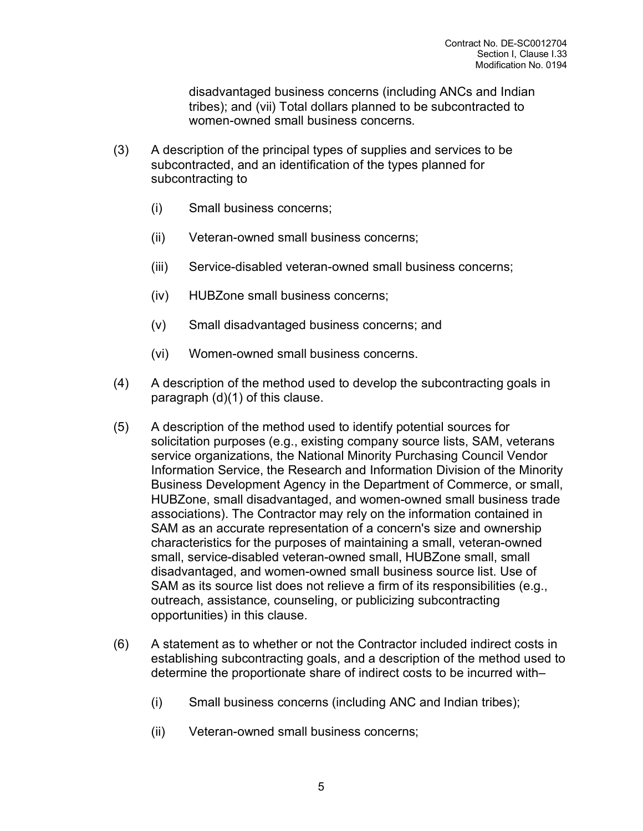disadvantaged business concerns (including ANCs and Indian tribes); and (vii) Total dollars planned to be subcontracted to women-owned small business concerns.

- (3) A description of the principal types of supplies and services to be subcontracted, and an identification of the types planned for subcontracting to
	- (i) Small business concerns;
	- (ii) Veteran-owned small business concerns;
	- (iii) Service-disabled veteran-owned small business concerns;
	- (iv) HUBZone small business concerns;
	- (v) Small disadvantaged business concerns; and
	- (vi) Women-owned small business concerns.
- (4) A description of the method used to develop the subcontracting goals in paragraph (d)(1) of this clause.
- (5) A description of the method used to identify potential sources for solicitation purposes (e.g., existing company source lists, SAM, veterans service organizations, the National Minority Purchasing Council Vendor Information Service, the Research and Information Division of the Minority Business Development Agency in the Department of Commerce, or small, HUBZone, small disadvantaged, and women-owned small business trade associations). The Contractor may rely on the information contained in SAM as an accurate representation of a concern's size and ownership characteristics for the purposes of maintaining a small, veteran-owned small, service-disabled veteran-owned small, HUBZone small, small disadvantaged, and women-owned small business source list. Use of SAM as its source list does not relieve a firm of its responsibilities (e.g., outreach, assistance, counseling, or publicizing subcontracting opportunities) in this clause.
- (6) A statement as to whether or not the Contractor included indirect costs in establishing subcontracting goals, and a description of the method used to determine the proportionate share of indirect costs to be incurred with–
	- (i) Small business concerns (including ANC and Indian tribes);
	- (ii) Veteran-owned small business concerns;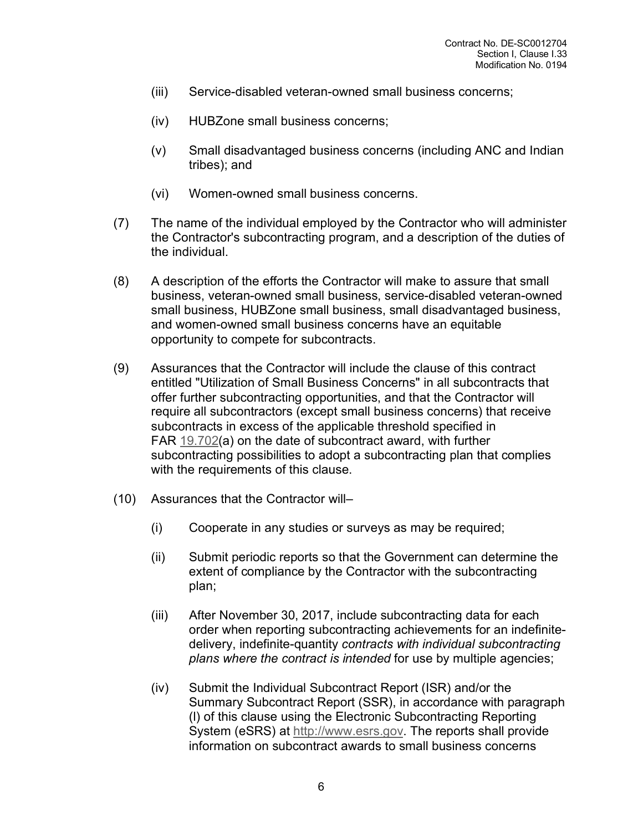- (iii) Service-disabled veteran-owned small business concerns;
- (iv) HUBZone small business concerns;
- (v) Small disadvantaged business concerns (including ANC and Indian tribes); and
- (vi) Women-owned small business concerns.
- (7) The name of the individual employed by the Contractor who will administer the Contractor's subcontracting program, and a description of the duties of the individual.
- (8) A description of the efforts the Contractor will make to assure that small business, veteran-owned small business, service-disabled veteran-owned small business, HUBZone small business, small disadvantaged business, and women-owned small business concerns have an equitable opportunity to compete for subcontracts.
- (9) Assurances that the Contractor will include the clause of this contract entitled "Utilization of Small Business Concerns" in all subcontracts that offer further subcontracting opportunities, and that the Contractor will require all subcontractors (except small business concerns) that receive subcontracts in excess of the applicable threshold specified in FAR 19.702(a) on the date of subcontract award, with further subcontracting possibilities to adopt a subcontracting plan that complies with the requirements of this clause.
- (10) Assurances that the Contractor will–
	- (i) Cooperate in any studies or surveys as may be required;
	- (ii) Submit periodic reports so that the Government can determine the extent of compliance by the Contractor with the subcontracting plan;
	- (iii) After November 30, 2017, include subcontracting data for each order when reporting subcontracting achievements for an indefinitedelivery, indefinite-quantity *contracts with individual subcontracting plans where the contract is intended* for use by multiple agencies;
	- (iv) Submit the Individual Subcontract Report (ISR) and/or the Summary Subcontract Report (SSR), in accordance with paragraph (l) of this clause using the Electronic Subcontracting Reporting System (eSRS) at http://www.esrs.gov. The reports shall provide information on subcontract awards to small business concerns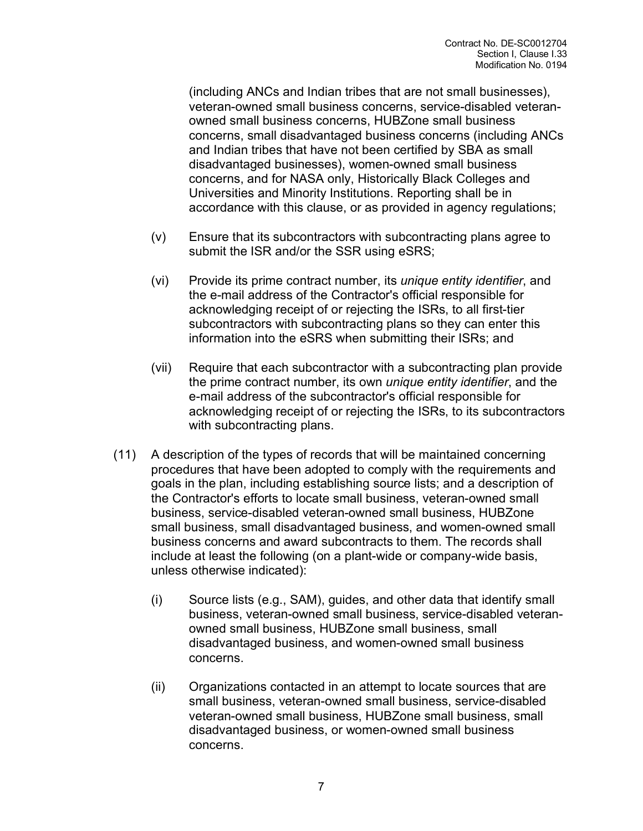(including ANCs and Indian tribes that are not small businesses), veteran-owned small business concerns, service-disabled veteranowned small business concerns, HUBZone small business concerns, small disadvantaged business concerns (including ANCs and Indian tribes that have not been certified by SBA as small disadvantaged businesses), women-owned small business concerns, and for NASA only, Historically Black Colleges and Universities and Minority Institutions. Reporting shall be in accordance with this clause, or as provided in agency regulations;

- (v) Ensure that its subcontractors with subcontracting plans agree to submit the ISR and/or the SSR using eSRS;
- (vi) Provide its prime contract number, its *unique entity identifier*, and the e-mail address of the Contractor's official responsible for acknowledging receipt of or rejecting the ISRs, to all first-tier subcontractors with subcontracting plans so they can enter this information into the eSRS when submitting their ISRs; and
- (vii) Require that each subcontractor with a subcontracting plan provide the prime contract number, its own *unique entity identifier*, and the e-mail address of the subcontractor's official responsible for acknowledging receipt of or rejecting the ISRs, to its subcontractors with subcontracting plans.
- (11) A description of the types of records that will be maintained concerning procedures that have been adopted to comply with the requirements and goals in the plan, including establishing source lists; and a description of the Contractor's efforts to locate small business, veteran-owned small business, service-disabled veteran-owned small business, HUBZone small business, small disadvantaged business, and women-owned small business concerns and award subcontracts to them. The records shall include at least the following (on a plant-wide or company-wide basis, unless otherwise indicated):
	- (i) Source lists (e.g., SAM), guides, and other data that identify small business, veteran-owned small business, service-disabled veteranowned small business, HUBZone small business, small disadvantaged business, and women-owned small business concerns.
	- (ii) Organizations contacted in an attempt to locate sources that are small business, veteran-owned small business, service-disabled veteran-owned small business, HUBZone small business, small disadvantaged business, or women-owned small business concerns.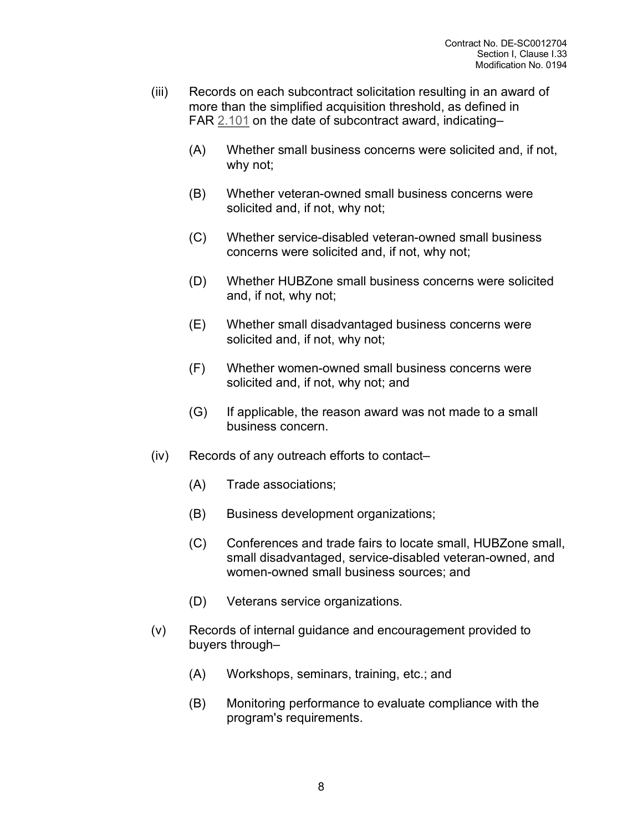- (iii) Records on each subcontract solicitation resulting in an award of more than the simplified acquisition threshold, as defined in FAR 2.101 on the date of subcontract award, indicating–
	- (A) Whether small business concerns were solicited and, if not, why not;
	- (B) Whether veteran-owned small business concerns were solicited and, if not, why not;
	- (C) Whether service-disabled veteran-owned small business concerns were solicited and, if not, why not;
	- (D) Whether HUBZone small business concerns were solicited and, if not, why not;
	- (E) Whether small disadvantaged business concerns were solicited and, if not, why not;
	- (F) Whether women-owned small business concerns were solicited and, if not, why not; and
	- (G) If applicable, the reason award was not made to a small business concern.
- (iv) Records of any outreach efforts to contact–
	- (A) Trade associations;
	- (B) Business development organizations;
	- (C) Conferences and trade fairs to locate small, HUBZone small, small disadvantaged, service-disabled veteran-owned, and women-owned small business sources; and
	- (D) Veterans service organizations.
- (v) Records of internal guidance and encouragement provided to buyers through–
	- (A) Workshops, seminars, training, etc.; and
	- (B) Monitoring performance to evaluate compliance with the program's requirements.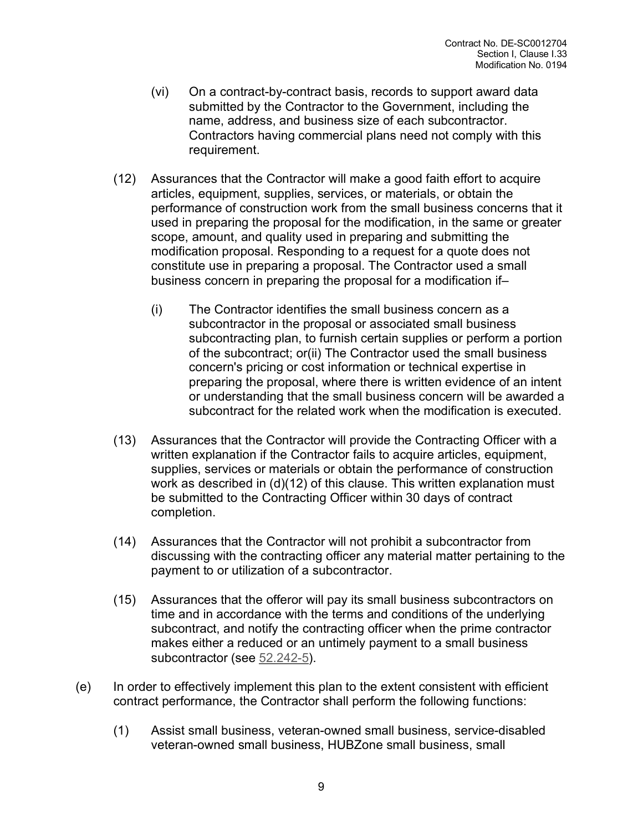- (vi) On a contract-by-contract basis, records to support award data submitted by the Contractor to the Government, including the name, address, and business size of each subcontractor. Contractors having commercial plans need not comply with this requirement.
- (12) Assurances that the Contractor will make a good faith effort to acquire articles, equipment, supplies, services, or materials, or obtain the performance of construction work from the small business concerns that it used in preparing the proposal for the modification, in the same or greater scope, amount, and quality used in preparing and submitting the modification proposal. Responding to a request for a quote does not constitute use in preparing a proposal. The Contractor used a small business concern in preparing the proposal for a modification if–
	- (i) The Contractor identifies the small business concern as a subcontractor in the proposal or associated small business subcontracting plan, to furnish certain supplies or perform a portion of the subcontract; or(ii) The Contractor used the small business concern's pricing or cost information or technical expertise in preparing the proposal, where there is written evidence of an intent or understanding that the small business concern will be awarded a subcontract for the related work when the modification is executed.
- (13) Assurances that the Contractor will provide the Contracting Officer with a written explanation if the Contractor fails to acquire articles, equipment, supplies, services or materials or obtain the performance of construction work as described in (d)(12) of this clause. This written explanation must be submitted to the Contracting Officer within 30 days of contract completion.
- (14) Assurances that the Contractor will not prohibit a subcontractor from discussing with the contracting officer any material matter pertaining to the payment to or utilization of a subcontractor.
- (15) Assurances that the offeror will pay its small business subcontractors on time and in accordance with the terms and conditions of the underlying subcontract, and notify the contracting officer when the prime contractor makes either a reduced or an untimely payment to a small business subcontractor (see 52.242-5).
- (e) In order to effectively implement this plan to the extent consistent with efficient contract performance, the Contractor shall perform the following functions:
	- (1) Assist small business, veteran-owned small business, service-disabled veteran-owned small business, HUBZone small business, small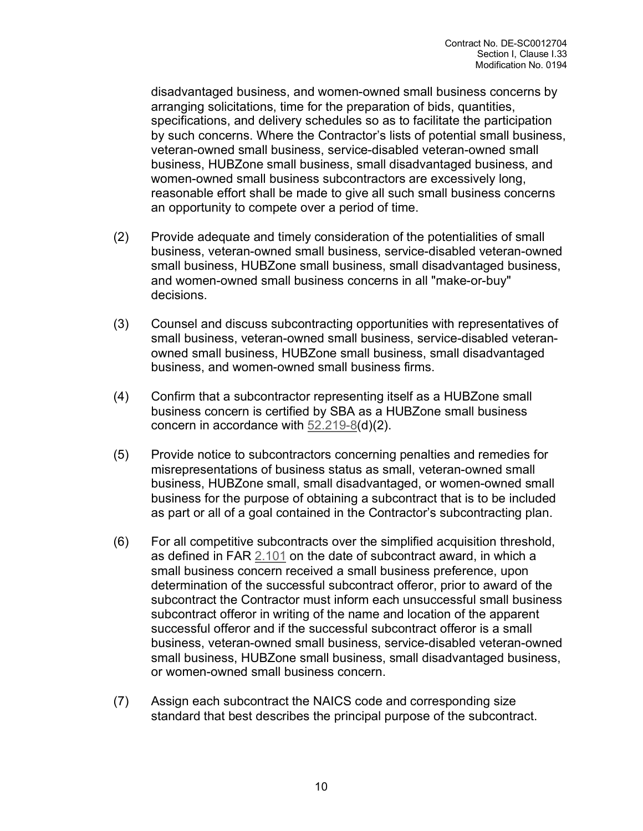disadvantaged business, and women-owned small business concerns by arranging solicitations, time for the preparation of bids, quantities, specifications, and delivery schedules so as to facilitate the participation by such concerns. Where the Contractor's lists of potential small business, veteran-owned small business, service-disabled veteran-owned small business, HUBZone small business, small disadvantaged business, and women-owned small business subcontractors are excessively long, reasonable effort shall be made to give all such small business concerns an opportunity to compete over a period of time.

- (2) Provide adequate and timely consideration of the potentialities of small business, veteran-owned small business, service-disabled veteran-owned small business, HUBZone small business, small disadvantaged business, and women-owned small business concerns in all "make-or-buy" decisions.
- (3) Counsel and discuss subcontracting opportunities with representatives of small business, veteran-owned small business, service-disabled veteranowned small business, HUBZone small business, small disadvantaged business, and women-owned small business firms.
- (4) Confirm that a subcontractor representing itself as a HUBZone small business concern is certified by SBA as a HUBZone small business concern in accordance with 52.219-8(d)(2).
- (5) Provide notice to subcontractors concerning penalties and remedies for misrepresentations of business status as small, veteran-owned small business, HUBZone small, small disadvantaged, or women-owned small business for the purpose of obtaining a subcontract that is to be included as part or all of a goal contained in the Contractor's subcontracting plan.
- (6) For all competitive subcontracts over the simplified acquisition threshold, as defined in FAR 2.101 on the date of subcontract award, in which a small business concern received a small business preference, upon determination of the successful subcontract offeror, prior to award of the subcontract the Contractor must inform each unsuccessful small business subcontract offeror in writing of the name and location of the apparent successful offeror and if the successful subcontract offeror is a small business, veteran-owned small business, service-disabled veteran-owned small business, HUBZone small business, small disadvantaged business, or women-owned small business concern.
- (7) Assign each subcontract the NAICS code and corresponding size standard that best describes the principal purpose of the subcontract.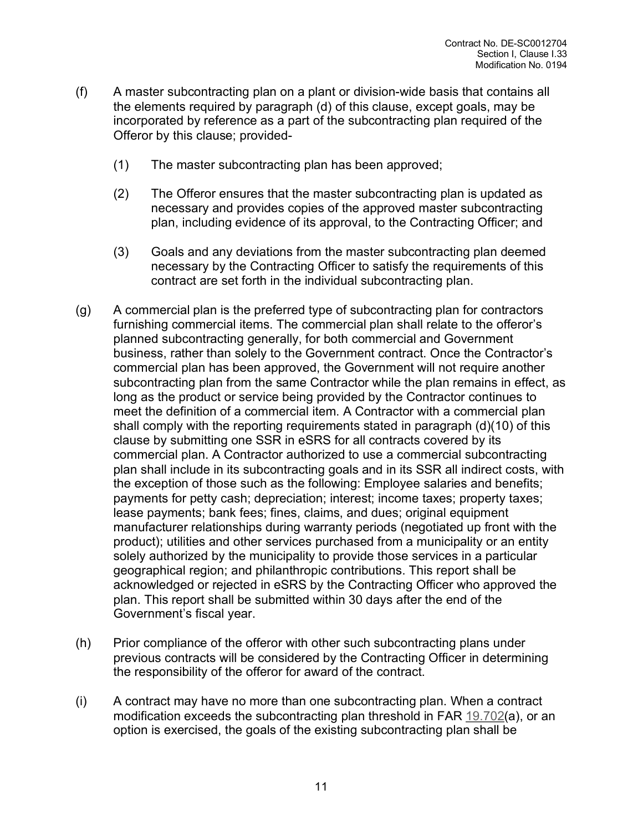- (f) A master subcontracting plan on a plant or division-wide basis that contains all the elements required by paragraph (d) of this clause, except goals, may be incorporated by reference as a part of the subcontracting plan required of the Offeror by this clause; provided-
	- (1) The master subcontracting plan has been approved;
	- (2) The Offeror ensures that the master subcontracting plan is updated as necessary and provides copies of the approved master subcontracting plan, including evidence of its approval, to the Contracting Officer; and
	- (3) Goals and any deviations from the master subcontracting plan deemed necessary by the Contracting Officer to satisfy the requirements of this contract are set forth in the individual subcontracting plan.
- (g) A commercial plan is the preferred type of subcontracting plan for contractors furnishing commercial items. The commercial plan shall relate to the offeror's planned subcontracting generally, for both commercial and Government business, rather than solely to the Government contract. Once the Contractor's commercial plan has been approved, the Government will not require another subcontracting plan from the same Contractor while the plan remains in effect, as long as the product or service being provided by the Contractor continues to meet the definition of a commercial item. A Contractor with a commercial plan shall comply with the reporting requirements stated in paragraph (d)(10) of this clause by submitting one SSR in eSRS for all contracts covered by its commercial plan. A Contractor authorized to use a commercial subcontracting plan shall include in its subcontracting goals and in its SSR all indirect costs, with the exception of those such as the following: Employee salaries and benefits; payments for petty cash; depreciation; interest; income taxes; property taxes; lease payments; bank fees; fines, claims, and dues; original equipment manufacturer relationships during warranty periods (negotiated up front with the product); utilities and other services purchased from a municipality or an entity solely authorized by the municipality to provide those services in a particular geographical region; and philanthropic contributions. This report shall be acknowledged or rejected in eSRS by the Contracting Officer who approved the plan. This report shall be submitted within 30 days after the end of the Government's fiscal year.
- (h) Prior compliance of the offeror with other such subcontracting plans under previous contracts will be considered by the Contracting Officer in determining the responsibility of the offeror for award of the contract.
- (i) A contract may have no more than one subcontracting plan. When a contract modification exceeds the subcontracting plan threshold in FAR 19.702(a), or an option is exercised, the goals of the existing subcontracting plan shall be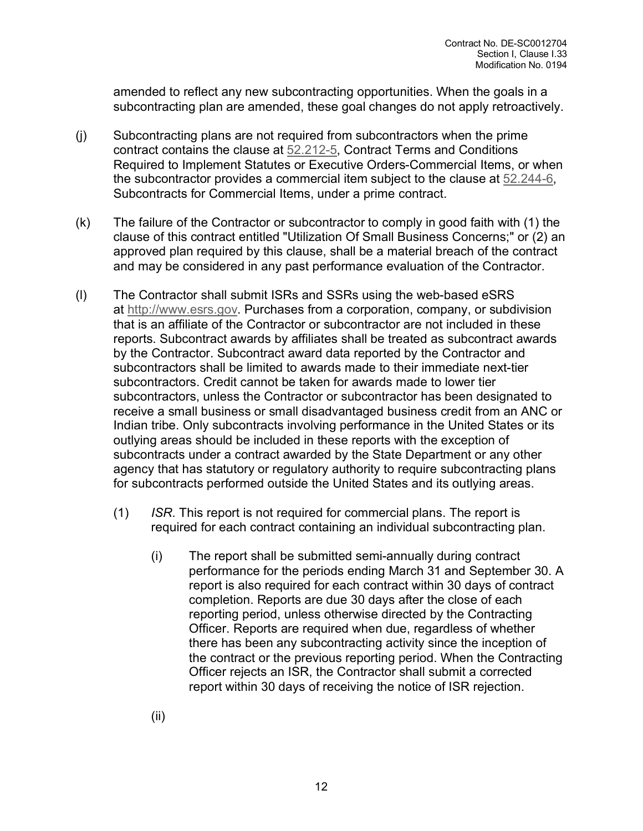amended to reflect any new subcontracting opportunities. When the goals in a subcontracting plan are amended, these goal changes do not apply retroactively.

- (j) Subcontracting plans are not required from subcontractors when the prime contract contains the clause at 52.212-5, Contract Terms and Conditions Required to Implement Statutes or Executive Orders-Commercial Items, or when the subcontractor provides a commercial item subject to the clause at 52.244-6, Subcontracts for Commercial Items, under a prime contract.
- (k) The failure of the Contractor or subcontractor to comply in good faith with (1) the clause of this contract entitled "Utilization Of Small Business Concerns;" or (2) an approved plan required by this clause, shall be a material breach of the contract and may be considered in any past performance evaluation of the Contractor.
- (l) The Contractor shall submit ISRs and SSRs using the web-based eSRS at http://www.esrs.gov. Purchases from a corporation, company, or subdivision that is an affiliate of the Contractor or subcontractor are not included in these reports. Subcontract awards by affiliates shall be treated as subcontract awards by the Contractor. Subcontract award data reported by the Contractor and subcontractors shall be limited to awards made to their immediate next-tier subcontractors. Credit cannot be taken for awards made to lower tier subcontractors, unless the Contractor or subcontractor has been designated to receive a small business or small disadvantaged business credit from an ANC or Indian tribe. Only subcontracts involving performance in the United States or its outlying areas should be included in these reports with the exception of subcontracts under a contract awarded by the State Department or any other agency that has statutory or regulatory authority to require subcontracting plans for subcontracts performed outside the United States and its outlying areas.
	- (1) *ISR*. This report is not required for commercial plans. The report is required for each contract containing an individual subcontracting plan.
		- (i) The report shall be submitted semi-annually during contract performance for the periods ending March 31 and September 30. A report is also required for each contract within 30 days of contract completion. Reports are due 30 days after the close of each reporting period, unless otherwise directed by the Contracting Officer. Reports are required when due, regardless of whether there has been any subcontracting activity since the inception of the contract or the previous reporting period. When the Contracting Officer rejects an ISR, the Contractor shall submit a corrected report within 30 days of receiving the notice of ISR rejection.

(ii)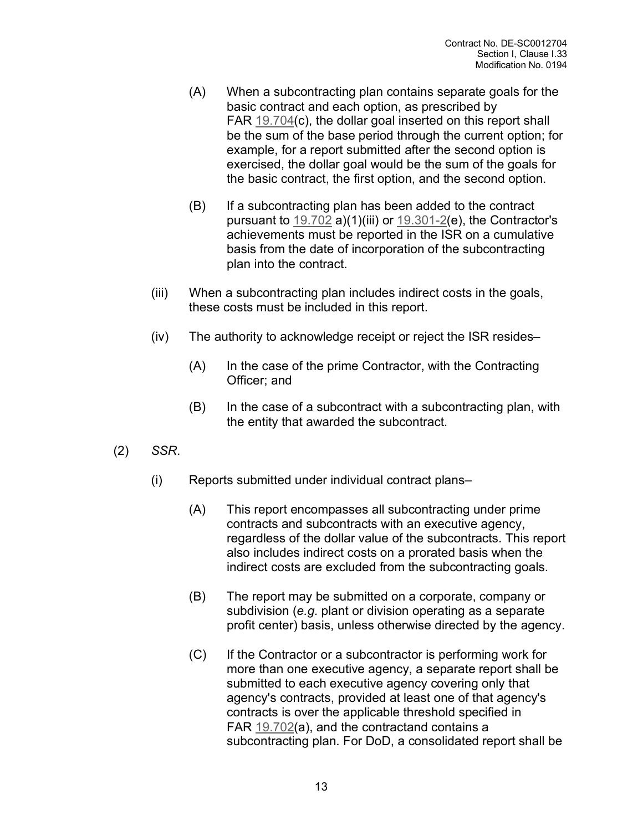- (A) When a subcontracting plan contains separate goals for the basic contract and each option, as prescribed by FAR 19.704(c), the dollar goal inserted on this report shall be the sum of the base period through the current option; for example, for a report submitted after the second option is exercised, the dollar goal would be the sum of the goals for the basic contract, the first option, and the second option.
- (B) If a subcontracting plan has been added to the contract pursuant to 19.702 a)(1)(iii) or 19.301-2(e), the Contractor's achievements must be reported in the ISR on a cumulative basis from the date of incorporation of the subcontracting plan into the contract.
- (iii) When a subcontracting plan includes indirect costs in the goals, these costs must be included in this report.
- (iv) The authority to acknowledge receipt or reject the ISR resides–
	- (A) In the case of the prime Contractor, with the Contracting Officer; and
	- (B) In the case of a subcontract with a subcontracting plan, with the entity that awarded the subcontract.
- (2) *SSR*.
	- (i) Reports submitted under individual contract plans–
		- (A) This report encompasses all subcontracting under prime contracts and subcontracts with an executive agency, regardless of the dollar value of the subcontracts. This report also includes indirect costs on a prorated basis when the indirect costs are excluded from the subcontracting goals.
		- (B) The report may be submitted on a corporate, company or subdivision (*e.g.* plant or division operating as a separate profit center) basis, unless otherwise directed by the agency.
		- (C) If the Contractor or a subcontractor is performing work for more than one executive agency, a separate report shall be submitted to each executive agency covering only that agency's contracts, provided at least one of that agency's contracts is over the applicable threshold specified in FAR 19.702(a), and the contractand contains a subcontracting plan. For DoD, a consolidated report shall be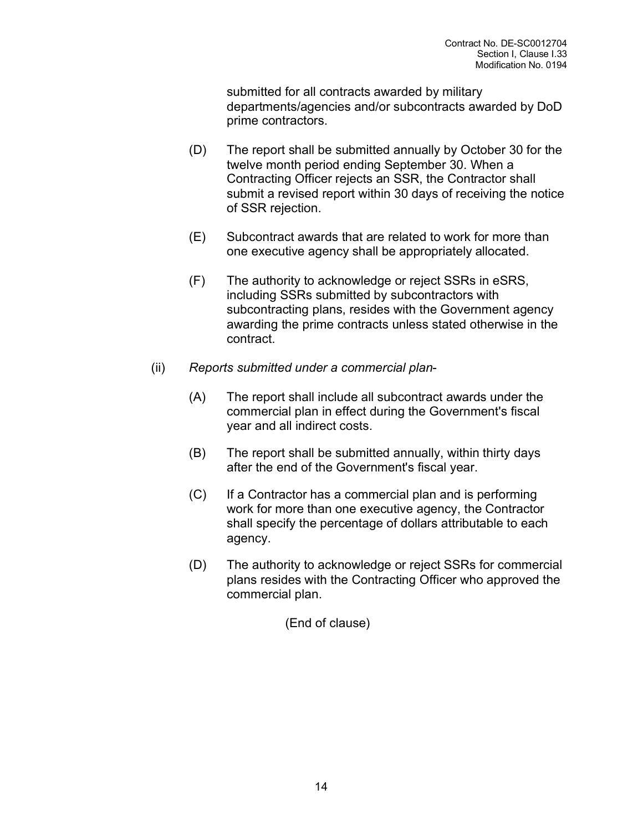submitted for all contracts awarded by military departments/agencies and/or subcontracts awarded by DoD prime contractors.

- (D) The report shall be submitted annually by October 30 for the twelve month period ending September 30. When a Contracting Officer rejects an SSR, the Contractor shall submit a revised report within 30 days of receiving the notice of SSR rejection.
- (E) Subcontract awards that are related to work for more than one executive agency shall be appropriately allocated.
- (F) The authority to acknowledge or reject SSRs in eSRS, including SSRs submitted by subcontractors with subcontracting plans, resides with the Government agency awarding the prime contracts unless stated otherwise in the contract.
- (ii) *Reports submitted under a commercial plan*
	- (A) The report shall include all subcontract awards under the commercial plan in effect during the Government's fiscal year and all indirect costs.
	- (B) The report shall be submitted annually, within thirty days after the end of the Government's fiscal year.
	- (C) If a Contractor has a commercial plan and is performing work for more than one executive agency, the Contractor shall specify the percentage of dollars attributable to each agency.
	- (D) The authority to acknowledge or reject SSRs for commercial plans resides with the Contracting Officer who approved the commercial plan.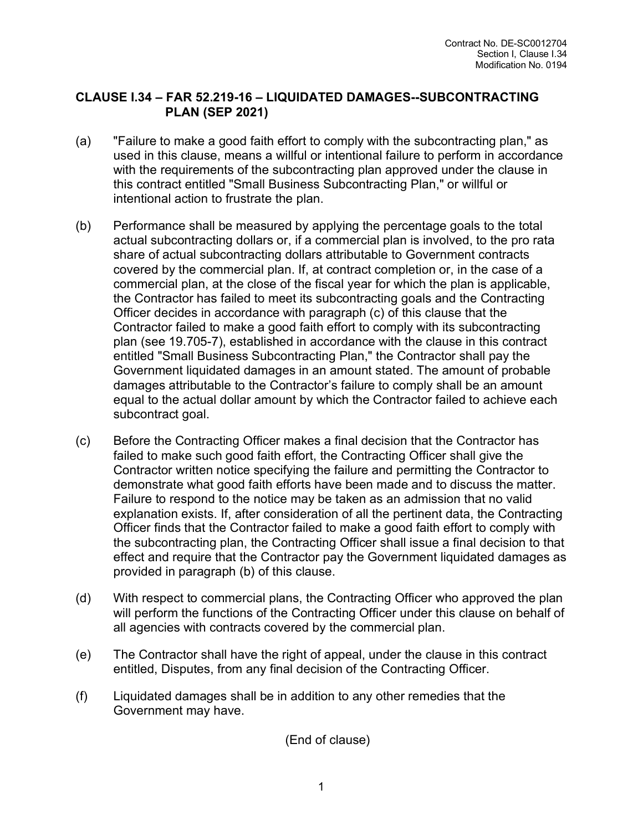### **CLAUSE I.34 – FAR 52.219-16 – LIQUIDATED DAMAGES--SUBCONTRACTING PLAN (SEP 2021)**

- (a) "Failure to make a good faith effort to comply with the subcontracting plan," as used in this clause, means a willful or intentional failure to perform in accordance with the requirements of the subcontracting plan approved under the clause in this contract entitled "Small Business Subcontracting Plan," or willful or intentional action to frustrate the plan.
- (b) Performance shall be measured by applying the percentage goals to the total actual subcontracting dollars or, if a commercial plan is involved, to the pro rata share of actual subcontracting dollars attributable to Government contracts covered by the commercial plan. If, at contract completion or, in the case of a commercial plan, at the close of the fiscal year for which the plan is applicable, the Contractor has failed to meet its subcontracting goals and the Contracting Officer decides in accordance with paragraph (c) of this clause that the Contractor failed to make a good faith effort to comply with its subcontracting plan (see 19.705-7), established in accordance with the clause in this contract entitled "Small Business Subcontracting Plan," the Contractor shall pay the Government liquidated damages in an amount stated. The amount of probable damages attributable to the Contractor's failure to comply shall be an amount equal to the actual dollar amount by which the Contractor failed to achieve each subcontract goal.
- (c) Before the Contracting Officer makes a final decision that the Contractor has failed to make such good faith effort, the Contracting Officer shall give the Contractor written notice specifying the failure and permitting the Contractor to demonstrate what good faith efforts have been made and to discuss the matter. Failure to respond to the notice may be taken as an admission that no valid explanation exists. If, after consideration of all the pertinent data, the Contracting Officer finds that the Contractor failed to make a good faith effort to comply with the subcontracting plan, the Contracting Officer shall issue a final decision to that effect and require that the Contractor pay the Government liquidated damages as provided in paragraph (b) of this clause.
- (d) With respect to commercial plans, the Contracting Officer who approved the plan will perform the functions of the Contracting Officer under this clause on behalf of all agencies with contracts covered by the commercial plan.
- (e) The Contractor shall have the right of appeal, under the clause in this contract entitled, Disputes, from any final decision of the Contracting Officer.
- (f) Liquidated damages shall be in addition to any other remedies that the Government may have.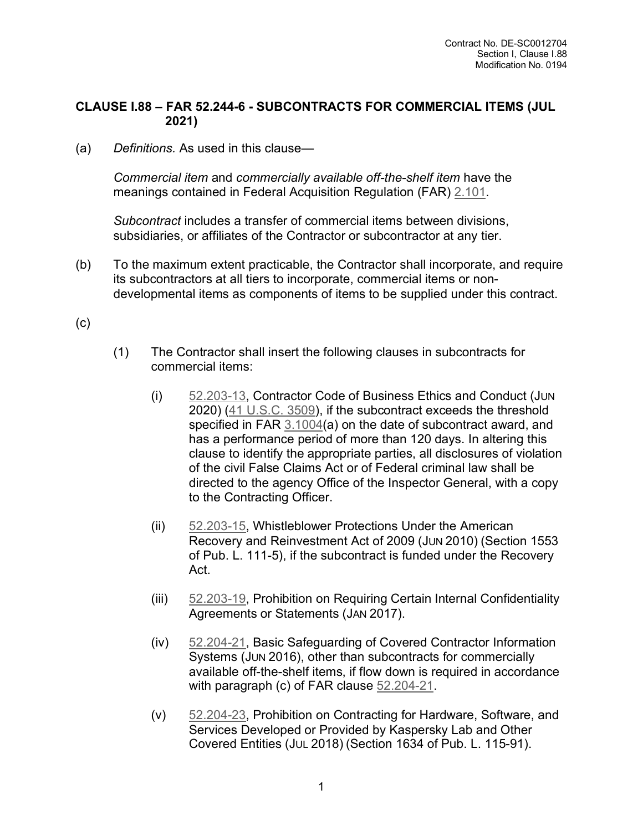### **CLAUSE I.88 – FAR 52.244-6 - SUBCONTRACTS FOR COMMERCIAL ITEMS (JUL 2021)**

(a) *Definitions.* As used in this clause—

*Commercial item* and *commercially available off-the-shelf item* have the meanings contained in Federal Acquisition Regulation (FAR) 2.101.

*Subcontract* includes a transfer of commercial items between divisions, subsidiaries, or affiliates of the Contractor or subcontractor at any tier.

(b) To the maximum extent practicable, the Contractor shall incorporate, and require its subcontractors at all tiers to incorporate, commercial items or nondevelopmental items as components of items to be supplied under this contract.

(c)

- (1) The Contractor shall insert the following clauses in subcontracts for commercial items:
	- (i) 52.203-13, Contractor Code of Business Ethics and Conduct (JUN 2020) (41 U.S.C. 3509), if the subcontract exceeds the threshold specified in FAR 3.1004(a) on the date of subcontract award, and has a performance period of more than 120 days. In altering this clause to identify the appropriate parties, all disclosures of violation of the civil False Claims Act or of Federal criminal law shall be directed to the agency Office of the Inspector General, with a copy to the Contracting Officer.
	- (ii) 52.203-15, Whistleblower Protections Under the American Recovery and Reinvestment Act of 2009 (JUN 2010) (Section 1553 of Pub. L. 111-5), if the subcontract is funded under the Recovery Act.
	- (iii) 52.203-19, Prohibition on Requiring Certain Internal Confidentiality Agreements or Statements (JAN 2017).
	- (iv) 52.204-21, Basic Safeguarding of Covered Contractor Information Systems (JUN 2016), other than subcontracts for commercially available off-the-shelf items, if flow down is required in accordance with paragraph (c) of FAR clause 52.204-21.
	- (v)  $52.204-23$ , Prohibition on Contracting for Hardware, Software, and Services Developed or Provided by Kaspersky Lab and Other Covered Entities (JUL 2018) (Section 1634 of Pub. L. 115-91).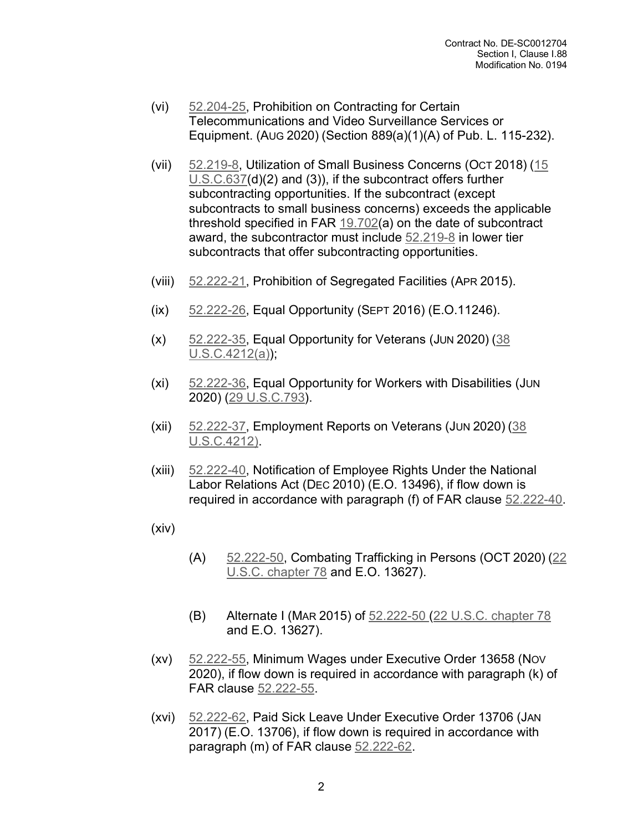- (vi) 52.204-25, Prohibition on Contracting for Certain Telecommunications and Video Surveillance Services or Equipment. (AUG 2020) (Section 889(a)(1)(A) of Pub. L. 115-232).
- (vii) 52.219-8, Utilization of Small Business Concerns (OCT 2018) (15 U.S.C.637(d)(2) and (3)), if the subcontract offers further subcontracting opportunities. If the subcontract (except subcontracts to small business concerns) exceeds the applicable threshold specified in FAR 19.702(a) on the date of subcontract award, the subcontractor must include 52.219-8 in lower tier subcontracts that offer subcontracting opportunities.
- (viii) 52.222-21, Prohibition of Segregated Facilities (APR 2015).
- (ix) 52.222-26, Equal Opportunity (SEPT 2016) (E.O.11246).
- $(x)$  52.222-35, Equal Opportunity for Veterans (JUN 2020) (38 U.S.C.4212(a));
- (xi) 52.222-36, Equal Opportunity for Workers with Disabilities (JUN 2020) (29 U.S.C.793).
- (xii)  $52.222-37$ , Employment Reports on Veterans (Jun 2020) ( $38$ U.S.C.4212).
- (xiii) 52.222-40, Notification of Employee Rights Under the National Labor Relations Act (DEC 2010) (E.O. 13496), if flow down is required in accordance with paragraph (f) of FAR clause 52.222-40.
- (xiv)
- $(A)$  52.222-50, Combating Trafficking in Persons (OCT 2020) (22 U.S.C. chapter 78 and E.O. 13627).
- (B) Alternate I (MAR 2015) of 52.222-50 (22 U.S.C. chapter 78 and E.O. 13627).
- (xv) 52.222-55, Minimum Wages under Executive Order 13658 (NOV 2020), if flow down is required in accordance with paragraph (k) of FAR clause 52.222-55.
- (xvi) 52.222-62, Paid Sick Leave Under Executive Order 13706 (JAN 2017) (E.O. 13706), if flow down is required in accordance with paragraph (m) of FAR clause 52.222-62.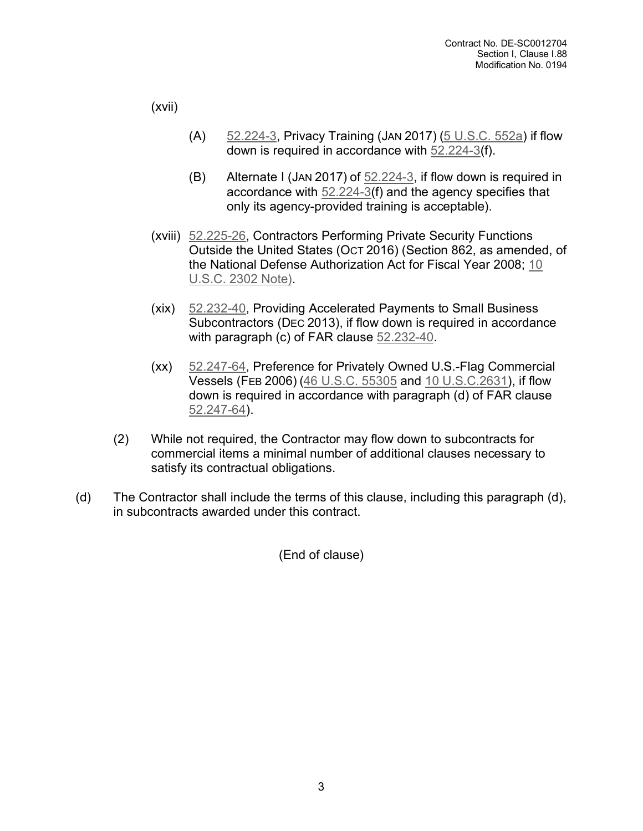(xvii)

- $(A)$  52.224-3, Privacy Training (JAN 2017) (5 U.S.C. 552a) if flow down is required in accordance with 52.224-3(f).
- (B) Alternate I (JAN 2017) of  $52.224-3$ , if flow down is required in accordance with 52.224-3(f) and the agency specifies that only its agency-provided training is acceptable).
- (xviii) 52.225-26, Contractors Performing Private Security Functions Outside the United States (OCT 2016) (Section 862, as amended, of the National Defense Authorization Act for Fiscal Year 2008; 10 U.S.C. 2302 Note).
- (xix) 52.232-40, Providing Accelerated Payments to Small Business Subcontractors (DEC 2013), if flow down is required in accordance with paragraph (c) of FAR clause 52.232-40.
- (xx) 52.247-64, Preference for Privately Owned U.S.-Flag Commercial Vessels (FEB 2006) (46 U.S.C. 55305 and 10 U.S.C.2631), if flow down is required in accordance with paragraph (d) of FAR clause 52.247-64).
- (2) While not required, the Contractor may flow down to subcontracts for commercial items a minimal number of additional clauses necessary to satisfy its contractual obligations.
- (d) The Contractor shall include the terms of this clause, including this paragraph (d), in subcontracts awarded under this contract.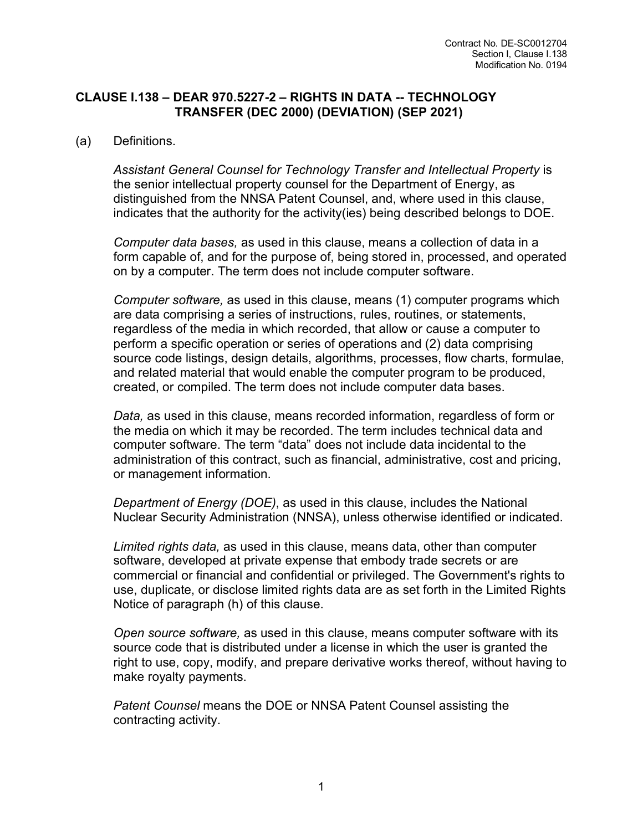### **CLAUSE I.138 – DEAR 970.5227-2 – RIGHTS IN DATA -- TECHNOLOGY TRANSFER (DEC 2000) (DEVIATION) (SEP 2021)**

### (a) Definitions.

*Assistant General Counsel for Technology Transfer and Intellectual Property* is the senior intellectual property counsel for the Department of Energy, as distinguished from the NNSA Patent Counsel, and, where used in this clause, indicates that the authority for the activity(ies) being described belongs to DOE.

*Computer data bases,* as used in this clause, means a collection of data in a form capable of, and for the purpose of, being stored in, processed, and operated on by a computer. The term does not include computer software.

*Computer software,* as used in this clause, means (1) computer programs which are data comprising a series of instructions, rules, routines, or statements, regardless of the media in which recorded, that allow or cause a computer to perform a specific operation or series of operations and (2) data comprising source code listings, design details, algorithms, processes, flow charts, formulae, and related material that would enable the computer program to be produced, created, or compiled. The term does not include computer data bases.

*Data,* as used in this clause, means recorded information, regardless of form or the media on which it may be recorded. The term includes technical data and computer software. The term "data" does not include data incidental to the administration of this contract, such as financial, administrative, cost and pricing, or management information.

*Department of Energy (DOE)*, as used in this clause, includes the National Nuclear Security Administration (NNSA), unless otherwise identified or indicated.

*Limited rights data,* as used in this clause, means data, other than computer software, developed at private expense that embody trade secrets or are commercial or financial and confidential or privileged. The Government's rights to use, duplicate, or disclose limited rights data are as set forth in the Limited Rights Notice of paragraph (h) of this clause.

*Open source software,* as used in this clause, means computer software with its source code that is distributed under a license in which the user is granted the right to use, copy, modify, and prepare derivative works thereof, without having to make royalty payments.

*Patent Counsel* means the DOE or NNSA Patent Counsel assisting the contracting activity.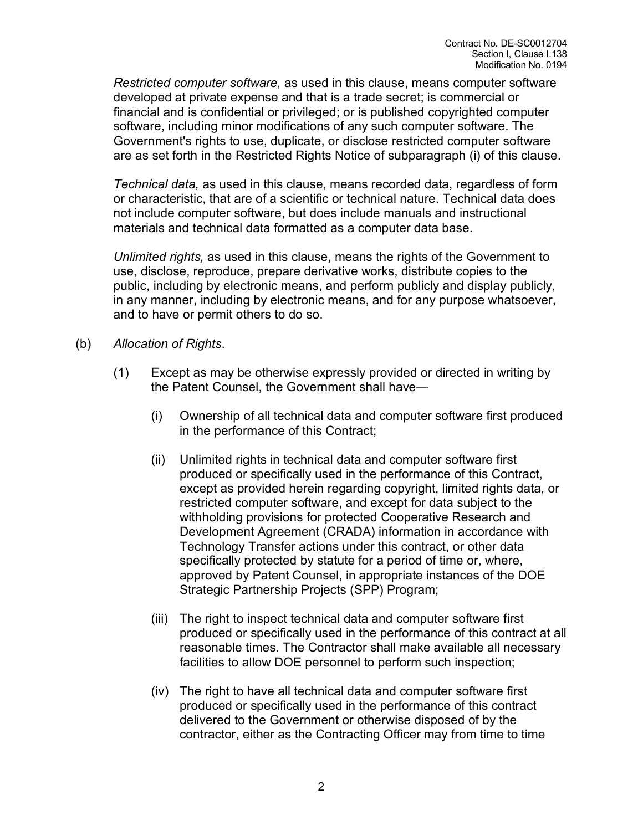*Restricted computer software,* as used in this clause, means computer software developed at private expense and that is a trade secret; is commercial or financial and is confidential or privileged; or is published copyrighted computer software, including minor modifications of any such computer software. The Government's rights to use, duplicate, or disclose restricted computer software are as set forth in the Restricted Rights Notice of subparagraph (i) of this clause.

*Technical data,* as used in this clause, means recorded data, regardless of form or characteristic, that are of a scientific or technical nature. Technical data does not include computer software, but does include manuals and instructional materials and technical data formatted as a computer data base.

*Unlimited rights,* as used in this clause, means the rights of the Government to use, disclose, reproduce, prepare derivative works, distribute copies to the public, including by electronic means, and perform publicly and display publicly, in any manner, including by electronic means, and for any purpose whatsoever, and to have or permit others to do so.

- (b) *Allocation of Rights*.
	- (1) Except as may be otherwise expressly provided or directed in writing by the Patent Counsel, the Government shall have—
		- (i) Ownership of all technical data and computer software first produced in the performance of this Contract;
		- (ii) Unlimited rights in technical data and computer software first produced or specifically used in the performance of this Contract, except as provided herein regarding copyright, limited rights data, or restricted computer software, and except for data subject to the withholding provisions for protected Cooperative Research and Development Agreement (CRADA) information in accordance with Technology Transfer actions under this contract, or other data specifically protected by statute for a period of time or, where, approved by Patent Counsel, in appropriate instances of the DOE Strategic Partnership Projects (SPP) Program;
		- (iii) The right to inspect technical data and computer software first produced or specifically used in the performance of this contract at all reasonable times. The Contractor shall make available all necessary facilities to allow DOE personnel to perform such inspection;
		- (iv) The right to have all technical data and computer software first produced or specifically used in the performance of this contract delivered to the Government or otherwise disposed of by the contractor, either as the Contracting Officer may from time to time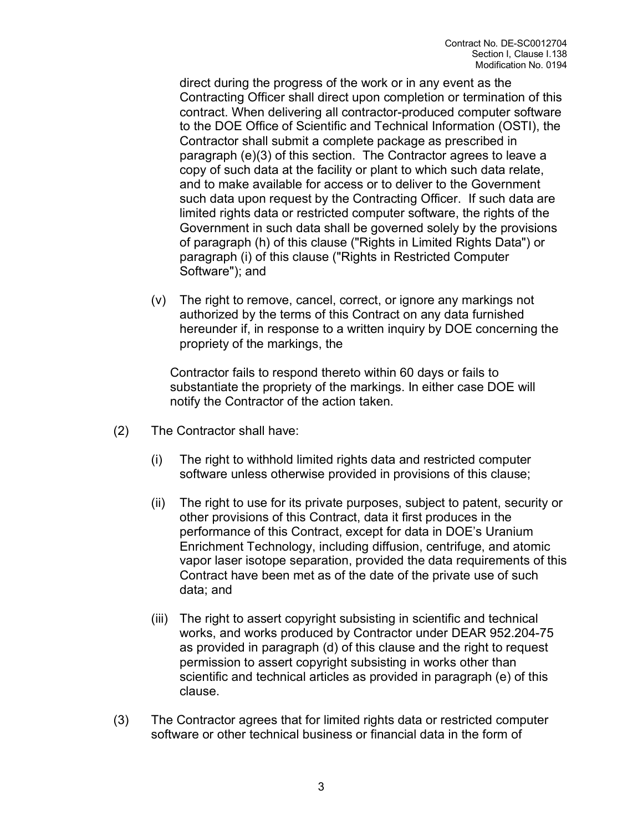direct during the progress of the work or in any event as the Contracting Officer shall direct upon completion or termination of this contract. When delivering all contractor-produced computer software to the DOE Office of Scientific and Technical Information (OSTI), the Contractor shall submit a complete package as prescribed in paragraph (e)(3) of this section. The Contractor agrees to leave a copy of such data at the facility or plant to which such data relate, and to make available for access or to deliver to the Government such data upon request by the Contracting Officer. If such data are limited rights data or restricted computer software, the rights of the Government in such data shall be governed solely by the provisions of paragraph (h) of this clause ("Rights in Limited Rights Data") or paragraph (i) of this clause ("Rights in Restricted Computer Software"); and

(v) The right to remove, cancel, correct, or ignore any markings not authorized by the terms of this Contract on any data furnished hereunder if, in response to a written inquiry by DOE concerning the propriety of the markings, the

Contractor fails to respond thereto within 60 days or fails to substantiate the propriety of the markings. In either case DOE will notify the Contractor of the action taken.

- (2) The Contractor shall have:
	- (i) The right to withhold limited rights data and restricted computer software unless otherwise provided in provisions of this clause;
	- (ii) The right to use for its private purposes, subject to patent, security or other provisions of this Contract, data it first produces in the performance of this Contract, except for data in DOE's Uranium Enrichment Technology, including diffusion, centrifuge, and atomic vapor laser isotope separation, provided the data requirements of this Contract have been met as of the date of the private use of such data; and
	- (iii) The right to assert copyright subsisting in scientific and technical works, and works produced by Contractor under DEAR 952.204-75 as provided in paragraph (d) of this clause and the right to request permission to assert copyright subsisting in works other than scientific and technical articles as provided in paragraph (e) of this clause.
- (3) The Contractor agrees that for limited rights data or restricted computer software or other technical business or financial data in the form of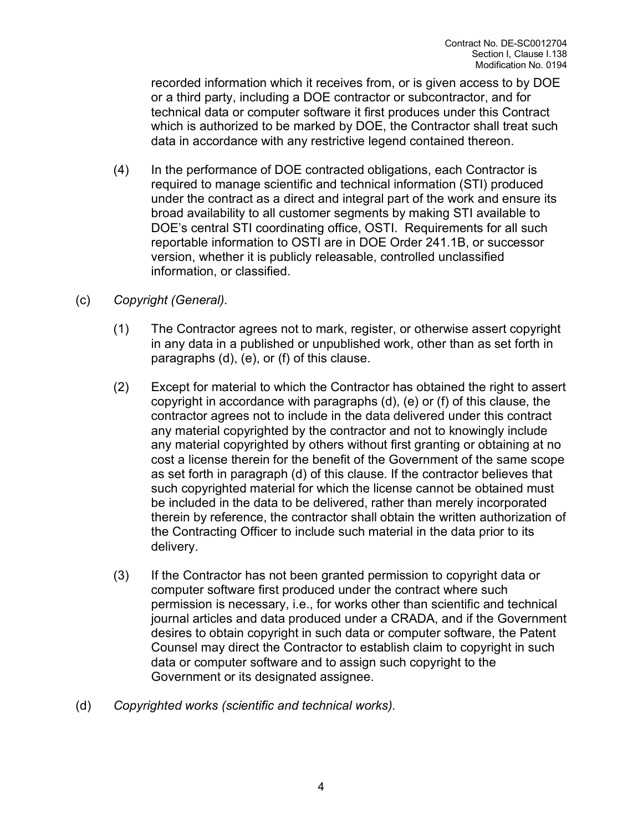recorded information which it receives from, or is given access to by DOE or a third party, including a DOE contractor or subcontractor, and for technical data or computer software it first produces under this Contract which is authorized to be marked by DOE, the Contractor shall treat such data in accordance with any restrictive legend contained thereon.

- (4) In the performance of DOE contracted obligations, each Contractor is required to manage scientific and technical information (STI) produced under the contract as a direct and integral part of the work and ensure its broad availability to all customer segments by making STI available to DOE's central STI coordinating office, OSTI. Requirements for all such reportable information to OSTI are in DOE Order 241.1B, or successor version, whether it is publicly releasable, controlled unclassified information, or classified.
- (c) *Copyright (General).*
	- (1) The Contractor agrees not to mark, register, or otherwise assert copyright in any data in a published or unpublished work, other than as set forth in paragraphs (d), (e), or (f) of this clause.
	- (2) Except for material to which the Contractor has obtained the right to assert copyright in accordance with paragraphs (d), (e) or (f) of this clause, the contractor agrees not to include in the data delivered under this contract any material copyrighted by the contractor and not to knowingly include any material copyrighted by others without first granting or obtaining at no cost a license therein for the benefit of the Government of the same scope as set forth in paragraph (d) of this clause. If the contractor believes that such copyrighted material for which the license cannot be obtained must be included in the data to be delivered, rather than merely incorporated therein by reference, the contractor shall obtain the written authorization of the Contracting Officer to include such material in the data prior to its delivery.
	- (3) If the Contractor has not been granted permission to copyright data or computer software first produced under the contract where such permission is necessary, i.e., for works other than scientific and technical journal articles and data produced under a CRADA, and if the Government desires to obtain copyright in such data or computer software, the Patent Counsel may direct the Contractor to establish claim to copyright in such data or computer software and to assign such copyright to the Government or its designated assignee.
- (d) *Copyrighted works (scientific and technical works).*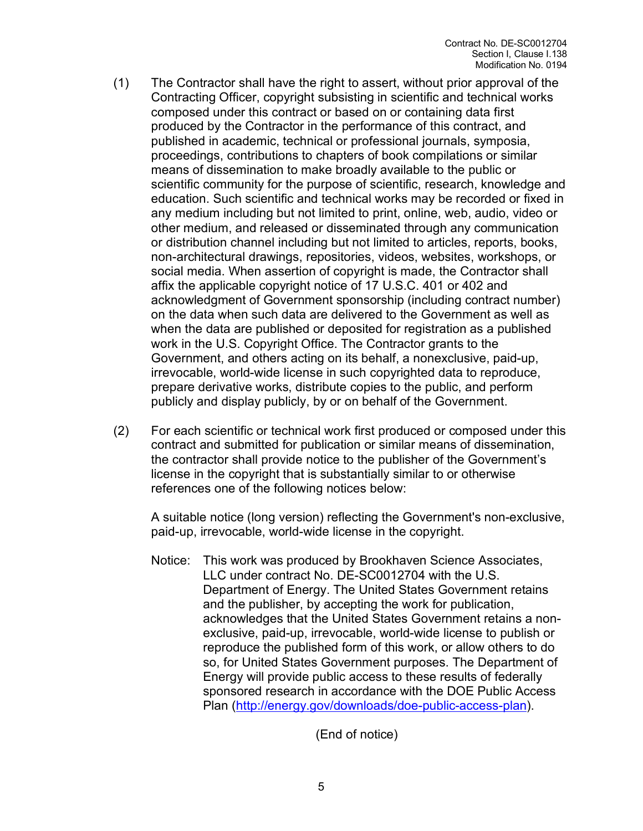- (1) The Contractor shall have the right to assert, without prior approval of the Contracting Officer, copyright subsisting in scientific and technical works composed under this contract or based on or containing data first produced by the Contractor in the performance of this contract, and published in academic, technical or professional journals, symposia, proceedings, contributions to chapters of book compilations or similar means of dissemination to make broadly available to the public or scientific community for the purpose of scientific, research, knowledge and education. Such scientific and technical works may be recorded or fixed in any medium including but not limited to print, online, web, audio, video or other medium, and released or disseminated through any communication or distribution channel including but not limited to articles, reports, books, non-architectural drawings, repositories, videos, websites, workshops, or social media. When assertion of copyright is made, the Contractor shall affix the applicable copyright notice of 17 U.S.C. 401 or 402 and acknowledgment of Government sponsorship (including contract number) on the data when such data are delivered to the Government as well as when the data are published or deposited for registration as a published work in the U.S. Copyright Office. The Contractor grants to the Government, and others acting on its behalf, a nonexclusive, paid-up, irrevocable, world-wide license in such copyrighted data to reproduce, prepare derivative works, distribute copies to the public, and perform publicly and display publicly, by or on behalf of the Government.
- (2) For each scientific or technical work first produced or composed under this contract and submitted for publication or similar means of dissemination, the contractor shall provide notice to the publisher of the Government's license in the copyright that is substantially similar to or otherwise references one of the following notices below:

A suitable notice (long version) reflecting the Government's non-exclusive, paid-up, irrevocable, world-wide license in the copyright.

Notice: This work was produced by Brookhaven Science Associates, LLC under contract No. DE-SC0012704 with the U.S. Department of Energy. The United States Government retains and the publisher, by accepting the work for publication, acknowledges that the United States Government retains a nonexclusive, paid-up, irrevocable, world-wide license to publish or reproduce the published form of this work, or allow others to do so, for United States Government purposes. The Department of Energy will provide public access to these results of federally sponsored research in accordance with the DOE Public Access Plan (http://energy.gov/downloads/doe-public-access-plan).

(End of notice)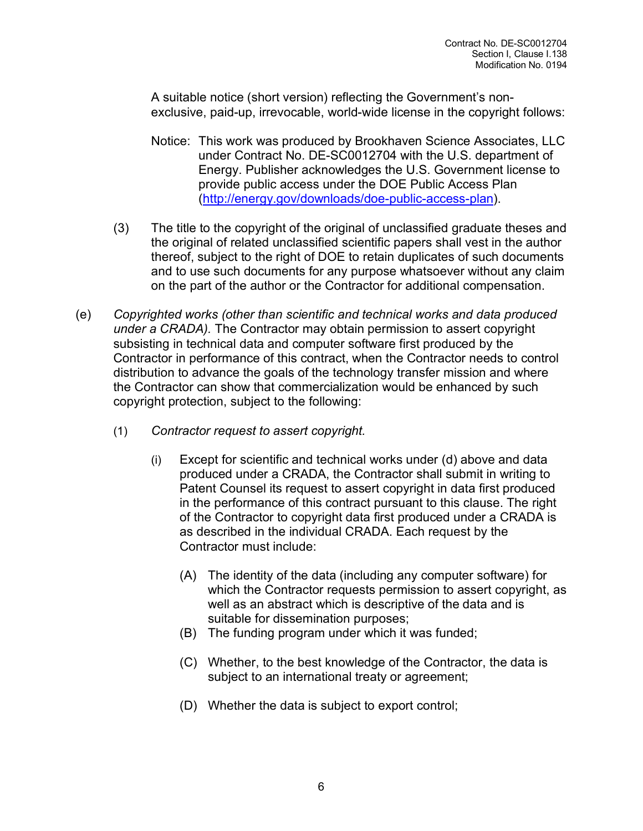A suitable notice (short version) reflecting the Government's nonexclusive, paid-up, irrevocable, world-wide license in the copyright follows:

- Notice: This work was produced by Brookhaven Science Associates, LLC under Contract No. DE-SC0012704 with the U.S. department of Energy. Publisher acknowledges the U.S. Government license to provide public access under the DOE Public Access Plan (http://energy.gov/downloads/doe-public-access-plan).
- (3) The title to the copyright of the original of unclassified graduate theses and the original of related unclassified scientific papers shall vest in the author thereof, subject to the right of DOE to retain duplicates of such documents and to use such documents for any purpose whatsoever without any claim on the part of the author or the Contractor for additional compensation.
- (e) *Copyrighted works (other than scientific and technical works and data produced under a CRADA).* The Contractor may obtain permission to assert copyright subsisting in technical data and computer software first produced by the Contractor in performance of this contract, when the Contractor needs to control distribution to advance the goals of the technology transfer mission and where the Contractor can show that commercialization would be enhanced by such copyright protection, subject to the following:
	- (1) *Contractor request to assert copyright.*
		- (i) Except for scientific and technical works under (d) above and data produced under a CRADA, the Contractor shall submit in writing to Patent Counsel its request to assert copyright in data first produced in the performance of this contract pursuant to this clause. The right of the Contractor to copyright data first produced under a CRADA is as described in the individual CRADA. Each request by the Contractor must include:
			- (A) The identity of the data (including any computer software) for which the Contractor requests permission to assert copyright, as well as an abstract which is descriptive of the data and is suitable for dissemination purposes;
			- (B) The funding program under which it was funded;
			- (C) Whether, to the best knowledge of the Contractor, the data is subject to an international treaty or agreement;
			- (D) Whether the data is subject to export control;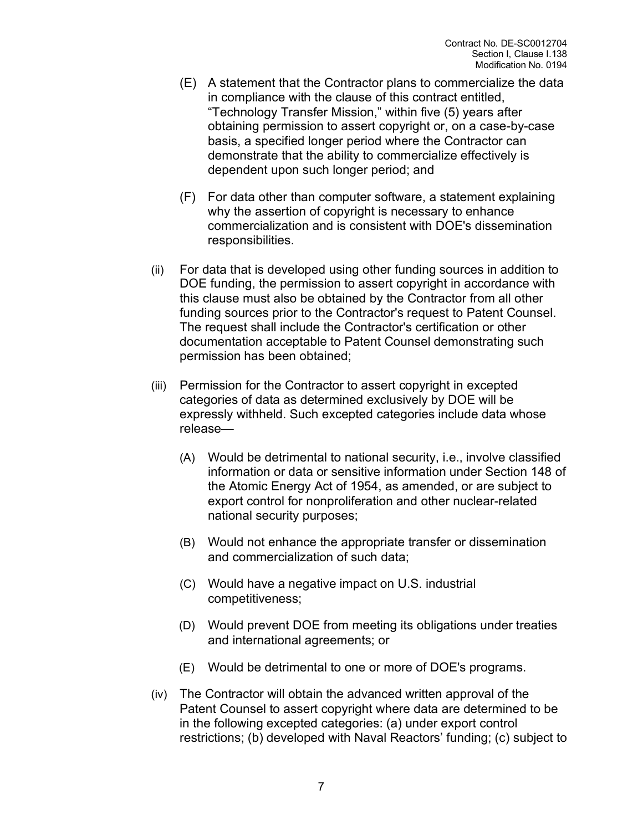- (E) A statement that the Contractor plans to commercialize the data in compliance with the clause of this contract entitled, "Technology Transfer Mission," within five (5) years after obtaining permission to assert copyright or, on a case-by-case basis, a specified longer period where the Contractor can demonstrate that the ability to commercialize effectively is dependent upon such longer period; and
- (F) For data other than computer software, a statement explaining why the assertion of copyright is necessary to enhance commercialization and is consistent with DOE's dissemination responsibilities.
- (ii) For data that is developed using other funding sources in addition to DOE funding, the permission to assert copyright in accordance with this clause must also be obtained by the Contractor from all other funding sources prior to the Contractor's request to Patent Counsel. The request shall include the Contractor's certification or other documentation acceptable to Patent Counsel demonstrating such permission has been obtained;
- (iii) Permission for the Contractor to assert copyright in excepted categories of data as determined exclusively by DOE will be expressly withheld. Such excepted categories include data whose release—
	- (A) Would be detrimental to national security, i.e., involve classified information or data or sensitive information under Section 148 of the Atomic Energy Act of 1954, as amended, or are subject to export control for nonproliferation and other nuclear-related national security purposes;
	- (B) Would not enhance the appropriate transfer or dissemination and commercialization of such data;
	- (C) Would have a negative impact on U.S. industrial competitiveness;
	- (D) Would prevent DOE from meeting its obligations under treaties and international agreements; or
	- (E) Would be detrimental to one or more of DOE's programs.
- (iv) The Contractor will obtain the advanced written approval of the Patent Counsel to assert copyright where data are determined to be in the following excepted categories: (a) under export control restrictions; (b) developed with Naval Reactors' funding; (c) subject to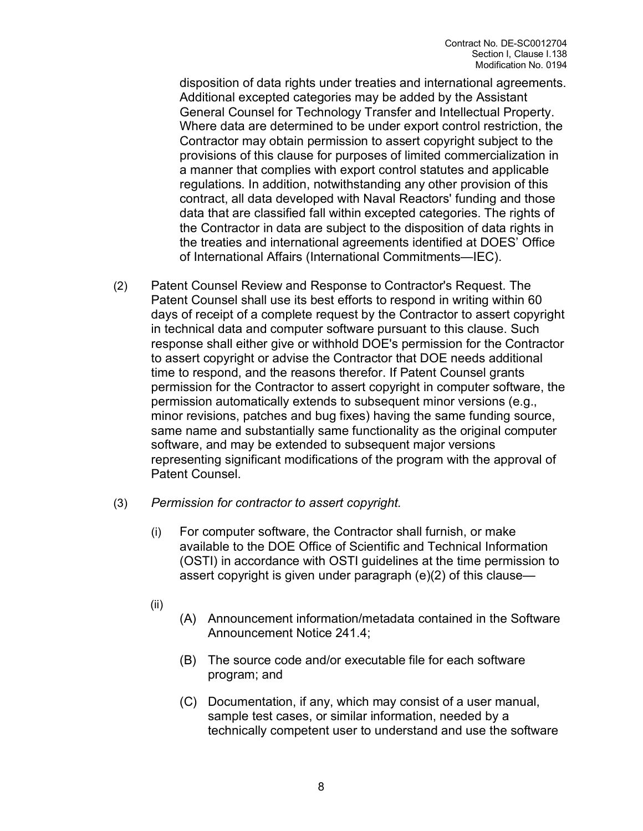disposition of data rights under treaties and international agreements. Additional excepted categories may be added by the Assistant General Counsel for Technology Transfer and Intellectual Property. Where data are determined to be under export control restriction, the Contractor may obtain permission to assert copyright subject to the provisions of this clause for purposes of limited commercialization in a manner that complies with export control statutes and applicable regulations. In addition, notwithstanding any other provision of this contract, all data developed with Naval Reactors' funding and those data that are classified fall within excepted categories. The rights of the Contractor in data are subject to the disposition of data rights in the treaties and international agreements identified at DOES' Office of International Affairs (International Commitments—IEC).

- (2) Patent Counsel Review and Response to Contractor's Request. The Patent Counsel shall use its best efforts to respond in writing within 60 days of receipt of a complete request by the Contractor to assert copyright in technical data and computer software pursuant to this clause. Such response shall either give or withhold DOE's permission for the Contractor to assert copyright or advise the Contractor that DOE needs additional time to respond, and the reasons therefor. If Patent Counsel grants permission for the Contractor to assert copyright in computer software, the permission automatically extends to subsequent minor versions (e.g., minor revisions, patches and bug fixes) having the same funding source, same name and substantially same functionality as the original computer software, and may be extended to subsequent major versions representing significant modifications of the program with the approval of Patent Counsel.
- (3) *Permission for contractor to assert copyright.*
	- (i) For computer software, the Contractor shall furnish, or make available to the DOE Office of Scientific and Technical Information (OSTI) in accordance with OSTI guidelines at the time permission to assert copyright is given under paragraph (e)(2) of this clause—
	- (ii)
- (A) Announcement information/metadata contained in the Software Announcement Notice 241.4;
- (B) The source code and/or executable file for each software program; and
- (C) Documentation, if any, which may consist of a user manual, sample test cases, or similar information, needed by a technically competent user to understand and use the software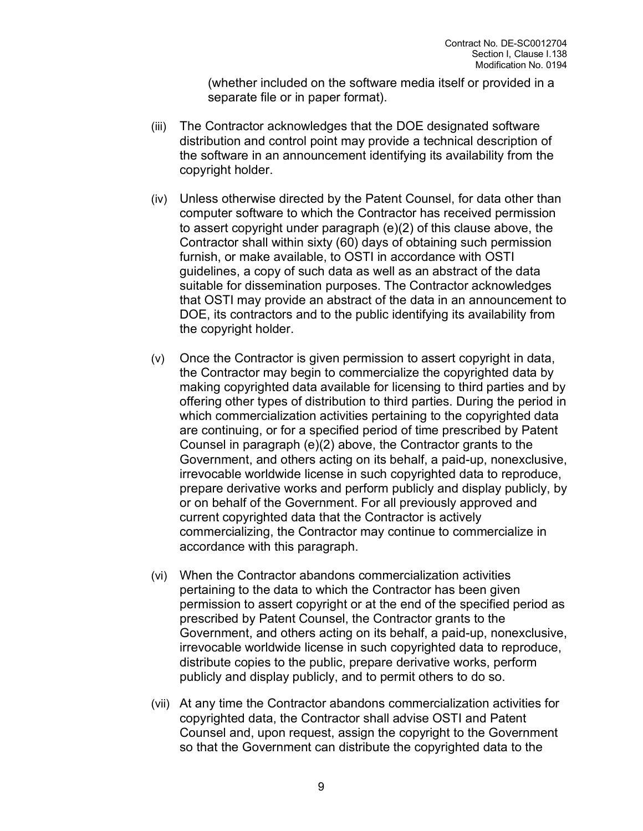(whether included on the software media itself or provided in a separate file or in paper format).

- (iii) The Contractor acknowledges that the DOE designated software distribution and control point may provide a technical description of the software in an announcement identifying its availability from the copyright holder.
- (iv) Unless otherwise directed by the Patent Counsel, for data other than computer software to which the Contractor has received permission to assert copyright under paragraph (e)(2) of this clause above, the Contractor shall within sixty (60) days of obtaining such permission furnish, or make available, to OSTI in accordance with OSTI guidelines, a copy of such data as well as an abstract of the data suitable for dissemination purposes. The Contractor acknowledges that OSTI may provide an abstract of the data in an announcement to DOE, its contractors and to the public identifying its availability from the copyright holder.
- (v) Once the Contractor is given permission to assert copyright in data, the Contractor may begin to commercialize the copyrighted data by making copyrighted data available for licensing to third parties and by offering other types of distribution to third parties. During the period in which commercialization activities pertaining to the copyrighted data are continuing, or for a specified period of time prescribed by Patent Counsel in paragraph (e)(2) above, the Contractor grants to the Government, and others acting on its behalf, a paid-up, nonexclusive, irrevocable worldwide license in such copyrighted data to reproduce, prepare derivative works and perform publicly and display publicly, by or on behalf of the Government. For all previously approved and current copyrighted data that the Contractor is actively commercializing, the Contractor may continue to commercialize in accordance with this paragraph.
- (vi) When the Contractor abandons commercialization activities pertaining to the data to which the Contractor has been given permission to assert copyright or at the end of the specified period as prescribed by Patent Counsel, the Contractor grants to the Government, and others acting on its behalf, a paid-up, nonexclusive, irrevocable worldwide license in such copyrighted data to reproduce, distribute copies to the public, prepare derivative works, perform publicly and display publicly, and to permit others to do so.
- (vii) At any time the Contractor abandons commercialization activities for copyrighted data, the Contractor shall advise OSTI and Patent Counsel and, upon request, assign the copyright to the Government so that the Government can distribute the copyrighted data to the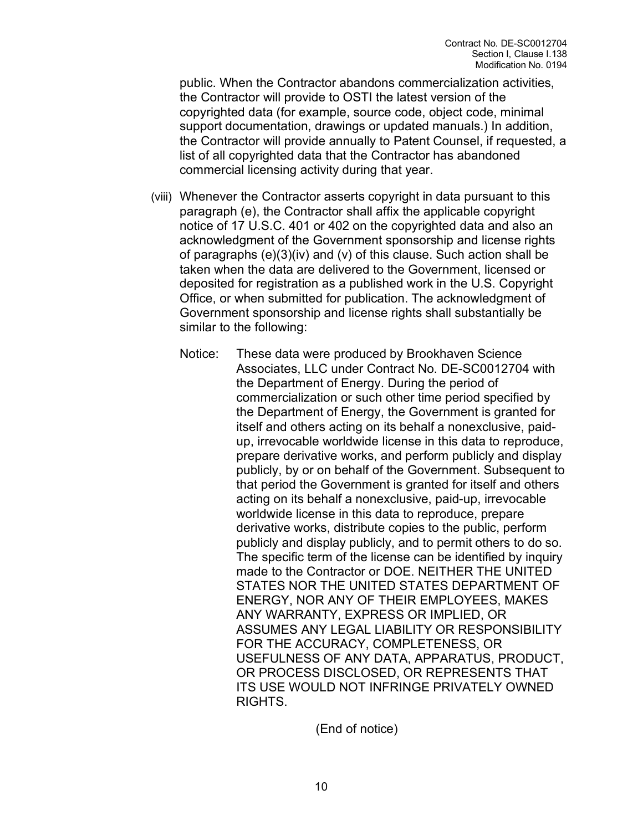public. When the Contractor abandons commercialization activities, the Contractor will provide to OSTI the latest version of the copyrighted data (for example, source code, object code, minimal support documentation, drawings or updated manuals.) In addition, the Contractor will provide annually to Patent Counsel, if requested, a list of all copyrighted data that the Contractor has abandoned commercial licensing activity during that year.

- (viii) Whenever the Contractor asserts copyright in data pursuant to this paragraph (e), the Contractor shall affix the applicable copyright notice of 17 U.S.C. 401 or 402 on the copyrighted data and also an acknowledgment of the Government sponsorship and license rights of paragraphs (e)(3)(iv) and (v) of this clause. Such action shall be taken when the data are delivered to the Government, licensed or deposited for registration as a published work in the U.S. Copyright Office, or when submitted for publication. The acknowledgment of Government sponsorship and license rights shall substantially be similar to the following:
	- Notice: These data were produced by Brookhaven Science Associates, LLC under Contract No. DE-SC0012704 with the Department of Energy. During the period of commercialization or such other time period specified by the Department of Energy, the Government is granted for itself and others acting on its behalf a nonexclusive, paidup, irrevocable worldwide license in this data to reproduce, prepare derivative works, and perform publicly and display publicly, by or on behalf of the Government. Subsequent to that period the Government is granted for itself and others acting on its behalf a nonexclusive, paid-up, irrevocable worldwide license in this data to reproduce, prepare derivative works, distribute copies to the public, perform publicly and display publicly, and to permit others to do so. The specific term of the license can be identified by inquiry made to the Contractor or DOE. NEITHER THE UNITED STATES NOR THE UNITED STATES DEPARTMENT OF ENERGY, NOR ANY OF THEIR EMPLOYEES, MAKES ANY WARRANTY, EXPRESS OR IMPLIED, OR ASSUMES ANY LEGAL LIABILITY OR RESPONSIBILITY FOR THE ACCURACY, COMPLETENESS, OR USEFULNESS OF ANY DATA, APPARATUS, PRODUCT, OR PROCESS DISCLOSED, OR REPRESENTS THAT ITS USE WOULD NOT INFRINGE PRIVATELY OWNED RIGHTS.

(End of notice)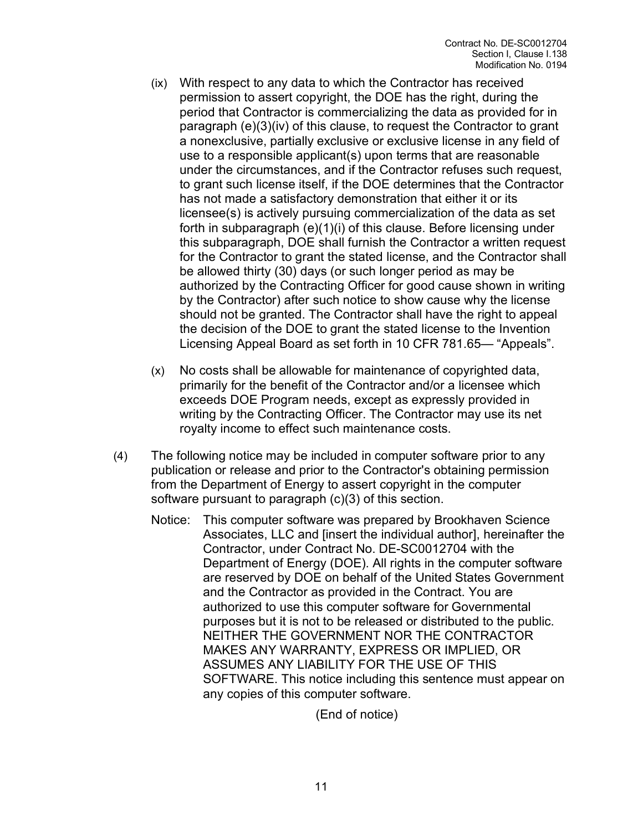- (ix) With respect to any data to which the Contractor has received permission to assert copyright, the DOE has the right, during the period that Contractor is commercializing the data as provided for in paragraph (e)(3)(iv) of this clause, to request the Contractor to grant a nonexclusive, partially exclusive or exclusive license in any field of use to a responsible applicant(s) upon terms that are reasonable under the circumstances, and if the Contractor refuses such request, to grant such license itself, if the DOE determines that the Contractor has not made a satisfactory demonstration that either it or its licensee(s) is actively pursuing commercialization of the data as set forth in subparagraph (e)(1)(i) of this clause. Before licensing under this subparagraph, DOE shall furnish the Contractor a written request for the Contractor to grant the stated license, and the Contractor shall be allowed thirty (30) days (or such longer period as may be authorized by the Contracting Officer for good cause shown in writing by the Contractor) after such notice to show cause why the license should not be granted. The Contractor shall have the right to appeal the decision of the DOE to grant the stated license to the Invention Licensing Appeal Board as set forth in 10 CFR 781.65— "Appeals".
- (x) No costs shall be allowable for maintenance of copyrighted data, primarily for the benefit of the Contractor and/or a licensee which exceeds DOE Program needs, except as expressly provided in writing by the Contracting Officer. The Contractor may use its net royalty income to effect such maintenance costs.
- (4) The following notice may be included in computer software prior to any publication or release and prior to the Contractor's obtaining permission from the Department of Energy to assert copyright in the computer software pursuant to paragraph (c)(3) of this section.
	- Notice: This computer software was prepared by Brookhaven Science Associates, LLC and [insert the individual author], hereinafter the Contractor, under Contract No. DE-SC0012704 with the Department of Energy (DOE). All rights in the computer software are reserved by DOE on behalf of the United States Government and the Contractor as provided in the Contract. You are authorized to use this computer software for Governmental purposes but it is not to be released or distributed to the public. NEITHER THE GOVERNMENT NOR THE CONTRACTOR MAKES ANY WARRANTY, EXPRESS OR IMPLIED, OR ASSUMES ANY LIABILITY FOR THE USE OF THIS SOFTWARE. This notice including this sentence must appear on any copies of this computer software.

(End of notice)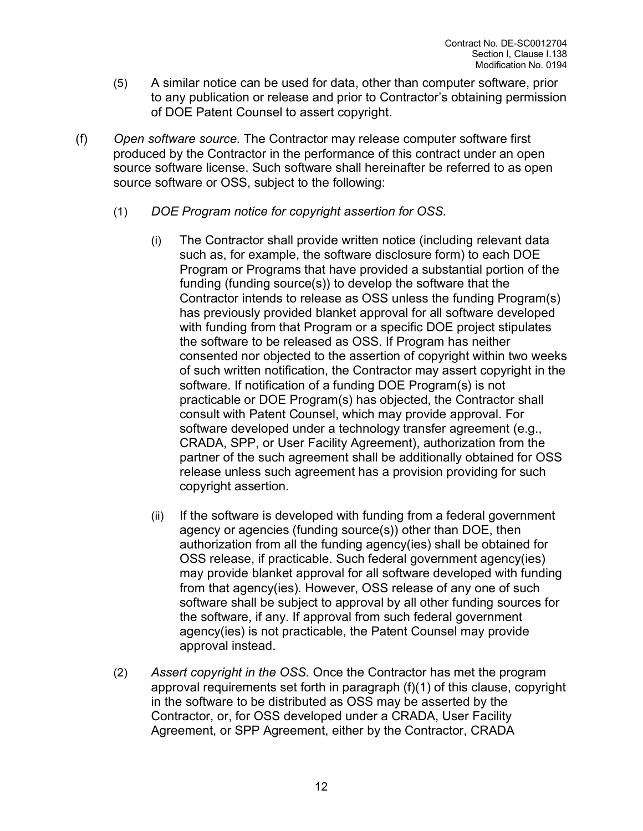- (5) A similar notice can be used for data, other than computer software, prior to any publication or release and prior to Contractor's obtaining permission of DOE Patent Counsel to assert copyright.
- (f) *Open software source.* The Contractor may release computer software first produced by the Contractor in the performance of this contract under an open source software license. Such software shall hereinafter be referred to as open source software or OSS, subject to the following:
	- (1) *DOE Program notice for copyright assertion for OSS.*
		- (i) The Contractor shall provide written notice (including relevant data such as, for example, the software disclosure form) to each DOE Program or Programs that have provided a substantial portion of the funding (funding source(s)) to develop the software that the Contractor intends to release as OSS unless the funding Program(s) has previously provided blanket approval for all software developed with funding from that Program or a specific DOE project stipulates the software to be released as OSS. If Program has neither consented nor objected to the assertion of copyright within two weeks of such written notification, the Contractor may assert copyright in the software. If notification of a funding DOE Program(s) is not practicable or DOE Program(s) has objected, the Contractor shall consult with Patent Counsel, which may provide approval. For software developed under a technology transfer agreement (e.g., CRADA, SPP, or User Facility Agreement), authorization from the partner of the such agreement shall be additionally obtained for OSS release unless such agreement has a provision providing for such copyright assertion.
		- (ii) If the software is developed with funding from a federal government agency or agencies (funding source(s)) other than DOE, then authorization from all the funding agency(ies) shall be obtained for OSS release, if practicable. Such federal government agency(ies) may provide blanket approval for all software developed with funding from that agency(ies). However, OSS release of any one of such software shall be subject to approval by all other funding sources for the software, if any. If approval from such federal government agency(ies) is not practicable, the Patent Counsel may provide approval instead.
	- (2) *Assert copyright in the OSS.* Once the Contractor has met the program approval requirements set forth in paragraph (f)(1) of this clause, copyright in the software to be distributed as OSS may be asserted by the Contractor, or, for OSS developed under a CRADA, User Facility Agreement, or SPP Agreement, either by the Contractor, CRADA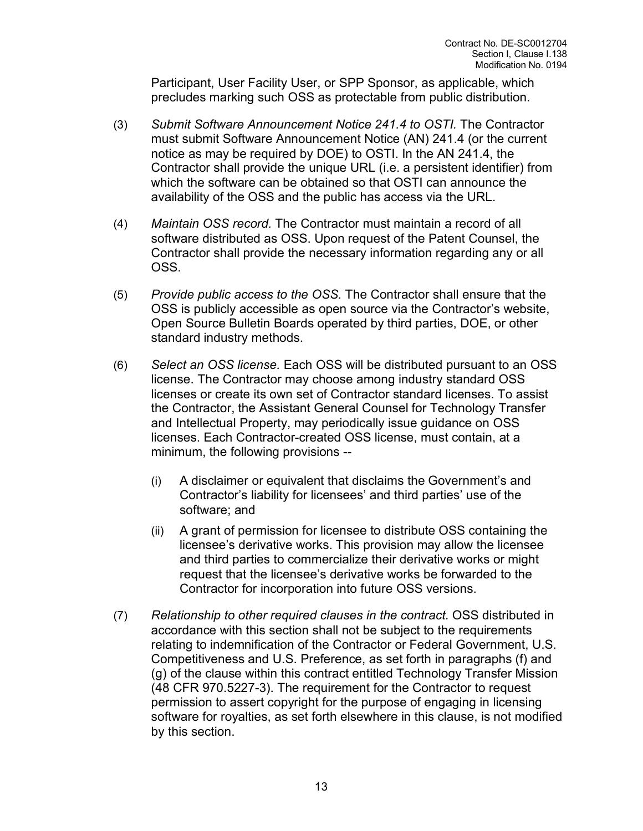Participant, User Facility User, or SPP Sponsor, as applicable, which precludes marking such OSS as protectable from public distribution.

- (3) *Submit Software Announcement Notice 241.4 to OSTI.* The Contractor must submit Software Announcement Notice (AN) 241.4 (or the current notice as may be required by DOE) to OSTI. In the AN 241.4, the Contractor shall provide the unique URL (i.e. a persistent identifier) from which the software can be obtained so that OSTI can announce the availability of the OSS and the public has access via the URL.
- (4) *Maintain OSS record.* The Contractor must maintain a record of all software distributed as OSS. Upon request of the Patent Counsel, the Contractor shall provide the necessary information regarding any or all OSS.
- (5) *Provide public access to the OSS.* The Contractor shall ensure that the OSS is publicly accessible as open source via the Contractor's website, Open Source Bulletin Boards operated by third parties, DOE, or other standard industry methods.
- (6) *Select an OSS license.* Each OSS will be distributed pursuant to an OSS license. The Contractor may choose among industry standard OSS licenses or create its own set of Contractor standard licenses. To assist the Contractor, the Assistant General Counsel for Technology Transfer and Intellectual Property, may periodically issue guidance on OSS licenses. Each Contractor-created OSS license, must contain, at a minimum, the following provisions --
	- (i) A disclaimer or equivalent that disclaims the Government's and Contractor's liability for licensees' and third parties' use of the software; and
	- (ii) A grant of permission for licensee to distribute OSS containing the licensee's derivative works. This provision may allow the licensee and third parties to commercialize their derivative works or might request that the licensee's derivative works be forwarded to the Contractor for incorporation into future OSS versions.
- (7) *Relationship to other required clauses in the contract.* OSS distributed in accordance with this section shall not be subject to the requirements relating to indemnification of the Contractor or Federal Government, U.S. Competitiveness and U.S. Preference, as set forth in paragraphs (f) and (g) of the clause within this contract entitled Technology Transfer Mission (48 CFR 970.5227-3). The requirement for the Contractor to request permission to assert copyright for the purpose of engaging in licensing software for royalties, as set forth elsewhere in this clause, is not modified by this section.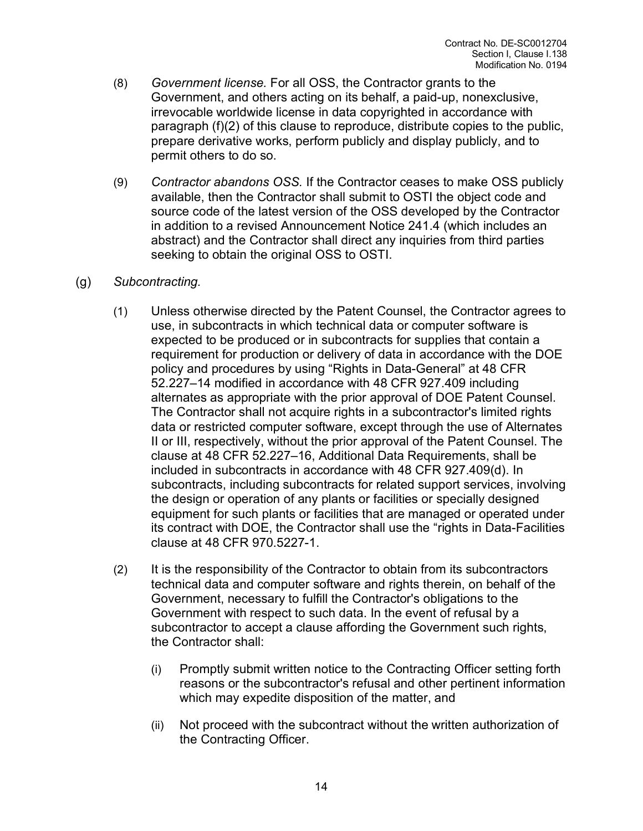- (8) *Government license.* For all OSS, the Contractor grants to the Government, and others acting on its behalf, a paid-up, nonexclusive, irrevocable worldwide license in data copyrighted in accordance with paragraph (f)(2) of this clause to reproduce, distribute copies to the public, prepare derivative works, perform publicly and display publicly, and to permit others to do so.
- (9) *Contractor abandons OSS.* If the Contractor ceases to make OSS publicly available, then the Contractor shall submit to OSTI the object code and source code of the latest version of the OSS developed by the Contractor in addition to a revised Announcement Notice 241.4 (which includes an abstract) and the Contractor shall direct any inquiries from third parties seeking to obtain the original OSS to OSTI.
- (g) *Subcontracting.* 
	- (1) Unless otherwise directed by the Patent Counsel, the Contractor agrees to use, in subcontracts in which technical data or computer software is expected to be produced or in subcontracts for supplies that contain a requirement for production or delivery of data in accordance with the DOE policy and procedures by using "Rights in Data-General" at 48 CFR 52.227–14 modified in accordance with 48 CFR 927.409 including alternates as appropriate with the prior approval of DOE Patent Counsel. The Contractor shall not acquire rights in a subcontractor's limited rights data or restricted computer software, except through the use of Alternates II or III, respectively, without the prior approval of the Patent Counsel. The clause at 48 CFR 52.227–16, Additional Data Requirements, shall be included in subcontracts in accordance with 48 CFR 927.409(d). In subcontracts, including subcontracts for related support services, involving the design or operation of any plants or facilities or specially designed equipment for such plants or facilities that are managed or operated under its contract with DOE, the Contractor shall use the "rights in Data-Facilities clause at 48 CFR 970.5227-1.
	- (2) It is the responsibility of the Contractor to obtain from its subcontractors technical data and computer software and rights therein, on behalf of the Government, necessary to fulfill the Contractor's obligations to the Government with respect to such data. In the event of refusal by a subcontractor to accept a clause affording the Government such rights, the Contractor shall:
		- (i) Promptly submit written notice to the Contracting Officer setting forth reasons or the subcontractor's refusal and other pertinent information which may expedite disposition of the matter, and
		- (ii) Not proceed with the subcontract without the written authorization of the Contracting Officer.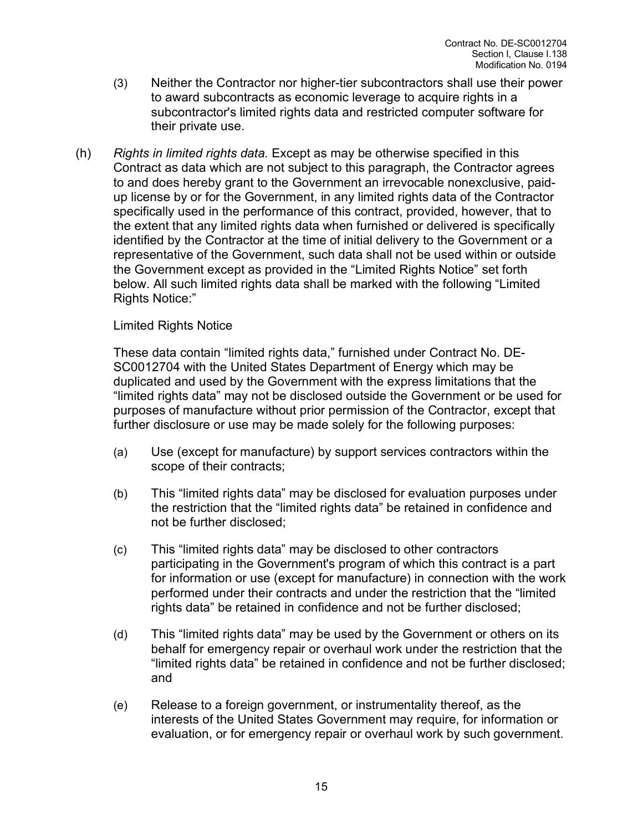- (3) Neither the Contractor nor higher-tier subcontractors shall use their power to award subcontracts as economic leverage to acquire rights in a subcontractor's limited rights data and restricted computer software for their private use.
- (h) *Rights in limited rights data.* Except as may be otherwise specified in this Contract as data which are not subject to this paragraph, the Contractor agrees to and does hereby grant to the Government an irrevocable nonexclusive, paidup license by or for the Government, in any limited rights data of the Contractor specifically used in the performance of this contract, provided, however, that to the extent that any limited rights data when furnished or delivered is specifically identified by the Contractor at the time of initial delivery to the Government or a representative of the Government, such data shall not be used within or outside the Government except as provided in the "Limited Rights Notice" set forth below. All such limited rights data shall be marked with the following "Limited Rights Notice:"

### Limited Rights Notice

These data contain "limited rights data," furnished under Contract No. DE-SC0012704 with the United States Department of Energy which may be duplicated and used by the Government with the express limitations that the "limited rights data" may not be disclosed outside the Government or be used for purposes of manufacture without prior permission of the Contractor, except that further disclosure or use may be made solely for the following purposes:

- (a) Use (except for manufacture) by support services contractors within the scope of their contracts;
- (b) This "limited rights data" may be disclosed for evaluation purposes under the restriction that the "limited rights data" be retained in confidence and not be further disclosed;
- (c) This "limited rights data" may be disclosed to other contractors participating in the Government's program of which this contract is a part for information or use (except for manufacture) in connection with the work performed under their contracts and under the restriction that the "limited rights data" be retained in confidence and not be further disclosed;
- (d) This "limited rights data" may be used by the Government or others on its behalf for emergency repair or overhaul work under the restriction that the "limited rights data" be retained in confidence and not be further disclosed; and
- (e) Release to a foreign government, or instrumentality thereof, as the interests of the United States Government may require, for information or evaluation, or for emergency repair or overhaul work by such government.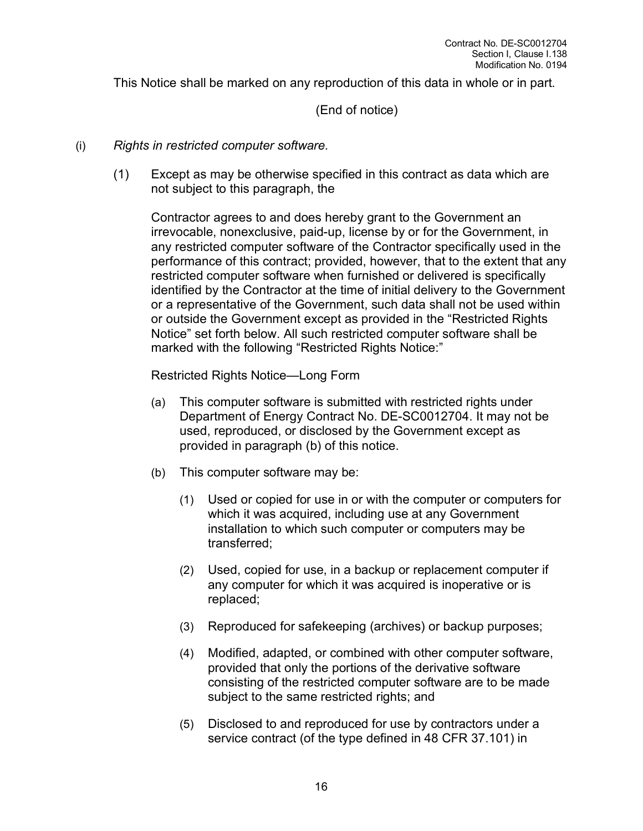This Notice shall be marked on any reproduction of this data in whole or in part.

### (End of notice)

- (i) *Rights in restricted computer software.* 
	- (1) Except as may be otherwise specified in this contract as data which are not subject to this paragraph, the

Contractor agrees to and does hereby grant to the Government an irrevocable, nonexclusive, paid-up, license by or for the Government, in any restricted computer software of the Contractor specifically used in the performance of this contract; provided, however, that to the extent that any restricted computer software when furnished or delivered is specifically identified by the Contractor at the time of initial delivery to the Government or a representative of the Government, such data shall not be used within or outside the Government except as provided in the "Restricted Rights Notice" set forth below. All such restricted computer software shall be marked with the following "Restricted Rights Notice:"

Restricted Rights Notice—Long Form

- (a) This computer software is submitted with restricted rights under Department of Energy Contract No. DE-SC0012704. It may not be used, reproduced, or disclosed by the Government except as provided in paragraph (b) of this notice.
- (b) This computer software may be:
	- (1) Used or copied for use in or with the computer or computers for which it was acquired, including use at any Government installation to which such computer or computers may be transferred;
	- (2) Used, copied for use, in a backup or replacement computer if any computer for which it was acquired is inoperative or is replaced;
	- (3) Reproduced for safekeeping (archives) or backup purposes;
	- (4) Modified, adapted, or combined with other computer software, provided that only the portions of the derivative software consisting of the restricted computer software are to be made subject to the same restricted rights; and
	- (5) Disclosed to and reproduced for use by contractors under a service contract (of the type defined in 48 CFR 37.101) in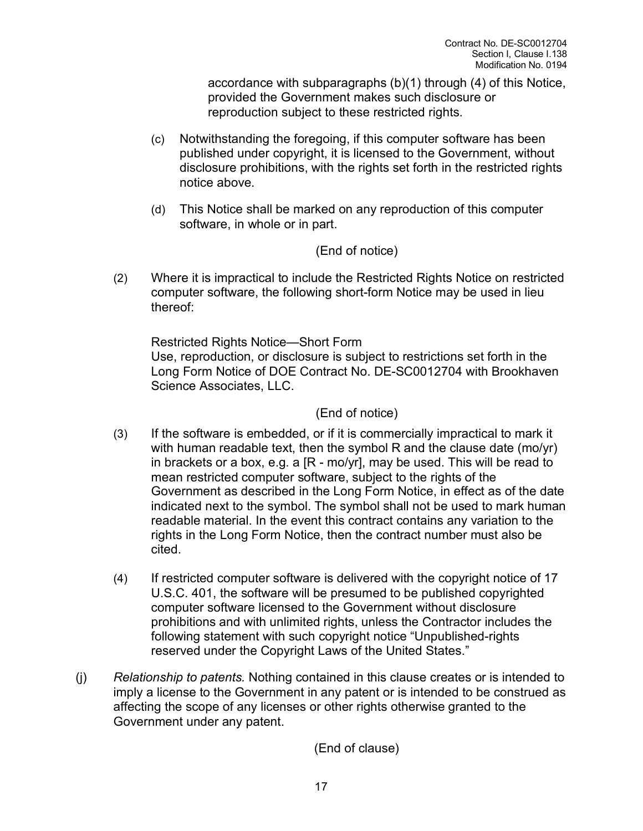accordance with subparagraphs (b)(1) through (4) of this Notice, provided the Government makes such disclosure or reproduction subject to these restricted rights.

- (c) Notwithstanding the foregoing, if this computer software has been published under copyright, it is licensed to the Government, without disclosure prohibitions, with the rights set forth in the restricted rights notice above.
- (d) This Notice shall be marked on any reproduction of this computer software, in whole or in part.

### (End of notice)

(2) Where it is impractical to include the Restricted Rights Notice on restricted computer software, the following short-form Notice may be used in lieu thereof:

Restricted Rights Notice—Short Form Use, reproduction, or disclosure is subject to restrictions set forth in the Long Form Notice of DOE Contract No. DE-SC0012704 with Brookhaven Science Associates, LLC.

### (End of notice)

- (3) If the software is embedded, or if it is commercially impractical to mark it with human readable text, then the symbol R and the clause date (mo/yr) in brackets or a box, e.g. a [R - mo/yr], may be used. This will be read to mean restricted computer software, subject to the rights of the Government as described in the Long Form Notice, in effect as of the date indicated next to the symbol. The symbol shall not be used to mark human readable material. In the event this contract contains any variation to the rights in the Long Form Notice, then the contract number must also be cited.
- (4) If restricted computer software is delivered with the copyright notice of 17 U.S.C. 401, the software will be presumed to be published copyrighted computer software licensed to the Government without disclosure prohibitions and with unlimited rights, unless the Contractor includes the following statement with such copyright notice "Unpublished-rights reserved under the Copyright Laws of the United States."
- (j) *Relationship to patents.* Nothing contained in this clause creates or is intended to imply a license to the Government in any patent or is intended to be construed as affecting the scope of any licenses or other rights otherwise granted to the Government under any patent.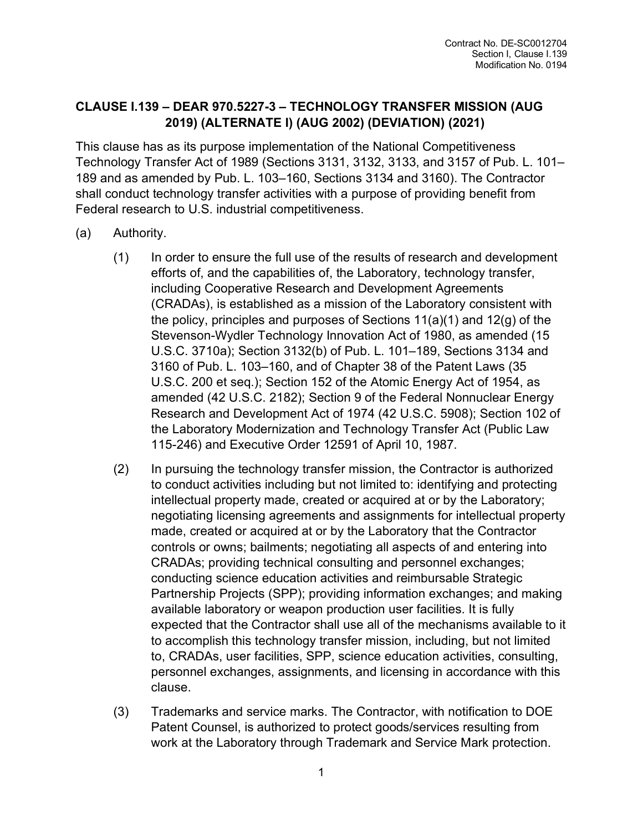## **CLAUSE I.139 – DEAR 970.5227-3 – TECHNOLOGY TRANSFER MISSION (AUG 2019) (ALTERNATE I) (AUG 2002) (DEVIATION) (2021)**

This clause has as its purpose implementation of the National Competitiveness Technology Transfer Act of 1989 (Sections 3131, 3132, 3133, and 3157 of Pub. L. 101– 189 and as amended by Pub. L. 103–160, Sections 3134 and 3160). The Contractor shall conduct technology transfer activities with a purpose of providing benefit from Federal research to U.S. industrial competitiveness.

- (a) Authority.
	- (1) In order to ensure the full use of the results of research and development efforts of, and the capabilities of, the Laboratory, technology transfer, including Cooperative Research and Development Agreements (CRADAs), is established as a mission of the Laboratory consistent with the policy, principles and purposes of Sections 11(a)(1) and 12(g) of the Stevenson-Wydler Technology Innovation Act of 1980, as amended (15 U.S.C. 3710a); Section 3132(b) of Pub. L. 101–189, Sections 3134 and 3160 of Pub. L. 103–160, and of Chapter 38 of the Patent Laws (35 U.S.C. 200 et seq.); Section 152 of the Atomic Energy Act of 1954, as amended (42 U.S.C. 2182); Section 9 of the Federal Nonnuclear Energy Research and Development Act of 1974 (42 U.S.C. 5908); Section 102 of the Laboratory Modernization and Technology Transfer Act (Public Law 115-246) and Executive Order 12591 of April 10, 1987.
	- (2) In pursuing the technology transfer mission, the Contractor is authorized to conduct activities including but not limited to: identifying and protecting intellectual property made, created or acquired at or by the Laboratory; negotiating licensing agreements and assignments for intellectual property made, created or acquired at or by the Laboratory that the Contractor controls or owns; bailments; negotiating all aspects of and entering into CRADAs; providing technical consulting and personnel exchanges; conducting science education activities and reimbursable Strategic Partnership Projects (SPP); providing information exchanges; and making available laboratory or weapon production user facilities. It is fully expected that the Contractor shall use all of the mechanisms available to it to accomplish this technology transfer mission, including, but not limited to, CRADAs, user facilities, SPP, science education activities, consulting, personnel exchanges, assignments, and licensing in accordance with this clause.
	- (3) Trademarks and service marks. The Contractor, with notification to DOE Patent Counsel, is authorized to protect goods/services resulting from work at the Laboratory through Trademark and Service Mark protection.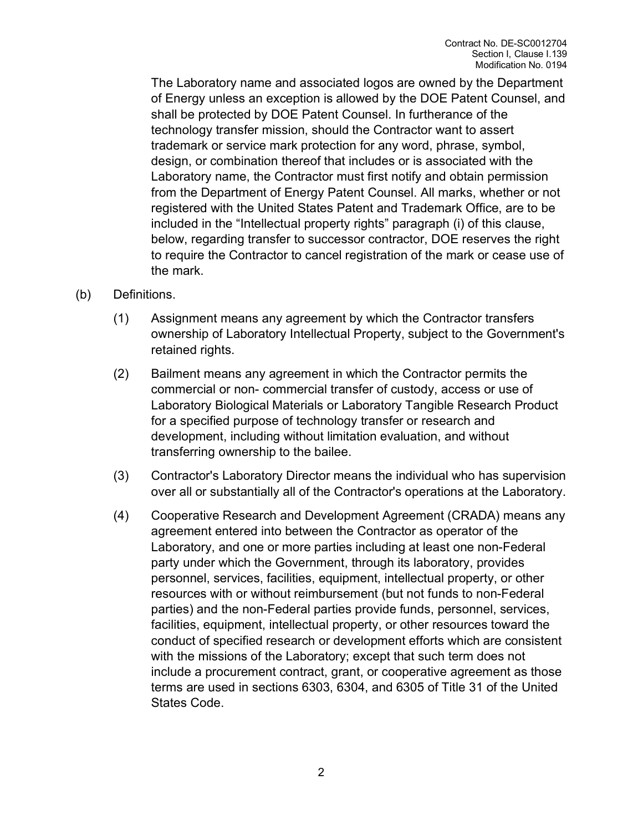The Laboratory name and associated logos are owned by the Department of Energy unless an exception is allowed by the DOE Patent Counsel, and shall be protected by DOE Patent Counsel. In furtherance of the technology transfer mission, should the Contractor want to assert trademark or service mark protection for any word, phrase, symbol, design, or combination thereof that includes or is associated with the Laboratory name, the Contractor must first notify and obtain permission from the Department of Energy Patent Counsel. All marks, whether or not registered with the United States Patent and Trademark Office, are to be included in the "Intellectual property rights" paragraph (i) of this clause, below, regarding transfer to successor contractor, DOE reserves the right to require the Contractor to cancel registration of the mark or cease use of the mark.

- (b) Definitions.
	- (1) Assignment means any agreement by which the Contractor transfers ownership of Laboratory Intellectual Property, subject to the Government's retained rights.
	- (2) Bailment means any agreement in which the Contractor permits the commercial or non- commercial transfer of custody, access or use of Laboratory Biological Materials or Laboratory Tangible Research Product for a specified purpose of technology transfer or research and development, including without limitation evaluation, and without transferring ownership to the bailee.
	- (3) Contractor's Laboratory Director means the individual who has supervision over all or substantially all of the Contractor's operations at the Laboratory.
	- (4) Cooperative Research and Development Agreement (CRADA) means any agreement entered into between the Contractor as operator of the Laboratory, and one or more parties including at least one non-Federal party under which the Government, through its laboratory, provides personnel, services, facilities, equipment, intellectual property, or other resources with or without reimbursement (but not funds to non-Federal parties) and the non-Federal parties provide funds, personnel, services, facilities, equipment, intellectual property, or other resources toward the conduct of specified research or development efforts which are consistent with the missions of the Laboratory; except that such term does not include a procurement contract, grant, or cooperative agreement as those terms are used in sections 6303, 6304, and 6305 of Title 31 of the United States Code.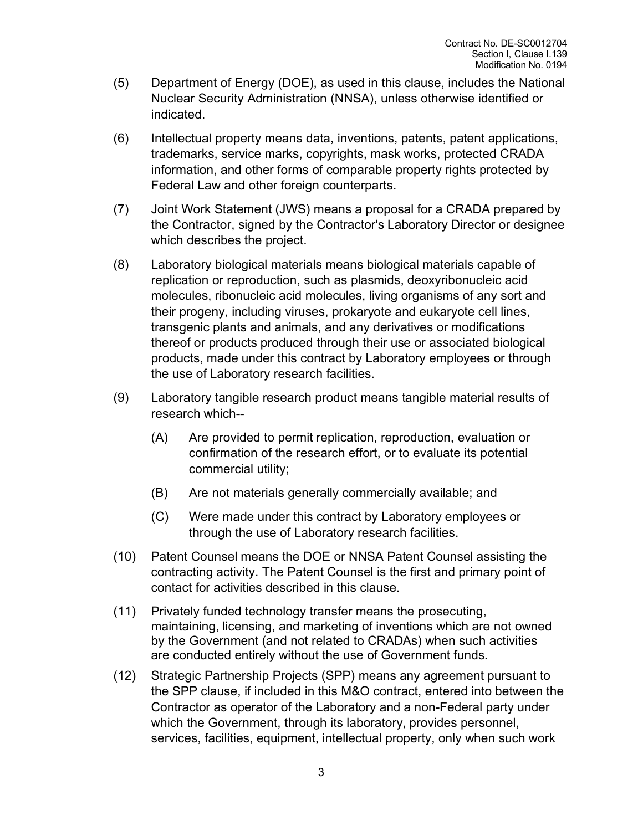- (5) Department of Energy (DOE), as used in this clause, includes the National Nuclear Security Administration (NNSA), unless otherwise identified or indicated.
- (6) Intellectual property means data, inventions, patents, patent applications, trademarks, service marks, copyrights, mask works, protected CRADA information, and other forms of comparable property rights protected by Federal Law and other foreign counterparts.
- (7) Joint Work Statement (JWS) means a proposal for a CRADA prepared by the Contractor, signed by the Contractor's Laboratory Director or designee which describes the project.
- (8) Laboratory biological materials means biological materials capable of replication or reproduction, such as plasmids, deoxyribonucleic acid molecules, ribonucleic acid molecules, living organisms of any sort and their progeny, including viruses, prokaryote and eukaryote cell lines, transgenic plants and animals, and any derivatives or modifications thereof or products produced through their use or associated biological products, made under this contract by Laboratory employees or through the use of Laboratory research facilities.
- (9) Laboratory tangible research product means tangible material results of research which--
	- (A) Are provided to permit replication, reproduction, evaluation or confirmation of the research effort, or to evaluate its potential commercial utility;
	- (B) Are not materials generally commercially available; and
	- (C) Were made under this contract by Laboratory employees or through the use of Laboratory research facilities.
- (10) Patent Counsel means the DOE or NNSA Patent Counsel assisting the contracting activity. The Patent Counsel is the first and primary point of contact for activities described in this clause.
- (11) Privately funded technology transfer means the prosecuting, maintaining, licensing, and marketing of inventions which are not owned by the Government (and not related to CRADAs) when such activities are conducted entirely without the use of Government funds.
- (12) Strategic Partnership Projects (SPP) means any agreement pursuant to the SPP clause, if included in this M&O contract, entered into between the Contractor as operator of the Laboratory and a non-Federal party under which the Government, through its laboratory, provides personnel, services, facilities, equipment, intellectual property, only when such work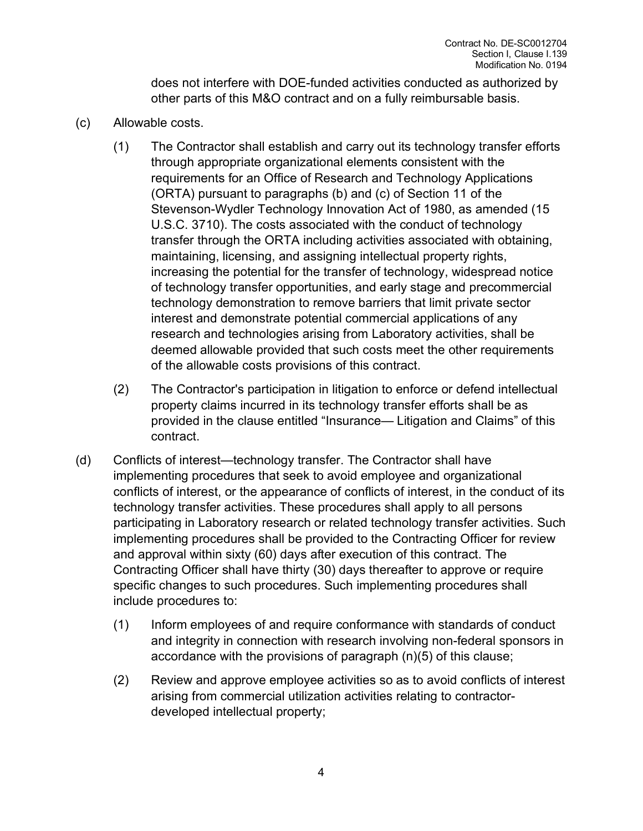does not interfere with DOE-funded activities conducted as authorized by other parts of this M&O contract and on a fully reimbursable basis.

- (c) Allowable costs.
	- (1) The Contractor shall establish and carry out its technology transfer efforts through appropriate organizational elements consistent with the requirements for an Office of Research and Technology Applications (ORTA) pursuant to paragraphs (b) and (c) of Section 11 of the Stevenson-Wydler Technology Innovation Act of 1980, as amended (15 U.S.C. 3710). The costs associated with the conduct of technology transfer through the ORTA including activities associated with obtaining, maintaining, licensing, and assigning intellectual property rights, increasing the potential for the transfer of technology, widespread notice of technology transfer opportunities, and early stage and precommercial technology demonstration to remove barriers that limit private sector interest and demonstrate potential commercial applications of any research and technologies arising from Laboratory activities, shall be deemed allowable provided that such costs meet the other requirements of the allowable costs provisions of this contract.
	- (2) The Contractor's participation in litigation to enforce or defend intellectual property claims incurred in its technology transfer efforts shall be as provided in the clause entitled "Insurance— Litigation and Claims" of this contract.
- (d) Conflicts of interest—technology transfer. The Contractor shall have implementing procedures that seek to avoid employee and organizational conflicts of interest, or the appearance of conflicts of interest, in the conduct of its technology transfer activities. These procedures shall apply to all persons participating in Laboratory research or related technology transfer activities. Such implementing procedures shall be provided to the Contracting Officer for review and approval within sixty (60) days after execution of this contract. The Contracting Officer shall have thirty (30) days thereafter to approve or require specific changes to such procedures. Such implementing procedures shall include procedures to:
	- (1) Inform employees of and require conformance with standards of conduct and integrity in connection with research involving non-federal sponsors in accordance with the provisions of paragraph (n)(5) of this clause;
	- (2) Review and approve employee activities so as to avoid conflicts of interest arising from commercial utilization activities relating to contractordeveloped intellectual property;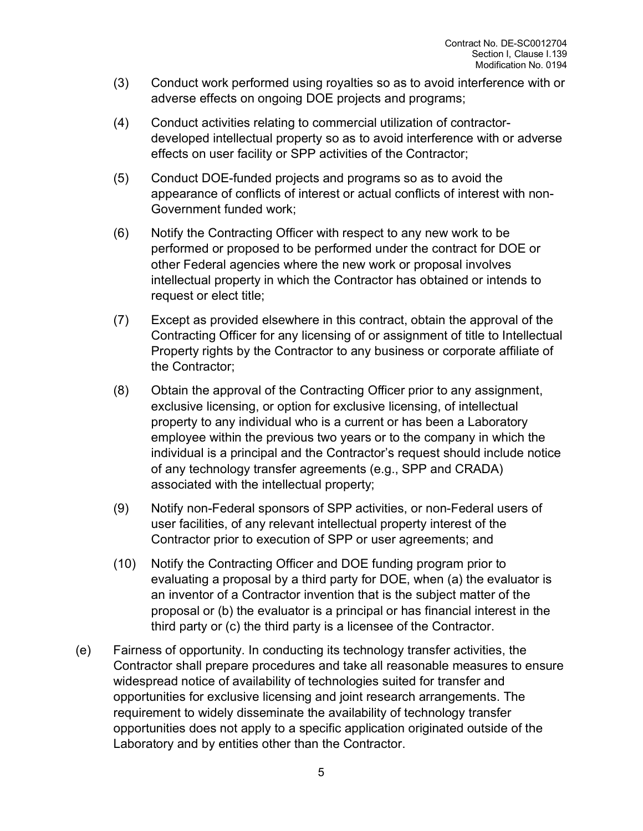- (3) Conduct work performed using royalties so as to avoid interference with or adverse effects on ongoing DOE projects and programs;
- (4) Conduct activities relating to commercial utilization of contractordeveloped intellectual property so as to avoid interference with or adverse effects on user facility or SPP activities of the Contractor;
- (5) Conduct DOE-funded projects and programs so as to avoid the appearance of conflicts of interest or actual conflicts of interest with non-Government funded work;
- (6) Notify the Contracting Officer with respect to any new work to be performed or proposed to be performed under the contract for DOE or other Federal agencies where the new work or proposal involves intellectual property in which the Contractor has obtained or intends to request or elect title;
- (7) Except as provided elsewhere in this contract, obtain the approval of the Contracting Officer for any licensing of or assignment of title to Intellectual Property rights by the Contractor to any business or corporate affiliate of the Contractor;
- (8) Obtain the approval of the Contracting Officer prior to any assignment, exclusive licensing, or option for exclusive licensing, of intellectual property to any individual who is a current or has been a Laboratory employee within the previous two years or to the company in which the individual is a principal and the Contractor's request should include notice of any technology transfer agreements (e.g., SPP and CRADA) associated with the intellectual property;
- (9) Notify non-Federal sponsors of SPP activities, or non-Federal users of user facilities, of any relevant intellectual property interest of the Contractor prior to execution of SPP or user agreements; and
- (10) Notify the Contracting Officer and DOE funding program prior to evaluating a proposal by a third party for DOE, when (a) the evaluator is an inventor of a Contractor invention that is the subject matter of the proposal or (b) the evaluator is a principal or has financial interest in the third party or (c) the third party is a licensee of the Contractor.
- (e) Fairness of opportunity. In conducting its technology transfer activities, the Contractor shall prepare procedures and take all reasonable measures to ensure widespread notice of availability of technologies suited for transfer and opportunities for exclusive licensing and joint research arrangements. The requirement to widely disseminate the availability of technology transfer opportunities does not apply to a specific application originated outside of the Laboratory and by entities other than the Contractor.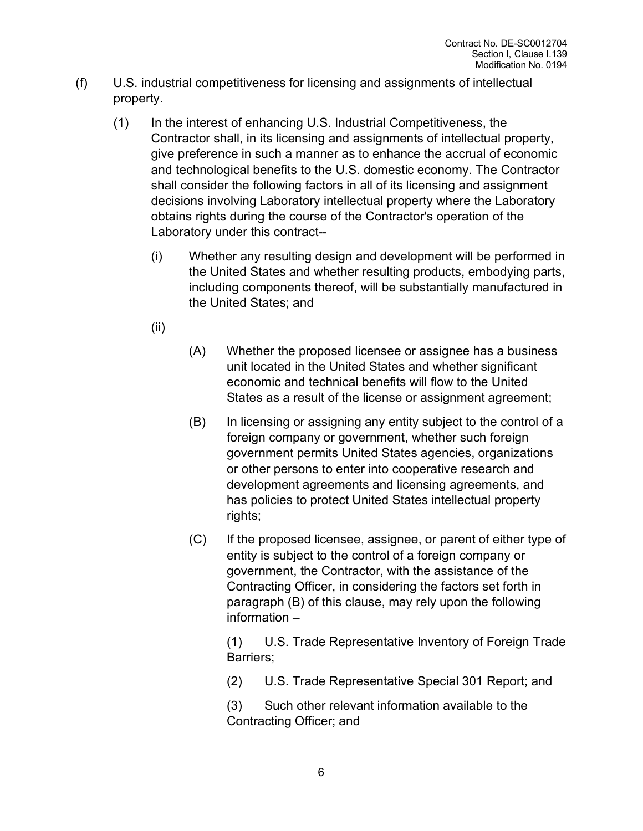- (f) U.S. industrial competitiveness for licensing and assignments of intellectual property.
	- (1) In the interest of enhancing U.S. Industrial Competitiveness, the Contractor shall, in its licensing and assignments of intellectual property, give preference in such a manner as to enhance the accrual of economic and technological benefits to the U.S. domestic economy. The Contractor shall consider the following factors in all of its licensing and assignment decisions involving Laboratory intellectual property where the Laboratory obtains rights during the course of the Contractor's operation of the Laboratory under this contract--
		- (i) Whether any resulting design and development will be performed in the United States and whether resulting products, embodying parts, including components thereof, will be substantially manufactured in the United States; and
		- (ii)
- (A) Whether the proposed licensee or assignee has a business unit located in the United States and whether significant economic and technical benefits will flow to the United States as a result of the license or assignment agreement;
- (B) In licensing or assigning any entity subject to the control of a foreign company or government, whether such foreign government permits United States agencies, organizations or other persons to enter into cooperative research and development agreements and licensing agreements, and has policies to protect United States intellectual property rights;
- (C) If the proposed licensee, assignee, or parent of either type of entity is subject to the control of a foreign company or government, the Contractor, with the assistance of the Contracting Officer, in considering the factors set forth in paragraph (B) of this clause, may rely upon the following information –

(1) U.S. Trade Representative Inventory of Foreign Trade Barriers;

(2) U.S. Trade Representative Special 301 Report; and

(3) Such other relevant information available to the Contracting Officer; and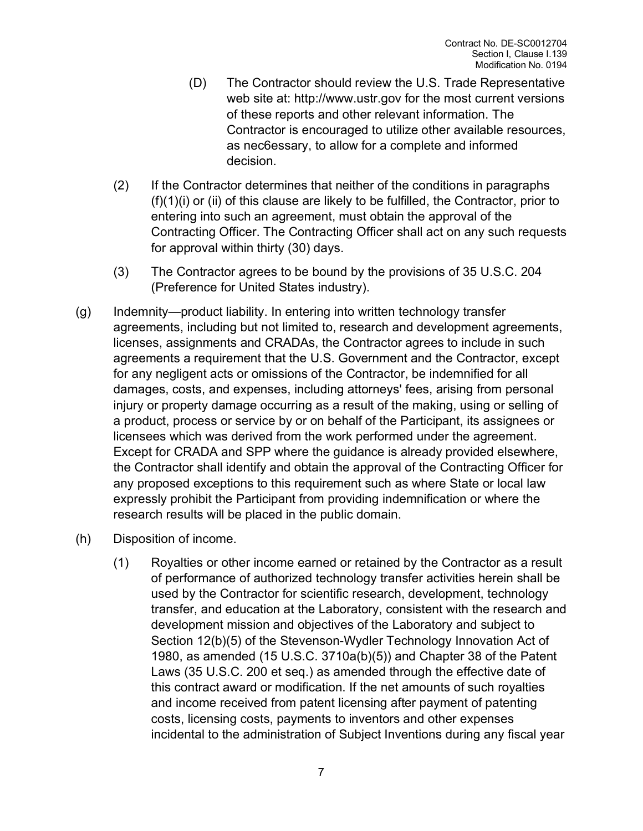- (D) The Contractor should review the U.S. Trade Representative web site at: http://www.ustr.gov for the most current versions of these reports and other relevant information. The Contractor is encouraged to utilize other available resources, as nec6essary, to allow for a complete and informed decision.
- (2) If the Contractor determines that neither of the conditions in paragraphs (f)(1)(i) or (ii) of this clause are likely to be fulfilled, the Contractor, prior to entering into such an agreement, must obtain the approval of the Contracting Officer. The Contracting Officer shall act on any such requests for approval within thirty (30) days.
- (3) The Contractor agrees to be bound by the provisions of 35 U.S.C. 204 (Preference for United States industry).
- (g) Indemnity—product liability. In entering into written technology transfer agreements, including but not limited to, research and development agreements, licenses, assignments and CRADAs, the Contractor agrees to include in such agreements a requirement that the U.S. Government and the Contractor, except for any negligent acts or omissions of the Contractor, be indemnified for all damages, costs, and expenses, including attorneys' fees, arising from personal injury or property damage occurring as a result of the making, using or selling of a product, process or service by or on behalf of the Participant, its assignees or licensees which was derived from the work performed under the agreement. Except for CRADA and SPP where the guidance is already provided elsewhere, the Contractor shall identify and obtain the approval of the Contracting Officer for any proposed exceptions to this requirement such as where State or local law expressly prohibit the Participant from providing indemnification or where the research results will be placed in the public domain.
- (h) Disposition of income.
	- (1) Royalties or other income earned or retained by the Contractor as a result of performance of authorized technology transfer activities herein shall be used by the Contractor for scientific research, development, technology transfer, and education at the Laboratory, consistent with the research and development mission and objectives of the Laboratory and subject to Section 12(b)(5) of the Stevenson-Wydler Technology Innovation Act of 1980, as amended (15 U.S.C. 3710a(b)(5)) and Chapter 38 of the Patent Laws (35 U.S.C. 200 et seq.) as amended through the effective date of this contract award or modification. If the net amounts of such royalties and income received from patent licensing after payment of patenting costs, licensing costs, payments to inventors and other expenses incidental to the administration of Subject Inventions during any fiscal year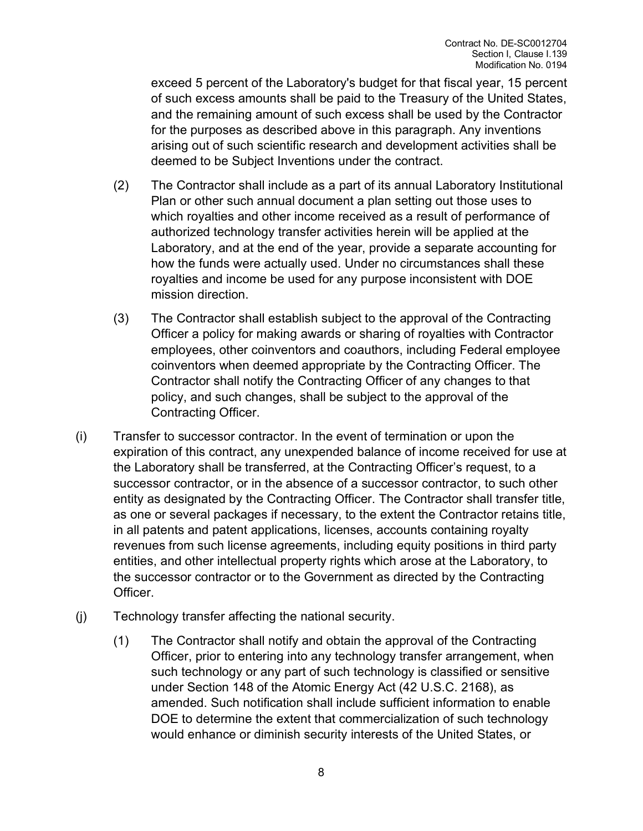exceed 5 percent of the Laboratory's budget for that fiscal year, 15 percent of such excess amounts shall be paid to the Treasury of the United States, and the remaining amount of such excess shall be used by the Contractor for the purposes as described above in this paragraph. Any inventions arising out of such scientific research and development activities shall be deemed to be Subject Inventions under the contract.

- (2) The Contractor shall include as a part of its annual Laboratory Institutional Plan or other such annual document a plan setting out those uses to which royalties and other income received as a result of performance of authorized technology transfer activities herein will be applied at the Laboratory, and at the end of the year, provide a separate accounting for how the funds were actually used. Under no circumstances shall these royalties and income be used for any purpose inconsistent with DOE mission direction.
- (3) The Contractor shall establish subject to the approval of the Contracting Officer a policy for making awards or sharing of royalties with Contractor employees, other coinventors and coauthors, including Federal employee coinventors when deemed appropriate by the Contracting Officer. The Contractor shall notify the Contracting Officer of any changes to that policy, and such changes, shall be subject to the approval of the Contracting Officer.
- (i) Transfer to successor contractor. In the event of termination or upon the expiration of this contract, any unexpended balance of income received for use at the Laboratory shall be transferred, at the Contracting Officer's request, to a successor contractor, or in the absence of a successor contractor, to such other entity as designated by the Contracting Officer. The Contractor shall transfer title, as one or several packages if necessary, to the extent the Contractor retains title, in all patents and patent applications, licenses, accounts containing royalty revenues from such license agreements, including equity positions in third party entities, and other intellectual property rights which arose at the Laboratory, to the successor contractor or to the Government as directed by the Contracting Officer.
- (j) Technology transfer affecting the national security.
	- (1) The Contractor shall notify and obtain the approval of the Contracting Officer, prior to entering into any technology transfer arrangement, when such technology or any part of such technology is classified or sensitive under Section 148 of the Atomic Energy Act (42 U.S.C. 2168), as amended. Such notification shall include sufficient information to enable DOE to determine the extent that commercialization of such technology would enhance or diminish security interests of the United States, or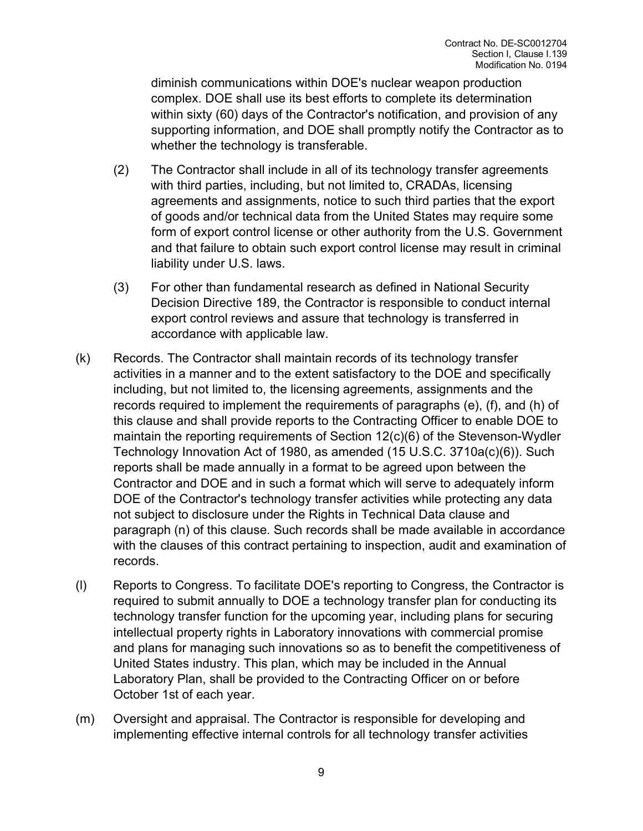diminish communications within DOE's nuclear weapon production complex. DOE shall use its best efforts to complete its determination within sixty (60) days of the Contractor's notification, and provision of any supporting information, and DOE shall promptly notify the Contractor as to whether the technology is transferable.

- (2) The Contractor shall include in all of its technology transfer agreements with third parties, including, but not limited to, CRADAs, licensing agreements and assignments, notice to such third parties that the export of goods and/or technical data from the United States may require some form of export control license or other authority from the U.S. Government and that failure to obtain such export control license may result in criminal liability under U.S. laws.
- (3) For other than fundamental research as defined in National Security Decision Directive 189, the Contractor is responsible to conduct internal export control reviews and assure that technology is transferred in accordance with applicable law.
- (k) Records. The Contractor shall maintain records of its technology transfer activities in a manner and to the extent satisfactory to the DOE and specifically including, but not limited to, the licensing agreements, assignments and the records required to implement the requirements of paragraphs (e), (f), and (h) of this clause and shall provide reports to the Contracting Officer to enable DOE to maintain the reporting requirements of Section 12(c)(6) of the Stevenson-Wydler Technology Innovation Act of 1980, as amended (15 U.S.C. 3710a(c)(6)). Such reports shall be made annually in a format to be agreed upon between the Contractor and DOE and in such a format which will serve to adequately inform DOE of the Contractor's technology transfer activities while protecting any data not subject to disclosure under the Rights in Technical Data clause and paragraph (n) of this clause. Such records shall be made available in accordance with the clauses of this contract pertaining to inspection, audit and examination of records.
- (l) Reports to Congress. To facilitate DOE's reporting to Congress, the Contractor is required to submit annually to DOE a technology transfer plan for conducting its technology transfer function for the upcoming year, including plans for securing intellectual property rights in Laboratory innovations with commercial promise and plans for managing such innovations so as to benefit the competitiveness of United States industry. This plan, which may be included in the Annual Laboratory Plan, shall be provided to the Contracting Officer on or before October 1st of each year.
- (m) Oversight and appraisal. The Contractor is responsible for developing and implementing effective internal controls for all technology transfer activities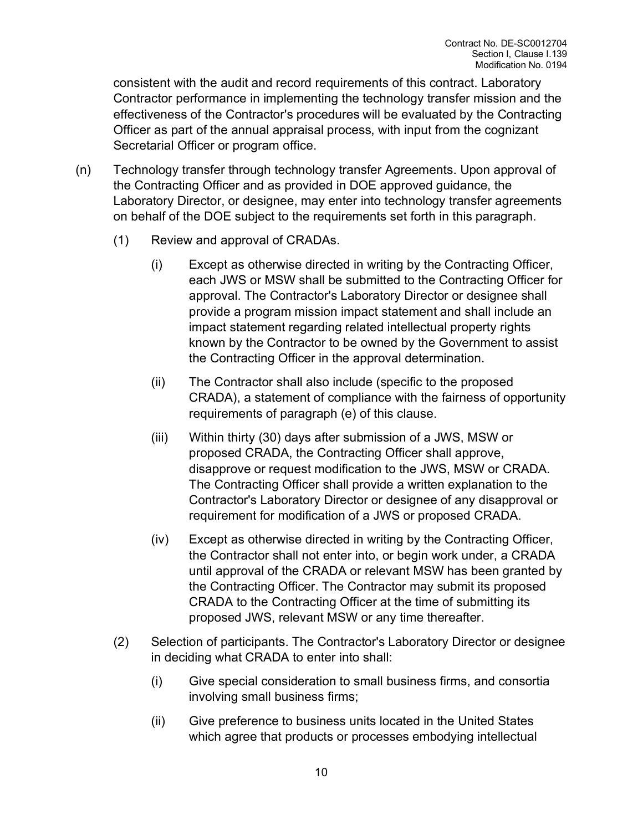consistent with the audit and record requirements of this contract. Laboratory Contractor performance in implementing the technology transfer mission and the effectiveness of the Contractor's procedures will be evaluated by the Contracting Officer as part of the annual appraisal process, with input from the cognizant Secretarial Officer or program office.

- (n) Technology transfer through technology transfer Agreements. Upon approval of the Contracting Officer and as provided in DOE approved guidance, the Laboratory Director, or designee, may enter into technology transfer agreements on behalf of the DOE subject to the requirements set forth in this paragraph.
	- (1) Review and approval of CRADAs.
		- (i) Except as otherwise directed in writing by the Contracting Officer, each JWS or MSW shall be submitted to the Contracting Officer for approval. The Contractor's Laboratory Director or designee shall provide a program mission impact statement and shall include an impact statement regarding related intellectual property rights known by the Contractor to be owned by the Government to assist the Contracting Officer in the approval determination.
		- (ii) The Contractor shall also include (specific to the proposed CRADA), a statement of compliance with the fairness of opportunity requirements of paragraph (e) of this clause.
		- (iii) Within thirty (30) days after submission of a JWS, MSW or proposed CRADA, the Contracting Officer shall approve, disapprove or request modification to the JWS, MSW or CRADA. The Contracting Officer shall provide a written explanation to the Contractor's Laboratory Director or designee of any disapproval or requirement for modification of a JWS or proposed CRADA.
		- (iv) Except as otherwise directed in writing by the Contracting Officer, the Contractor shall not enter into, or begin work under, a CRADA until approval of the CRADA or relevant MSW has been granted by the Contracting Officer. The Contractor may submit its proposed CRADA to the Contracting Officer at the time of submitting its proposed JWS, relevant MSW or any time thereafter.
	- (2) Selection of participants. The Contractor's Laboratory Director or designee in deciding what CRADA to enter into shall:
		- (i) Give special consideration to small business firms, and consortia involving small business firms;
		- (ii) Give preference to business units located in the United States which agree that products or processes embodying intellectual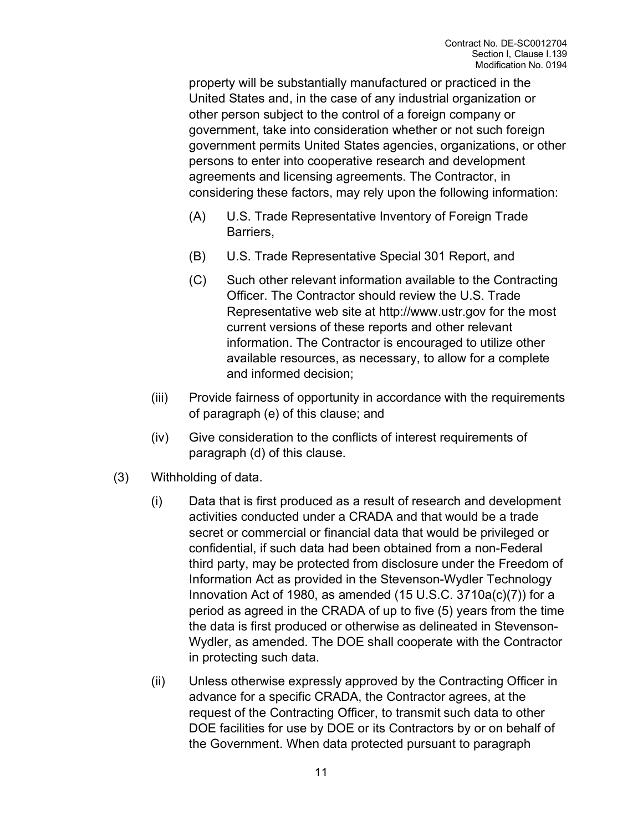property will be substantially manufactured or practiced in the United States and, in the case of any industrial organization or other person subject to the control of a foreign company or government, take into consideration whether or not such foreign government permits United States agencies, organizations, or other persons to enter into cooperative research and development agreements and licensing agreements. The Contractor, in considering these factors, may rely upon the following information:

- (A) U.S. Trade Representative Inventory of Foreign Trade Barriers,
- (B) U.S. Trade Representative Special 301 Report, and
- (C) Such other relevant information available to the Contracting Officer. The Contractor should review the U.S. Trade Representative web site at http://www.ustr.gov for the most current versions of these reports and other relevant information. The Contractor is encouraged to utilize other available resources, as necessary, to allow for a complete and informed decision;
- (iii) Provide fairness of opportunity in accordance with the requirements of paragraph (e) of this clause; and
- (iv) Give consideration to the conflicts of interest requirements of paragraph (d) of this clause.
- (3) Withholding of data.
	- (i) Data that is first produced as a result of research and development activities conducted under a CRADA and that would be a trade secret or commercial or financial data that would be privileged or confidential, if such data had been obtained from a non-Federal third party, may be protected from disclosure under the Freedom of Information Act as provided in the Stevenson-Wydler Technology Innovation Act of 1980, as amended (15 U.S.C. 3710a(c)(7)) for a period as agreed in the CRADA of up to five (5) years from the time the data is first produced or otherwise as delineated in Stevenson-Wydler, as amended. The DOE shall cooperate with the Contractor in protecting such data.
	- (ii) Unless otherwise expressly approved by the Contracting Officer in advance for a specific CRADA, the Contractor agrees, at the request of the Contracting Officer, to transmit such data to other DOE facilities for use by DOE or its Contractors by or on behalf of the Government. When data protected pursuant to paragraph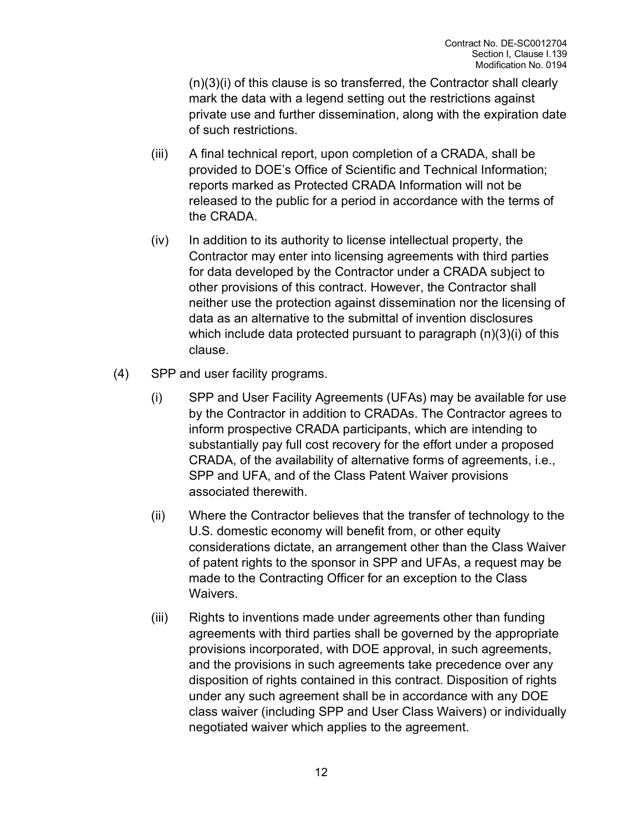(n)(3)(i) of this clause is so transferred, the Contractor shall clearly mark the data with a legend setting out the restrictions against private use and further dissemination, along with the expiration date of such restrictions.

- (iii) A final technical report, upon completion of a CRADA, shall be provided to DOE's Office of Scientific and Technical Information; reports marked as Protected CRADA Information will not be released to the public for a period in accordance with the terms of the CRADA.
- (iv) In addition to its authority to license intellectual property, the Contractor may enter into licensing agreements with third parties for data developed by the Contractor under a CRADA subject to other provisions of this contract. However, the Contractor shall neither use the protection against dissemination nor the licensing of data as an alternative to the submittal of invention disclosures which include data protected pursuant to paragraph (n)(3)(i) of this clause.
- (4) SPP and user facility programs.
	- (i) SPP and User Facility Agreements (UFAs) may be available for use by the Contractor in addition to CRADAs. The Contractor agrees to inform prospective CRADA participants, which are intending to substantially pay full cost recovery for the effort under a proposed CRADA, of the availability of alternative forms of agreements, i.e., SPP and UFA, and of the Class Patent Waiver provisions associated therewith.
	- (ii) Where the Contractor believes that the transfer of technology to the U.S. domestic economy will benefit from, or other equity considerations dictate, an arrangement other than the Class Waiver of patent rights to the sponsor in SPP and UFAs, a request may be made to the Contracting Officer for an exception to the Class Waivers.
	- (iii) Rights to inventions made under agreements other than funding agreements with third parties shall be governed by the appropriate provisions incorporated, with DOE approval, in such agreements, and the provisions in such agreements take precedence over any disposition of rights contained in this contract. Disposition of rights under any such agreement shall be in accordance with any DOE class waiver (including SPP and User Class Waivers) or individually negotiated waiver which applies to the agreement.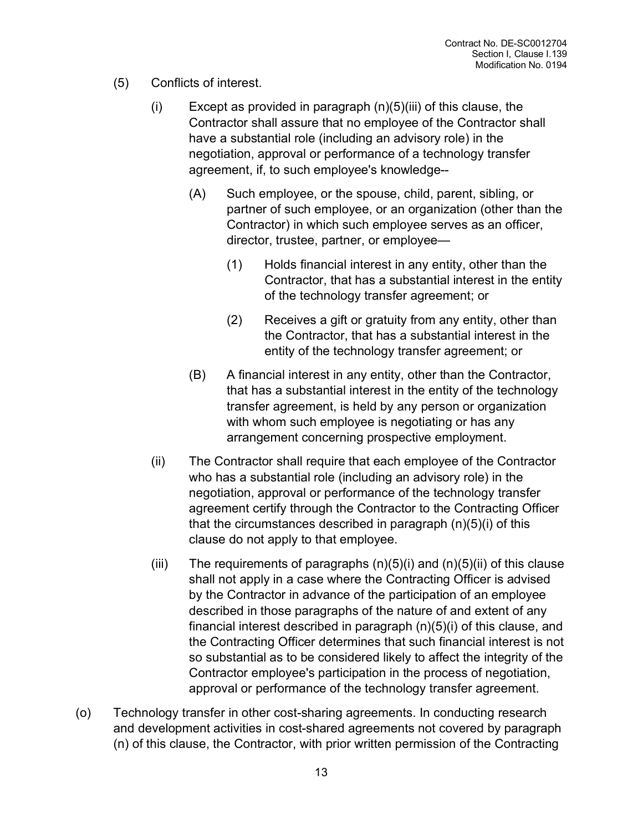- (5) Conflicts of interest.
	- $(i)$  Except as provided in paragraph  $(n)(5)(iii)$  of this clause, the Contractor shall assure that no employee of the Contractor shall have a substantial role (including an advisory role) in the negotiation, approval or performance of a technology transfer agreement, if, to such employee's knowledge--
		- (A) Such employee, or the spouse, child, parent, sibling, or partner of such employee, or an organization (other than the Contractor) in which such employee serves as an officer, director, trustee, partner, or employee—
			- (1) Holds financial interest in any entity, other than the Contractor, that has a substantial interest in the entity of the technology transfer agreement; or
			- (2) Receives a gift or gratuity from any entity, other than the Contractor, that has a substantial interest in the entity of the technology transfer agreement; or
		- (B) A financial interest in any entity, other than the Contractor, that has a substantial interest in the entity of the technology transfer agreement, is held by any person or organization with whom such employee is negotiating or has any arrangement concerning prospective employment.
	- (ii) The Contractor shall require that each employee of the Contractor who has a substantial role (including an advisory role) in the negotiation, approval or performance of the technology transfer agreement certify through the Contractor to the Contracting Officer that the circumstances described in paragraph (n)(5)(i) of this clause do not apply to that employee.
	- (iii) The requirements of paragraphs  $(n)(5)(i)$  and  $(n)(5)(ii)$  of this clause shall not apply in a case where the Contracting Officer is advised by the Contractor in advance of the participation of an employee described in those paragraphs of the nature of and extent of any financial interest described in paragraph (n)(5)(i) of this clause, and the Contracting Officer determines that such financial interest is not so substantial as to be considered likely to affect the integrity of the Contractor employee's participation in the process of negotiation, approval or performance of the technology transfer agreement.
- (o) Technology transfer in other cost-sharing agreements. In conducting research and development activities in cost-shared agreements not covered by paragraph (n) of this clause, the Contractor, with prior written permission of the Contracting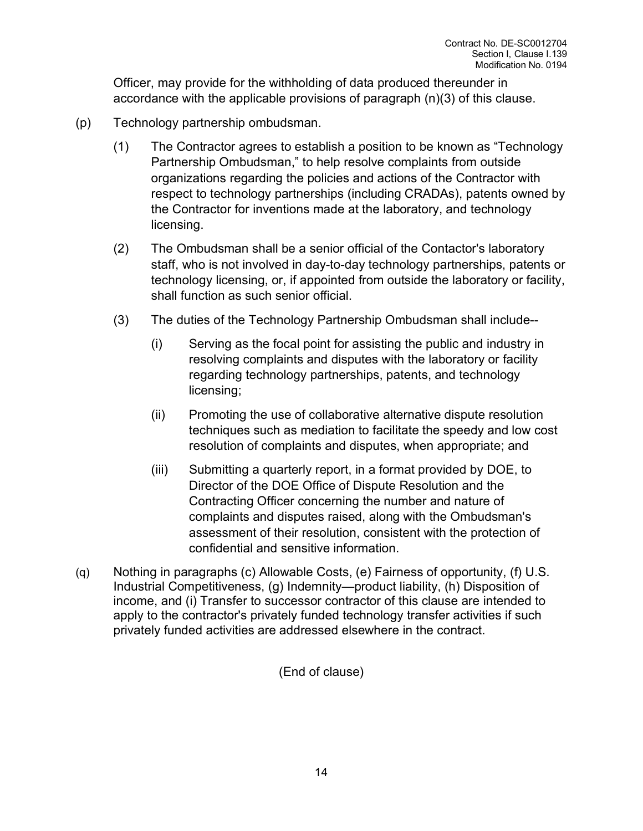Officer, may provide for the withholding of data produced thereunder in accordance with the applicable provisions of paragraph (n)(3) of this clause.

- (p) Technology partnership ombudsman.
	- (1) The Contractor agrees to establish a position to be known as "Technology Partnership Ombudsman," to help resolve complaints from outside organizations regarding the policies and actions of the Contractor with respect to technology partnerships (including CRADAs), patents owned by the Contractor for inventions made at the laboratory, and technology licensing.
	- (2) The Ombudsman shall be a senior official of the Contactor's laboratory staff, who is not involved in day-to-day technology partnerships, patents or technology licensing, or, if appointed from outside the laboratory or facility, shall function as such senior official.
	- (3) The duties of the Technology Partnership Ombudsman shall include--
		- (i) Serving as the focal point for assisting the public and industry in resolving complaints and disputes with the laboratory or facility regarding technology partnerships, patents, and technology licensing;
		- (ii) Promoting the use of collaborative alternative dispute resolution techniques such as mediation to facilitate the speedy and low cost resolution of complaints and disputes, when appropriate; and
		- (iii) Submitting a quarterly report, in a format provided by DOE, to Director of the DOE Office of Dispute Resolution and the Contracting Officer concerning the number and nature of complaints and disputes raised, along with the Ombudsman's assessment of their resolution, consistent with the protection of confidential and sensitive information.
- (q) Nothing in paragraphs (c) Allowable Costs, (e) Fairness of opportunity, (f) U.S. Industrial Competitiveness, (g) Indemnity—product liability, (h) Disposition of income, and (i) Transfer to successor contractor of this clause are intended to apply to the contractor's privately funded technology transfer activities if such privately funded activities are addressed elsewhere in the contract.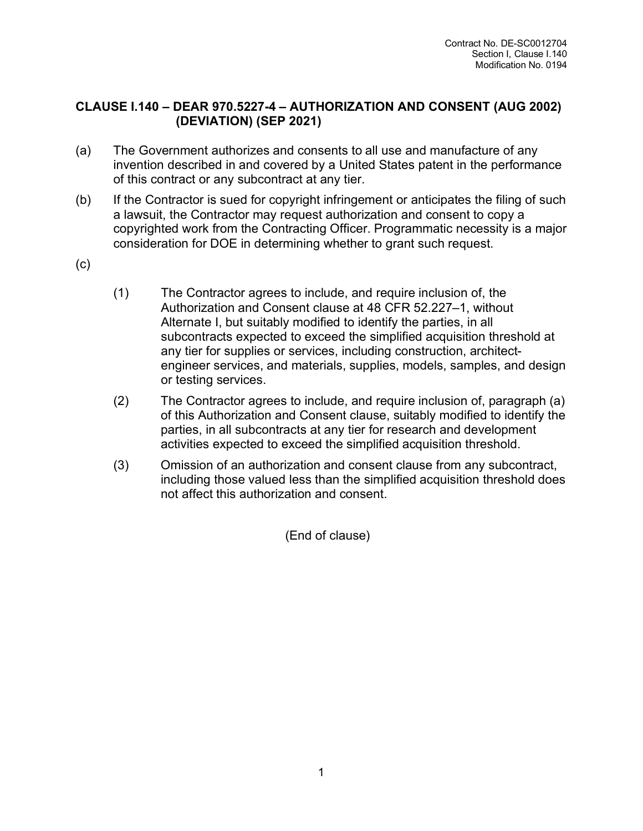### **CLAUSE I.140 – DEAR 970.5227-4 – AUTHORIZATION AND CONSENT (AUG 2002) (DEVIATION) (SEP 2021)**

- (a) The Government authorizes and consents to all use and manufacture of any invention described in and covered by a United States patent in the performance of this contract or any subcontract at any tier.
- (b) If the Contractor is sued for copyright infringement or anticipates the filing of such a lawsuit, the Contractor may request authorization and consent to copy a copyrighted work from the Contracting Officer. Programmatic necessity is a major consideration for DOE in determining whether to grant such request.
- (c)
- (1) The Contractor agrees to include, and require inclusion of, the Authorization and Consent clause at 48 CFR 52.227–1, without Alternate I, but suitably modified to identify the parties, in all subcontracts expected to exceed the simplified acquisition threshold at any tier for supplies or services, including construction, architectengineer services, and materials, supplies, models, samples, and design or testing services.
- (2) The Contractor agrees to include, and require inclusion of, paragraph (a) of this Authorization and Consent clause, suitably modified to identify the parties, in all subcontracts at any tier for research and development activities expected to exceed the simplified acquisition threshold.
- (3) Omission of an authorization and consent clause from any subcontract, including those valued less than the simplified acquisition threshold does not affect this authorization and consent.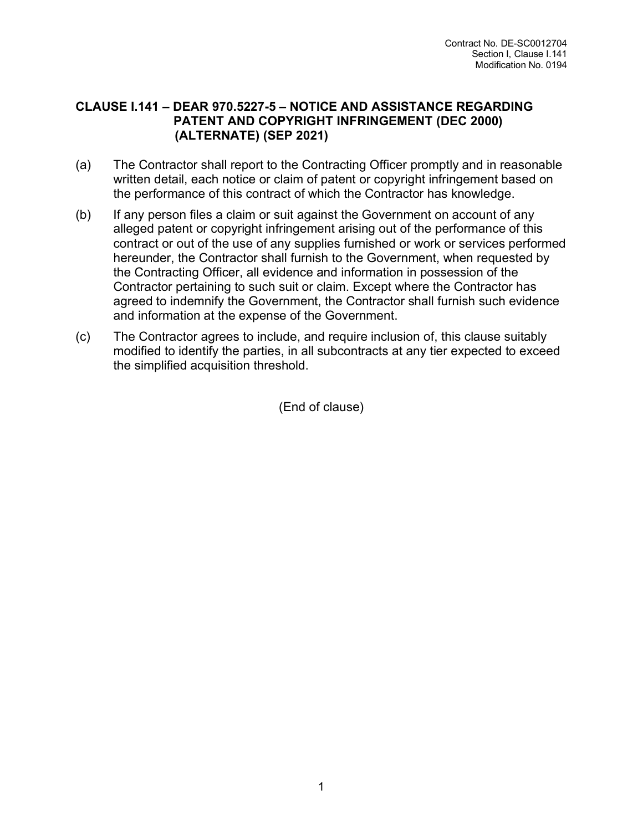### **CLAUSE I.141 – DEAR 970.5227-5 – NOTICE AND ASSISTANCE REGARDING PATENT AND COPYRIGHT INFRINGEMENT (DEC 2000) (ALTERNATE) (SEP 2021)**

- (a) The Contractor shall report to the Contracting Officer promptly and in reasonable written detail, each notice or claim of patent or copyright infringement based on the performance of this contract of which the Contractor has knowledge.
- (b) If any person files a claim or suit against the Government on account of any alleged patent or copyright infringement arising out of the performance of this contract or out of the use of any supplies furnished or work or services performed hereunder, the Contractor shall furnish to the Government, when requested by the Contracting Officer, all evidence and information in possession of the Contractor pertaining to such suit or claim. Except where the Contractor has agreed to indemnify the Government, the Contractor shall furnish such evidence and information at the expense of the Government.
- (c) The Contractor agrees to include, and require inclusion of, this clause suitably modified to identify the parties, in all subcontracts at any tier expected to exceed the simplified acquisition threshold.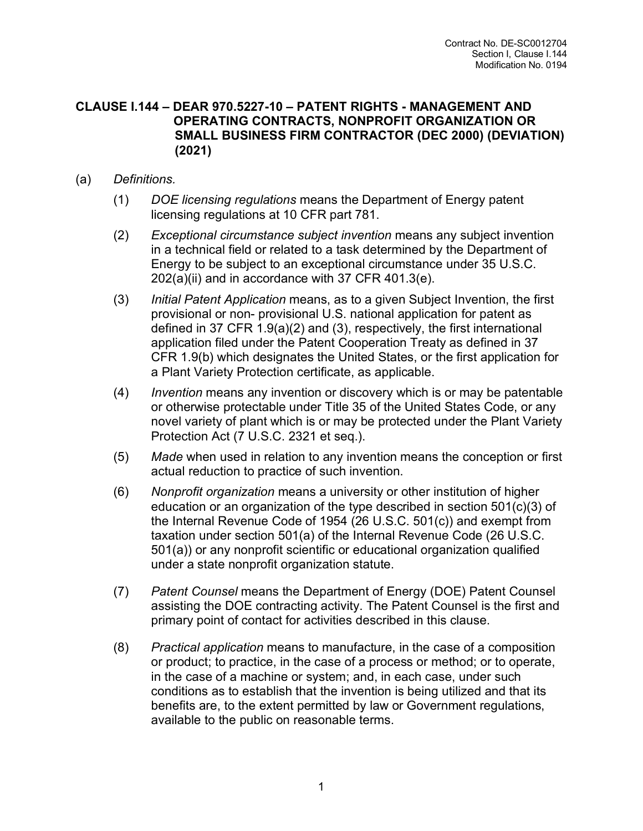#### **CLAUSE I.144 – DEAR 970.5227-10 – PATENT RIGHTS - MANAGEMENT AND OPERATING CONTRACTS, NONPROFIT ORGANIZATION OR SMALL BUSINESS FIRM CONTRACTOR (DEC 2000) (DEVIATION) (2021)**

- (a) *Definitions.*
	- (1) *DOE licensing regulations* means the Department of Energy patent licensing regulations at 10 CFR part 781.
	- (2) *Exceptional circumstance subject invention* means any subject invention in a technical field or related to a task determined by the Department of Energy to be subject to an exceptional circumstance under 35 U.S.C. 202(a)(ii) and in accordance with 37 CFR 401.3(e).
	- (3) *Initial Patent Application* means, as to a given Subject Invention, the first provisional or non- provisional U.S. national application for patent as defined in 37 CFR 1.9(a)(2) and (3), respectively, the first international application filed under the Patent Cooperation Treaty as defined in 37 CFR 1.9(b) which designates the United States, or the first application for a Plant Variety Protection certificate, as applicable.
	- (4) *Invention* means any invention or discovery which is or may be patentable or otherwise protectable under Title 35 of the United States Code, or any novel variety of plant which is or may be protected under the Plant Variety Protection Act (7 U.S.C. 2321 et seq.).
	- (5) *Made* when used in relation to any invention means the conception or first actual reduction to practice of such invention.
	- (6) *Nonprofit organization* means a university or other institution of higher education or an organization of the type described in section 501(c)(3) of the Internal Revenue Code of 1954 (26 U.S.C. 501(c)) and exempt from taxation under section 501(a) of the Internal Revenue Code (26 U.S.C. 501(a)) or any nonprofit scientific or educational organization qualified under a state nonprofit organization statute.
	- (7) *Patent Counsel* means the Department of Energy (DOE) Patent Counsel assisting the DOE contracting activity. The Patent Counsel is the first and primary point of contact for activities described in this clause.
	- (8) *Practical application* means to manufacture, in the case of a composition or product; to practice, in the case of a process or method; or to operate, in the case of a machine or system; and, in each case, under such conditions as to establish that the invention is being utilized and that its benefits are, to the extent permitted by law or Government regulations, available to the public on reasonable terms.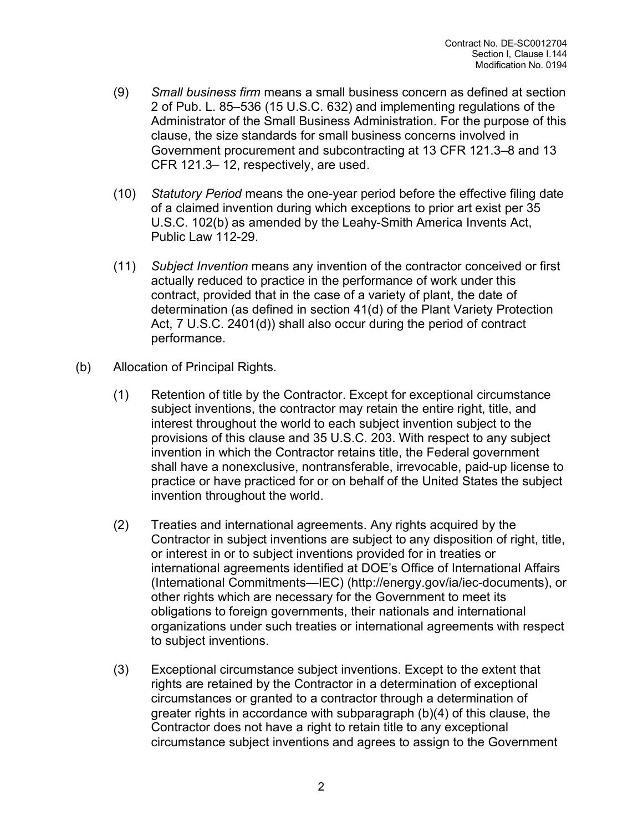- (9) *Small business firm* means a small business concern as defined at section 2 of Pub. L. 85–536 (15 U.S.C. 632) and implementing regulations of the Administrator of the Small Business Administration. For the purpose of this clause, the size standards for small business concerns involved in Government procurement and subcontracting at 13 CFR 121.3–8 and 13 CFR 121.3– 12, respectively, are used.
- (10) *Statutory Period* means the one-year period before the effective filing date of a claimed invention during which exceptions to prior art exist per 35 U.S.C. 102(b) as amended by the Leahy-Smith America Invents Act, Public Law 112-29.
- (11) *Subject Invention* means any invention of the contractor conceived or first actually reduced to practice in the performance of work under this contract, provided that in the case of a variety of plant, the date of determination (as defined in section 41(d) of the Plant Variety Protection Act, 7 U.S.C. 2401(d)) shall also occur during the period of contract performance.
- (b) Allocation of Principal Rights.
	- (1) Retention of title by the Contractor. Except for exceptional circumstance subject inventions, the contractor may retain the entire right, title, and interest throughout the world to each subject invention subject to the provisions of this clause and 35 U.S.C. 203. With respect to any subject invention in which the Contractor retains title, the Federal government shall have a nonexclusive, nontransferable, irrevocable, paid-up license to practice or have practiced for or on behalf of the United States the subject invention throughout the world.
	- (2) Treaties and international agreements. Any rights acquired by the Contractor in subject inventions are subject to any disposition of right, title, or interest in or to subject inventions provided for in treaties or international agreements identified at DOE's Office of International Affairs (International Commitments—IEC) (http://energy.gov/ia/iec-documents), or other rights which are necessary for the Government to meet its obligations to foreign governments, their nationals and international organizations under such treaties or international agreements with respect to subject inventions.
	- (3) Exceptional circumstance subject inventions. Except to the extent that rights are retained by the Contractor in a determination of exceptional circumstances or granted to a contractor through a determination of greater rights in accordance with subparagraph (b)(4) of this clause, the Contractor does not have a right to retain title to any exceptional circumstance subject inventions and agrees to assign to the Government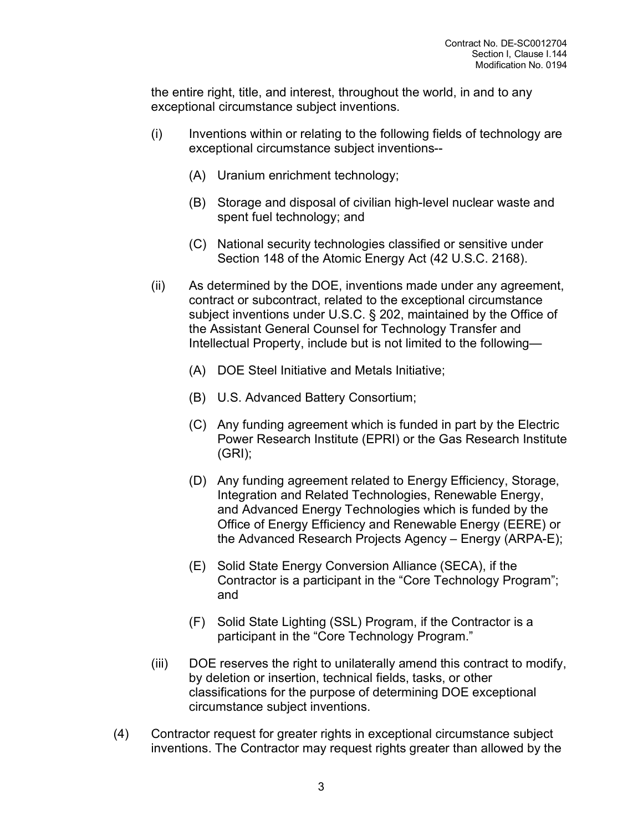the entire right, title, and interest, throughout the world, in and to any exceptional circumstance subject inventions.

- (i) Inventions within or relating to the following fields of technology are exceptional circumstance subject inventions--
	- (A) Uranium enrichment technology;
	- (B) Storage and disposal of civilian high-level nuclear waste and spent fuel technology; and
	- (C) National security technologies classified or sensitive under Section 148 of the Atomic Energy Act (42 U.S.C. 2168).
- (ii) As determined by the DOE, inventions made under any agreement, contract or subcontract, related to the exceptional circumstance subject inventions under U.S.C. § 202, maintained by the Office of the Assistant General Counsel for Technology Transfer and Intellectual Property, include but is not limited to the following—
	- (A) DOE Steel Initiative and Metals Initiative;
	- (B) U.S. Advanced Battery Consortium;
	- (C) Any funding agreement which is funded in part by the Electric Power Research Institute (EPRI) or the Gas Research Institute (GRI);
	- (D) Any funding agreement related to Energy Efficiency, Storage, Integration and Related Technologies, Renewable Energy, and Advanced Energy Technologies which is funded by the Office of Energy Efficiency and Renewable Energy (EERE) or the Advanced Research Projects Agency – Energy (ARPA-E);
	- (E) Solid State Energy Conversion Alliance (SECA), if the Contractor is a participant in the "Core Technology Program"; and
	- (F) Solid State Lighting (SSL) Program, if the Contractor is a participant in the "Core Technology Program."
- (iii) DOE reserves the right to unilaterally amend this contract to modify, by deletion or insertion, technical fields, tasks, or other classifications for the purpose of determining DOE exceptional circumstance subject inventions.
- (4) Contractor request for greater rights in exceptional circumstance subject inventions. The Contractor may request rights greater than allowed by the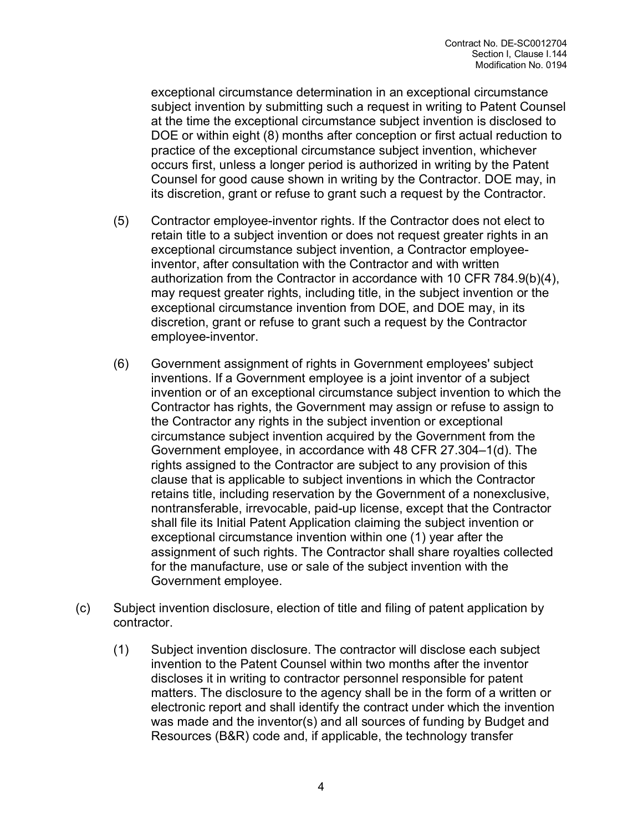exceptional circumstance determination in an exceptional circumstance subject invention by submitting such a request in writing to Patent Counsel at the time the exceptional circumstance subject invention is disclosed to DOE or within eight (8) months after conception or first actual reduction to practice of the exceptional circumstance subject invention, whichever occurs first, unless a longer period is authorized in writing by the Patent Counsel for good cause shown in writing by the Contractor. DOE may, in its discretion, grant or refuse to grant such a request by the Contractor.

- (5) Contractor employee-inventor rights. If the Contractor does not elect to retain title to a subject invention or does not request greater rights in an exceptional circumstance subject invention, a Contractor employeeinventor, after consultation with the Contractor and with written authorization from the Contractor in accordance with 10 CFR 784.9(b)(4), may request greater rights, including title, in the subject invention or the exceptional circumstance invention from DOE, and DOE may, in its discretion, grant or refuse to grant such a request by the Contractor employee-inventor.
- (6) Government assignment of rights in Government employees' subject inventions. If a Government employee is a joint inventor of a subject invention or of an exceptional circumstance subject invention to which the Contractor has rights, the Government may assign or refuse to assign to the Contractor any rights in the subject invention or exceptional circumstance subject invention acquired by the Government from the Government employee, in accordance with 48 CFR 27.304–1(d). The rights assigned to the Contractor are subject to any provision of this clause that is applicable to subject inventions in which the Contractor retains title, including reservation by the Government of a nonexclusive, nontransferable, irrevocable, paid-up license, except that the Contractor shall file its Initial Patent Application claiming the subject invention or exceptional circumstance invention within one (1) year after the assignment of such rights. The Contractor shall share royalties collected for the manufacture, use or sale of the subject invention with the Government employee.
- (c) Subject invention disclosure, election of title and filing of patent application by contractor.
	- (1) Subject invention disclosure. The contractor will disclose each subject invention to the Patent Counsel within two months after the inventor discloses it in writing to contractor personnel responsible for patent matters. The disclosure to the agency shall be in the form of a written or electronic report and shall identify the contract under which the invention was made and the inventor(s) and all sources of funding by Budget and Resources (B&R) code and, if applicable, the technology transfer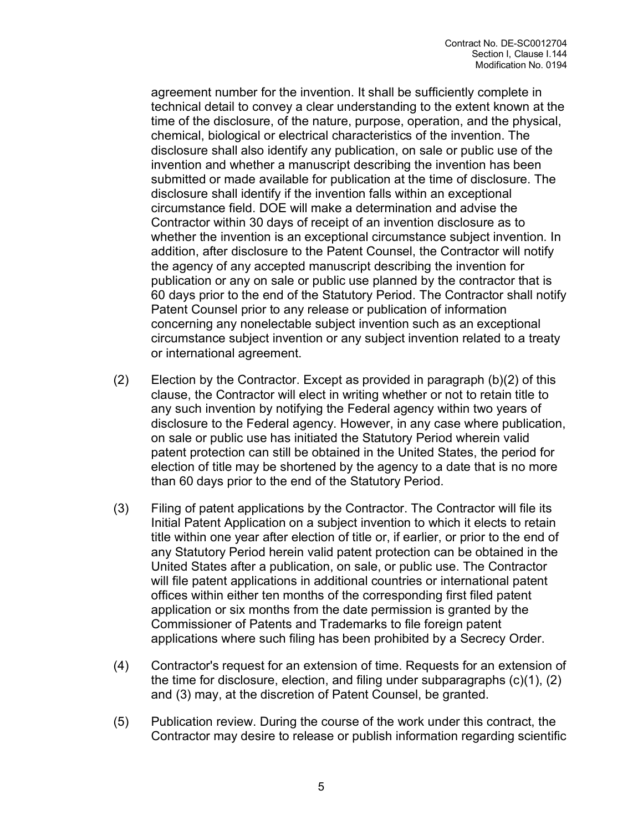agreement number for the invention. It shall be sufficiently complete in technical detail to convey a clear understanding to the extent known at the time of the disclosure, of the nature, purpose, operation, and the physical, chemical, biological or electrical characteristics of the invention. The disclosure shall also identify any publication, on sale or public use of the invention and whether a manuscript describing the invention has been submitted or made available for publication at the time of disclosure. The disclosure shall identify if the invention falls within an exceptional circumstance field. DOE will make a determination and advise the Contractor within 30 days of receipt of an invention disclosure as to whether the invention is an exceptional circumstance subject invention. In addition, after disclosure to the Patent Counsel, the Contractor will notify the agency of any accepted manuscript describing the invention for publication or any on sale or public use planned by the contractor that is 60 days prior to the end of the Statutory Period. The Contractor shall notify Patent Counsel prior to any release or publication of information concerning any nonelectable subject invention such as an exceptional circumstance subject invention or any subject invention related to a treaty or international agreement.

- (2) Election by the Contractor. Except as provided in paragraph (b)(2) of this clause, the Contractor will elect in writing whether or not to retain title to any such invention by notifying the Federal agency within two years of disclosure to the Federal agency. However, in any case where publication, on sale or public use has initiated the Statutory Period wherein valid patent protection can still be obtained in the United States, the period for election of title may be shortened by the agency to a date that is no more than 60 days prior to the end of the Statutory Period.
- (3) Filing of patent applications by the Contractor. The Contractor will file its Initial Patent Application on a subject invention to which it elects to retain title within one year after election of title or, if earlier, or prior to the end of any Statutory Period herein valid patent protection can be obtained in the United States after a publication, on sale, or public use. The Contractor will file patent applications in additional countries or international patent offices within either ten months of the corresponding first filed patent application or six months from the date permission is granted by the Commissioner of Patents and Trademarks to file foreign patent applications where such filing has been prohibited by a Secrecy Order.
- (4) Contractor's request for an extension of time. Requests for an extension of the time for disclosure, election, and filing under subparagraphs (c)(1), (2) and (3) may, at the discretion of Patent Counsel, be granted.
- (5) Publication review. During the course of the work under this contract, the Contractor may desire to release or publish information regarding scientific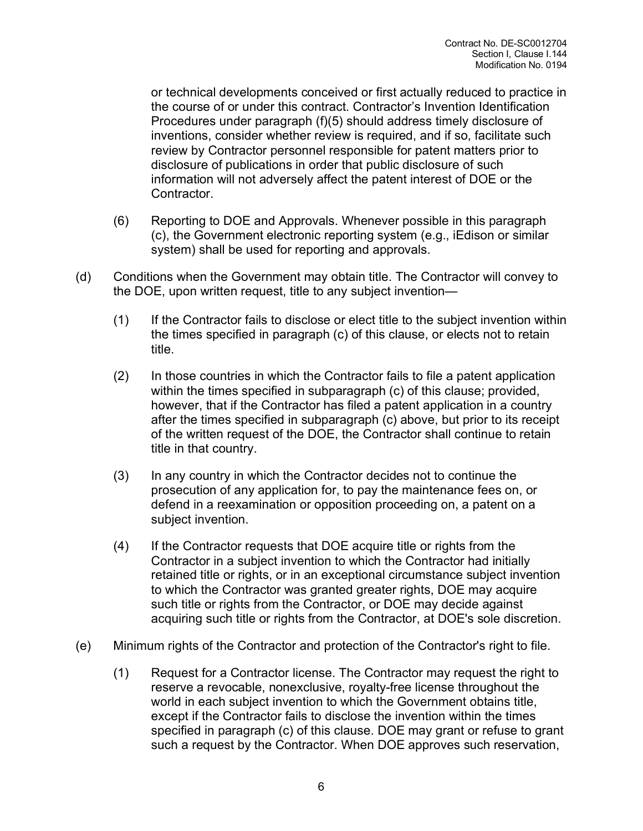or technical developments conceived or first actually reduced to practice in the course of or under this contract. Contractor's Invention Identification Procedures under paragraph (f)(5) should address timely disclosure of inventions, consider whether review is required, and if so, facilitate such review by Contractor personnel responsible for patent matters prior to disclosure of publications in order that public disclosure of such information will not adversely affect the patent interest of DOE or the Contractor.

- (6) Reporting to DOE and Approvals. Whenever possible in this paragraph (c), the Government electronic reporting system (e.g., iEdison or similar system) shall be used for reporting and approvals.
- (d) Conditions when the Government may obtain title. The Contractor will convey to the DOE, upon written request, title to any subject invention—
	- (1) If the Contractor fails to disclose or elect title to the subject invention within the times specified in paragraph (c) of this clause, or elects not to retain title.
	- (2) In those countries in which the Contractor fails to file a patent application within the times specified in subparagraph (c) of this clause; provided, however, that if the Contractor has filed a patent application in a country after the times specified in subparagraph (c) above, but prior to its receipt of the written request of the DOE, the Contractor shall continue to retain title in that country.
	- (3) In any country in which the Contractor decides not to continue the prosecution of any application for, to pay the maintenance fees on, or defend in a reexamination or opposition proceeding on, a patent on a subject invention.
	- (4) If the Contractor requests that DOE acquire title or rights from the Contractor in a subject invention to which the Contractor had initially retained title or rights, or in an exceptional circumstance subject invention to which the Contractor was granted greater rights, DOE may acquire such title or rights from the Contractor, or DOE may decide against acquiring such title or rights from the Contractor, at DOE's sole discretion.
- (e) Minimum rights of the Contractor and protection of the Contractor's right to file.
	- (1) Request for a Contractor license. The Contractor may request the right to reserve a revocable, nonexclusive, royalty-free license throughout the world in each subject invention to which the Government obtains title, except if the Contractor fails to disclose the invention within the times specified in paragraph (c) of this clause. DOE may grant or refuse to grant such a request by the Contractor. When DOE approves such reservation,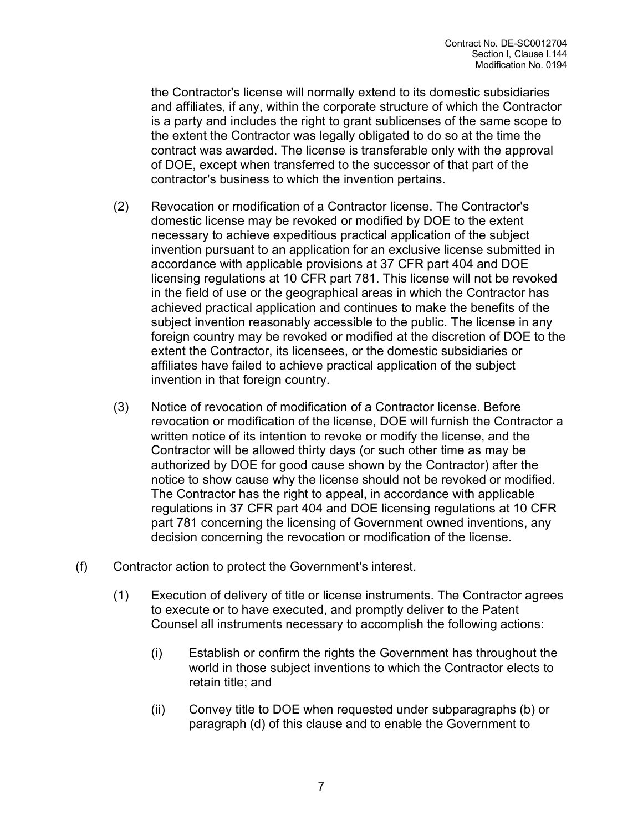the Contractor's license will normally extend to its domestic subsidiaries and affiliates, if any, within the corporate structure of which the Contractor is a party and includes the right to grant sublicenses of the same scope to the extent the Contractor was legally obligated to do so at the time the contract was awarded. The license is transferable only with the approval of DOE, except when transferred to the successor of that part of the contractor's business to which the invention pertains.

- (2) Revocation or modification of a Contractor license. The Contractor's domestic license may be revoked or modified by DOE to the extent necessary to achieve expeditious practical application of the subject invention pursuant to an application for an exclusive license submitted in accordance with applicable provisions at 37 CFR part 404 and DOE licensing regulations at 10 CFR part 781. This license will not be revoked in the field of use or the geographical areas in which the Contractor has achieved practical application and continues to make the benefits of the subject invention reasonably accessible to the public. The license in any foreign country may be revoked or modified at the discretion of DOE to the extent the Contractor, its licensees, or the domestic subsidiaries or affiliates have failed to achieve practical application of the subject invention in that foreign country.
- (3) Notice of revocation of modification of a Contractor license. Before revocation or modification of the license, DOE will furnish the Contractor a written notice of its intention to revoke or modify the license, and the Contractor will be allowed thirty days (or such other time as may be authorized by DOE for good cause shown by the Contractor) after the notice to show cause why the license should not be revoked or modified. The Contractor has the right to appeal, in accordance with applicable regulations in 37 CFR part 404 and DOE licensing regulations at 10 CFR part 781 concerning the licensing of Government owned inventions, any decision concerning the revocation or modification of the license.
- (f) Contractor action to protect the Government's interest.
	- (1) Execution of delivery of title or license instruments. The Contractor agrees to execute or to have executed, and promptly deliver to the Patent Counsel all instruments necessary to accomplish the following actions:
		- (i) Establish or confirm the rights the Government has throughout the world in those subject inventions to which the Contractor elects to retain title; and
		- (ii) Convey title to DOE when requested under subparagraphs (b) or paragraph (d) of this clause and to enable the Government to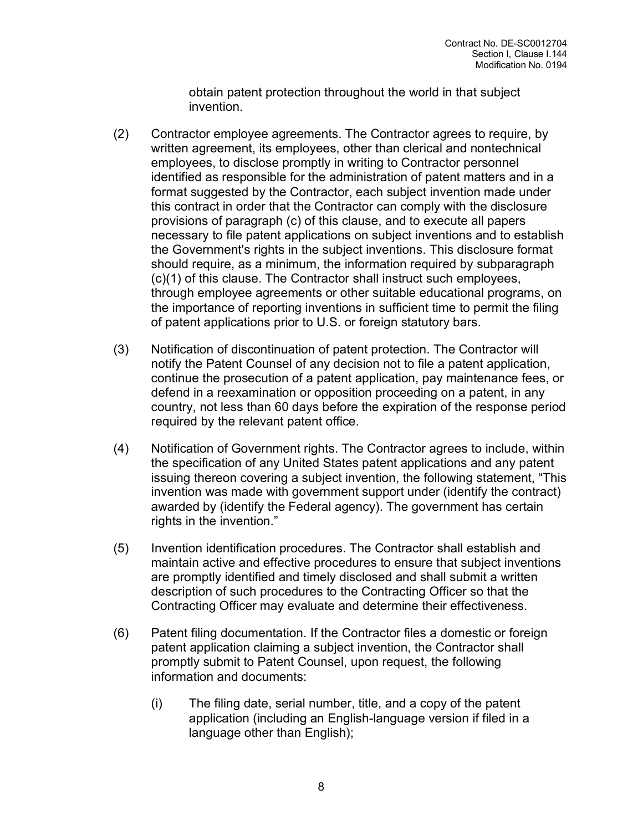obtain patent protection throughout the world in that subject invention.

- (2) Contractor employee agreements. The Contractor agrees to require, by written agreement, its employees, other than clerical and nontechnical employees, to disclose promptly in writing to Contractor personnel identified as responsible for the administration of patent matters and in a format suggested by the Contractor, each subject invention made under this contract in order that the Contractor can comply with the disclosure provisions of paragraph (c) of this clause, and to execute all papers necessary to file patent applications on subject inventions and to establish the Government's rights in the subject inventions. This disclosure format should require, as a minimum, the information required by subparagraph (c)(1) of this clause. The Contractor shall instruct such employees, through employee agreements or other suitable educational programs, on the importance of reporting inventions in sufficient time to permit the filing of patent applications prior to U.S. or foreign statutory bars.
- (3) Notification of discontinuation of patent protection. The Contractor will notify the Patent Counsel of any decision not to file a patent application, continue the prosecution of a patent application, pay maintenance fees, or defend in a reexamination or opposition proceeding on a patent, in any country, not less than 60 days before the expiration of the response period required by the relevant patent office.
- (4) Notification of Government rights. The Contractor agrees to include, within the specification of any United States patent applications and any patent issuing thereon covering a subject invention, the following statement, "This invention was made with government support under (identify the contract) awarded by (identify the Federal agency). The government has certain rights in the invention."
- (5) Invention identification procedures. The Contractor shall establish and maintain active and effective procedures to ensure that subject inventions are promptly identified and timely disclosed and shall submit a written description of such procedures to the Contracting Officer so that the Contracting Officer may evaluate and determine their effectiveness.
- (6) Patent filing documentation. If the Contractor files a domestic or foreign patent application claiming a subject invention, the Contractor shall promptly submit to Patent Counsel, upon request, the following information and documents:
	- (i) The filing date, serial number, title, and a copy of the patent application (including an English-language version if filed in a language other than English);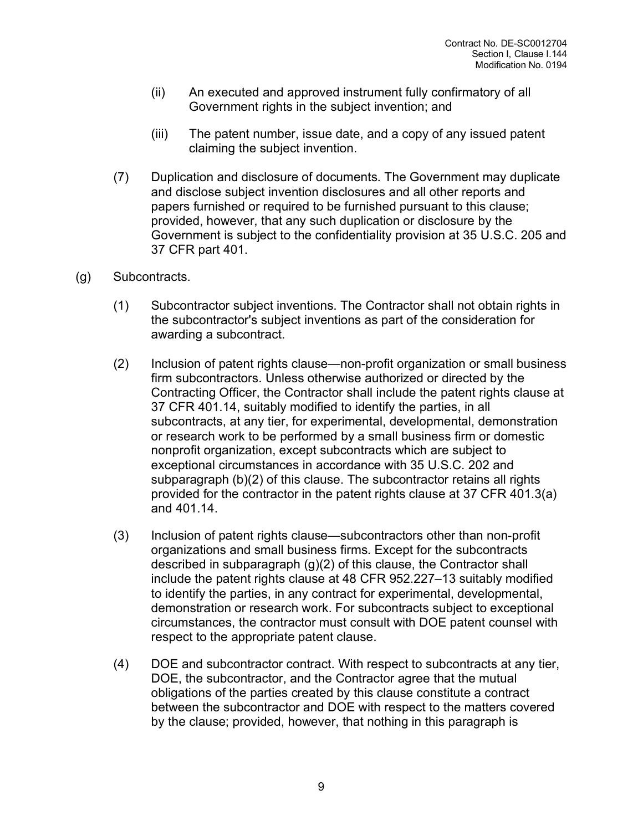- (ii) An executed and approved instrument fully confirmatory of all Government rights in the subject invention; and
- (iii) The patent number, issue date, and a copy of any issued patent claiming the subject invention.
- (7) Duplication and disclosure of documents. The Government may duplicate and disclose subject invention disclosures and all other reports and papers furnished or required to be furnished pursuant to this clause; provided, however, that any such duplication or disclosure by the Government is subject to the confidentiality provision at 35 U.S.C. 205 and 37 CFR part 401.
- (g) Subcontracts.
	- (1) Subcontractor subject inventions. The Contractor shall not obtain rights in the subcontractor's subject inventions as part of the consideration for awarding a subcontract.
	- (2) Inclusion of patent rights clause—non-profit organization or small business firm subcontractors. Unless otherwise authorized or directed by the Contracting Officer, the Contractor shall include the patent rights clause at 37 CFR 401.14, suitably modified to identify the parties, in all subcontracts, at any tier, for experimental, developmental, demonstration or research work to be performed by a small business firm or domestic nonprofit organization, except subcontracts which are subject to exceptional circumstances in accordance with 35 U.S.C. 202 and subparagraph (b)(2) of this clause. The subcontractor retains all rights provided for the contractor in the patent rights clause at 37 CFR 401.3(a) and 401.14.
	- (3) Inclusion of patent rights clause—subcontractors other than non-profit organizations and small business firms. Except for the subcontracts described in subparagraph (g)(2) of this clause, the Contractor shall include the patent rights clause at 48 CFR 952.227–13 suitably modified to identify the parties, in any contract for experimental, developmental, demonstration or research work. For subcontracts subject to exceptional circumstances, the contractor must consult with DOE patent counsel with respect to the appropriate patent clause.
	- (4) DOE and subcontractor contract. With respect to subcontracts at any tier, DOE, the subcontractor, and the Contractor agree that the mutual obligations of the parties created by this clause constitute a contract between the subcontractor and DOE with respect to the matters covered by the clause; provided, however, that nothing in this paragraph is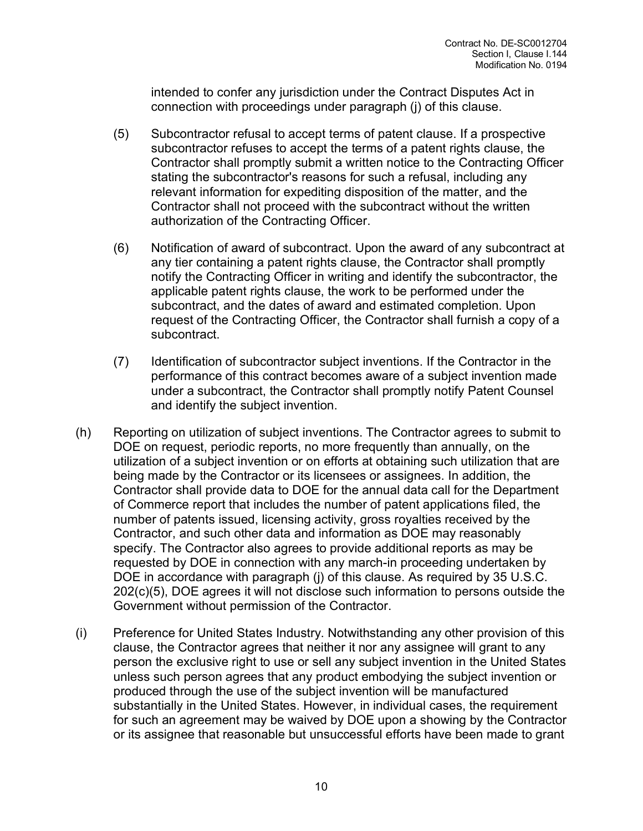intended to confer any jurisdiction under the Contract Disputes Act in connection with proceedings under paragraph (j) of this clause.

- (5) Subcontractor refusal to accept terms of patent clause. If a prospective subcontractor refuses to accept the terms of a patent rights clause, the Contractor shall promptly submit a written notice to the Contracting Officer stating the subcontractor's reasons for such a refusal, including any relevant information for expediting disposition of the matter, and the Contractor shall not proceed with the subcontract without the written authorization of the Contracting Officer.
- (6) Notification of award of subcontract. Upon the award of any subcontract at any tier containing a patent rights clause, the Contractor shall promptly notify the Contracting Officer in writing and identify the subcontractor, the applicable patent rights clause, the work to be performed under the subcontract, and the dates of award and estimated completion. Upon request of the Contracting Officer, the Contractor shall furnish a copy of a subcontract.
- (7) Identification of subcontractor subject inventions. If the Contractor in the performance of this contract becomes aware of a subject invention made under a subcontract, the Contractor shall promptly notify Patent Counsel and identify the subject invention.
- (h) Reporting on utilization of subject inventions. The Contractor agrees to submit to DOE on request, periodic reports, no more frequently than annually, on the utilization of a subject invention or on efforts at obtaining such utilization that are being made by the Contractor or its licensees or assignees. In addition, the Contractor shall provide data to DOE for the annual data call for the Department of Commerce report that includes the number of patent applications filed, the number of patents issued, licensing activity, gross royalties received by the Contractor, and such other data and information as DOE may reasonably specify. The Contractor also agrees to provide additional reports as may be requested by DOE in connection with any march-in proceeding undertaken by DOE in accordance with paragraph (j) of this clause. As required by 35 U.S.C. 202(c)(5), DOE agrees it will not disclose such information to persons outside the Government without permission of the Contractor.
- (i) Preference for United States Industry. Notwithstanding any other provision of this clause, the Contractor agrees that neither it nor any assignee will grant to any person the exclusive right to use or sell any subject invention in the United States unless such person agrees that any product embodying the subject invention or produced through the use of the subject invention will be manufactured substantially in the United States. However, in individual cases, the requirement for such an agreement may be waived by DOE upon a showing by the Contractor or its assignee that reasonable but unsuccessful efforts have been made to grant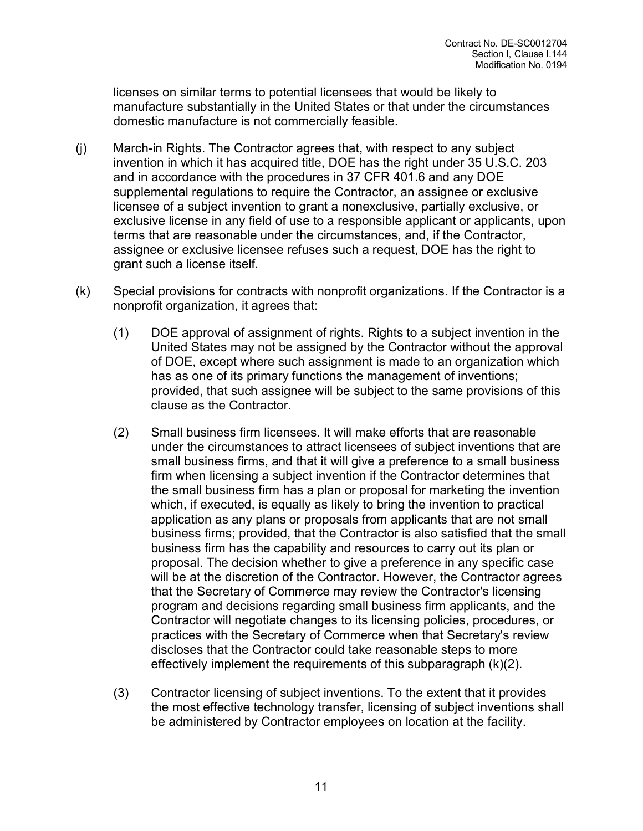licenses on similar terms to potential licensees that would be likely to manufacture substantially in the United States or that under the circumstances domestic manufacture is not commercially feasible.

- (j) March-in Rights. The Contractor agrees that, with respect to any subject invention in which it has acquired title, DOE has the right under 35 U.S.C. 203 and in accordance with the procedures in 37 CFR 401.6 and any DOE supplemental regulations to require the Contractor, an assignee or exclusive licensee of a subject invention to grant a nonexclusive, partially exclusive, or exclusive license in any field of use to a responsible applicant or applicants, upon terms that are reasonable under the circumstances, and, if the Contractor, assignee or exclusive licensee refuses such a request, DOE has the right to grant such a license itself.
- (k) Special provisions for contracts with nonprofit organizations. If the Contractor is a nonprofit organization, it agrees that:
	- (1) DOE approval of assignment of rights. Rights to a subject invention in the United States may not be assigned by the Contractor without the approval of DOE, except where such assignment is made to an organization which has as one of its primary functions the management of inventions; provided, that such assignee will be subject to the same provisions of this clause as the Contractor.
	- (2) Small business firm licensees. It will make efforts that are reasonable under the circumstances to attract licensees of subject inventions that are small business firms, and that it will give a preference to a small business firm when licensing a subject invention if the Contractor determines that the small business firm has a plan or proposal for marketing the invention which, if executed, is equally as likely to bring the invention to practical application as any plans or proposals from applicants that are not small business firms; provided, that the Contractor is also satisfied that the small business firm has the capability and resources to carry out its plan or proposal. The decision whether to give a preference in any specific case will be at the discretion of the Contractor. However, the Contractor agrees that the Secretary of Commerce may review the Contractor's licensing program and decisions regarding small business firm applicants, and the Contractor will negotiate changes to its licensing policies, procedures, or practices with the Secretary of Commerce when that Secretary's review discloses that the Contractor could take reasonable steps to more effectively implement the requirements of this subparagraph (k)(2).
	- (3) Contractor licensing of subject inventions. To the extent that it provides the most effective technology transfer, licensing of subject inventions shall be administered by Contractor employees on location at the facility.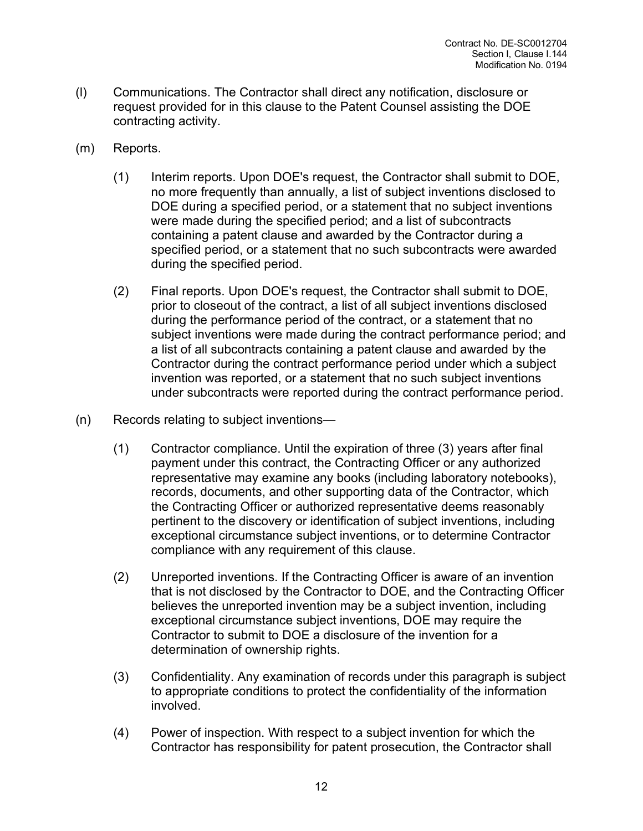- (l) Communications. The Contractor shall direct any notification, disclosure or request provided for in this clause to the Patent Counsel assisting the DOE contracting activity.
- (m) Reports.
	- (1) Interim reports. Upon DOE's request, the Contractor shall submit to DOE, no more frequently than annually, a list of subject inventions disclosed to DOE during a specified period, or a statement that no subject inventions were made during the specified period; and a list of subcontracts containing a patent clause and awarded by the Contractor during a specified period, or a statement that no such subcontracts were awarded during the specified period.
	- (2) Final reports. Upon DOE's request, the Contractor shall submit to DOE, prior to closeout of the contract, a list of all subject inventions disclosed during the performance period of the contract, or a statement that no subject inventions were made during the contract performance period; and a list of all subcontracts containing a patent clause and awarded by the Contractor during the contract performance period under which a subject invention was reported, or a statement that no such subject inventions under subcontracts were reported during the contract performance period.
- (n) Records relating to subject inventions—
	- (1) Contractor compliance. Until the expiration of three (3) years after final payment under this contract, the Contracting Officer or any authorized representative may examine any books (including laboratory notebooks), records, documents, and other supporting data of the Contractor, which the Contracting Officer or authorized representative deems reasonably pertinent to the discovery or identification of subject inventions, including exceptional circumstance subject inventions, or to determine Contractor compliance with any requirement of this clause.
	- (2) Unreported inventions. If the Contracting Officer is aware of an invention that is not disclosed by the Contractor to DOE, and the Contracting Officer believes the unreported invention may be a subject invention, including exceptional circumstance subject inventions, DOE may require the Contractor to submit to DOE a disclosure of the invention for a determination of ownership rights.
	- (3) Confidentiality. Any examination of records under this paragraph is subject to appropriate conditions to protect the confidentiality of the information involved.
	- (4) Power of inspection. With respect to a subject invention for which the Contractor has responsibility for patent prosecution, the Contractor shall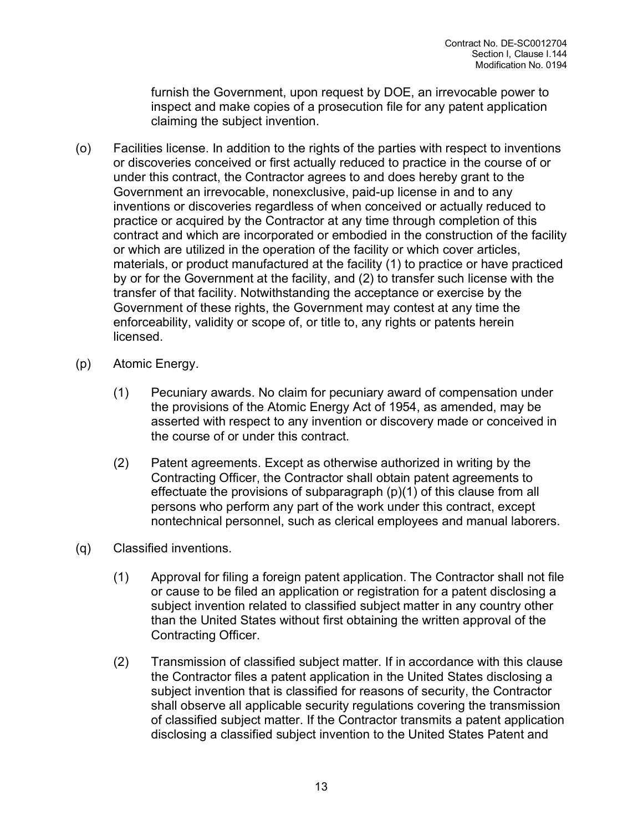furnish the Government, upon request by DOE, an irrevocable power to inspect and make copies of a prosecution file for any patent application claiming the subject invention.

- (o) Facilities license. In addition to the rights of the parties with respect to inventions or discoveries conceived or first actually reduced to practice in the course of or under this contract, the Contractor agrees to and does hereby grant to the Government an irrevocable, nonexclusive, paid-up license in and to any inventions or discoveries regardless of when conceived or actually reduced to practice or acquired by the Contractor at any time through completion of this contract and which are incorporated or embodied in the construction of the facility or which are utilized in the operation of the facility or which cover articles, materials, or product manufactured at the facility (1) to practice or have practiced by or for the Government at the facility, and (2) to transfer such license with the transfer of that facility. Notwithstanding the acceptance or exercise by the Government of these rights, the Government may contest at any time the enforceability, validity or scope of, or title to, any rights or patents herein licensed.
- (p) Atomic Energy.
	- (1) Pecuniary awards. No claim for pecuniary award of compensation under the provisions of the Atomic Energy Act of 1954, as amended, may be asserted with respect to any invention or discovery made or conceived in the course of or under this contract.
	- (2) Patent agreements. Except as otherwise authorized in writing by the Contracting Officer, the Contractor shall obtain patent agreements to effectuate the provisions of subparagraph (p)(1) of this clause from all persons who perform any part of the work under this contract, except nontechnical personnel, such as clerical employees and manual laborers.
- (q) Classified inventions.
	- (1) Approval for filing a foreign patent application. The Contractor shall not file or cause to be filed an application or registration for a patent disclosing a subject invention related to classified subject matter in any country other than the United States without first obtaining the written approval of the Contracting Officer.
	- (2) Transmission of classified subject matter. If in accordance with this clause the Contractor files a patent application in the United States disclosing a subject invention that is classified for reasons of security, the Contractor shall observe all applicable security regulations covering the transmission of classified subject matter. If the Contractor transmits a patent application disclosing a classified subject invention to the United States Patent and